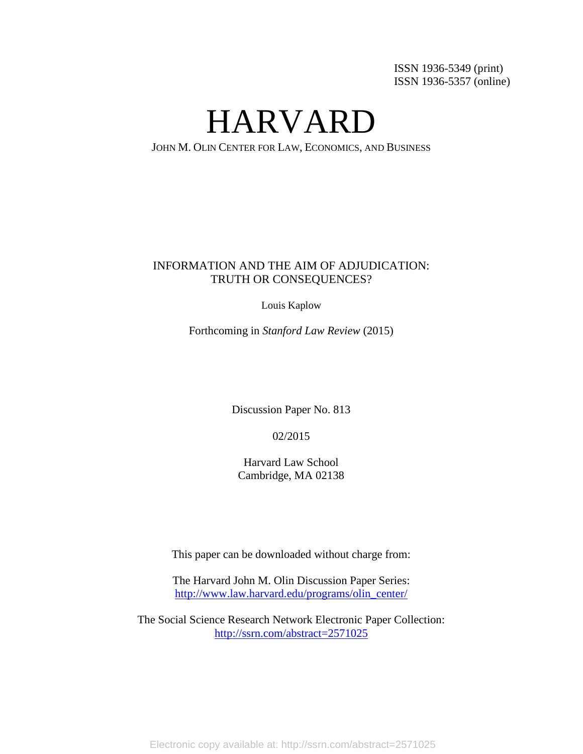ISSN 1936-5349 (print) ISSN 1936-5357 (online)

HARVARD

JOHN M. OLIN CENTER FOR LAW, ECONOMICS, AND BUSINESS

# INFORMATION AND THE AIM OF ADJUDICATION: TRUTH OR CONSEQUENCES?

Louis Kaplow

Forthcoming in *Stanford Law Review* (2015)

Discussion Paper No. 813

02/2015

Harvard Law School Cambridge, MA 02138

This paper can be downloaded without charge from:

The Harvard John M. Olin Discussion Paper Series: [http://www.law.harvard.edu/programs/olin\\_center/](http://www.law.harvard.edu/Programs/olin_center)

The Social Science Research Network Electronic Paper Collection: <http://ssrn.com/abstract=2571025>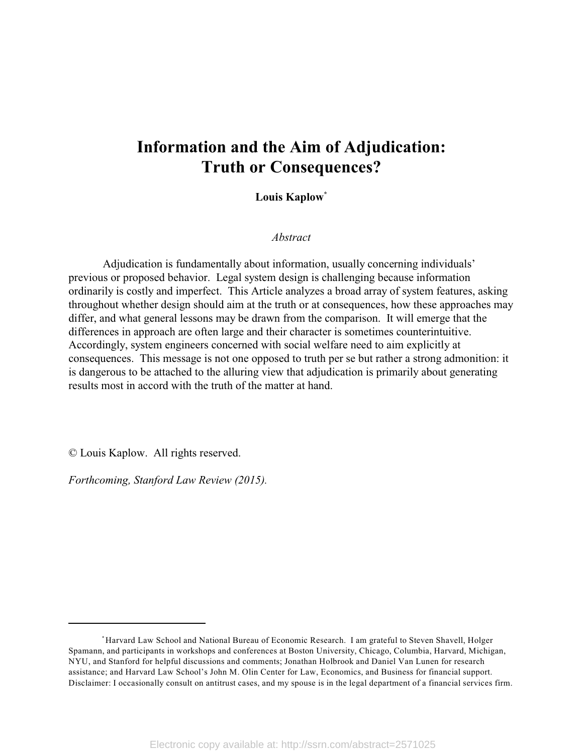# **Information and the Aim of Adjudication: Truth or Consequences?**

**Louis Kaplow\***

*Abstract*

Adjudication is fundamentally about information, usually concerning individuals' previous or proposed behavior. Legal system design is challenging because information ordinarily is costly and imperfect. This Article analyzes a broad array of system features, asking throughout whether design should aim at the truth or at consequences, how these approaches may differ, and what general lessons may be drawn from the comparison. It will emerge that the differences in approach are often large and their character is sometimes counterintuitive. Accordingly, system engineers concerned with social welfare need to aim explicitly at consequences. This message is not one opposed to truth per se but rather a strong admonition: it is dangerous to be attached to the alluring view that adjudication is primarily about generating results most in accord with the truth of the matter at hand.

© Louis Kaplow. All rights reserved.

*Forthcoming, Stanford Law Review (2015).*

<sup>\*</sup>Harvard Law School and National Bureau of Economic Research. I am grateful to Steven Shavell, Holger Spamann, and participants in workshops and conferences at Boston University, Chicago, Columbia, Harvard, Michigan, NYU, and Stanford for helpful discussions and comments; Jonathan Holbrook and Daniel Van Lunen for research assistance; and Harvard Law School's John M. Olin Center for Law, Economics, and Business for financial support. Disclaimer: I occasionally consult on antitrust cases, and my spouse is in the legal department of a financial services firm.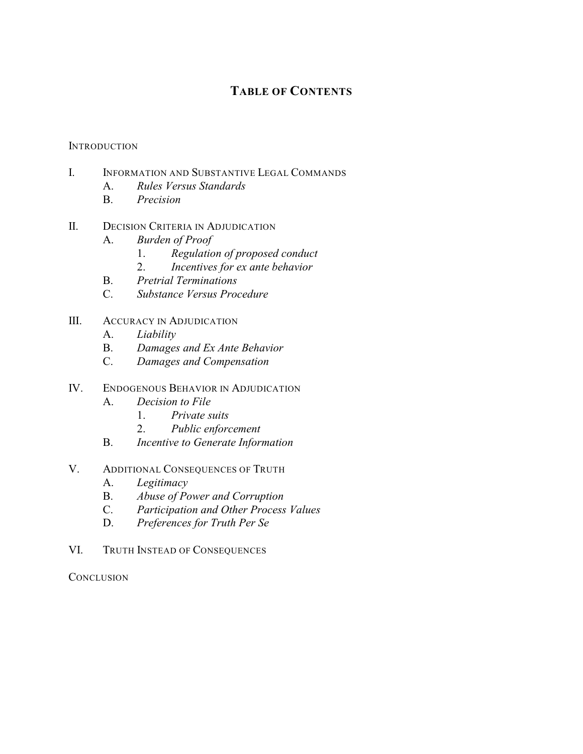# **TABLE OF CONTENTS**

# **INTRODUCTION**

- I. INFORMATION AND SUBSTANTIVE LEGAL COMMANDS
	- A. *Rules Versus Standards*
	- B. *Precision*
- II. DECISION CRITERIA IN ADJUDICATION
	- A. *Burden of Proof*
		- 1. *Regulation of proposed conduct*
		- 2. *Incentives for ex ante behavior*
	- B. *Pretrial Terminations*
	- C. *Substance Versus Procedure*
- III. ACCURACY IN ADJUDICATION
	- A. *Liability*
	- B. *Damages and Ex Ante Behavior*
	- C. *Damages and Compensation*
- IV. ENDOGENOUS BEHAVIOR IN ADJUDICATION
	- A. *Decision to File*
		- 1. *Private suits*
		- 2. *Public enforcement*
	- B. *Incentive to Generate Information*
- V. ADDITIONAL CONSEQUENCES OF TRUTH
	- A. *Legitimacy*
	- B. *Abuse of Power and Corruption*
	- C. *Participation and Other Process Values*
	- D. *Preferences for Truth Per Se*
- VI. TRUTH INSTEAD OF CONSEQUENCES

**CONCLUSION**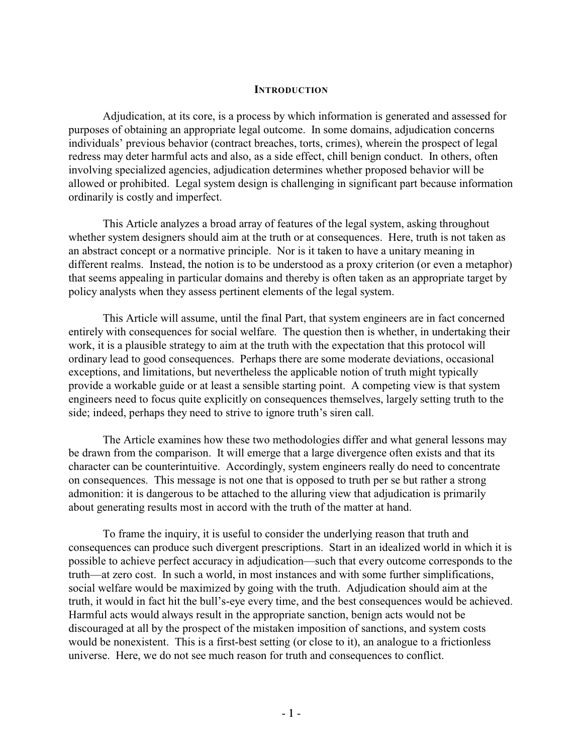#### **INTRODUCTION**

Adjudication, at its core, is a process by which information is generated and assessed for purposes of obtaining an appropriate legal outcome. In some domains, adjudication concerns individuals' previous behavior (contract breaches, torts, crimes), wherein the prospect of legal redress may deter harmful acts and also, as a side effect, chill benign conduct. In others, often involving specialized agencies, adjudication determines whether proposed behavior will be allowed or prohibited. Legal system design is challenging in significant part because information ordinarily is costly and imperfect.

This Article analyzes a broad array of features of the legal system, asking throughout whether system designers should aim at the truth or at consequences. Here, truth is not taken as an abstract concept or a normative principle. Nor is it taken to have a unitary meaning in different realms. Instead, the notion is to be understood as a proxy criterion (or even a metaphor) that seems appealing in particular domains and thereby is often taken as an appropriate target by policy analysts when they assess pertinent elements of the legal system.

This Article will assume, until the final Part, that system engineers are in fact concerned entirely with consequences for social welfare. The question then is whether, in undertaking their work, it is a plausible strategy to aim at the truth with the expectation that this protocol will ordinary lead to good consequences. Perhaps there are some moderate deviations, occasional exceptions, and limitations, but nevertheless the applicable notion of truth might typically provide a workable guide or at least a sensible starting point. A competing view is that system engineers need to focus quite explicitly on consequences themselves, largely setting truth to the side; indeed, perhaps they need to strive to ignore truth's siren call.

The Article examines how these two methodologies differ and what general lessons may be drawn from the comparison. It will emerge that a large divergence often exists and that its character can be counterintuitive. Accordingly, system engineers really do need to concentrate on consequences. This message is not one that is opposed to truth per se but rather a strong admonition: it is dangerous to be attached to the alluring view that adjudication is primarily about generating results most in accord with the truth of the matter at hand.

To frame the inquiry, it is useful to consider the underlying reason that truth and consequences can produce such divergent prescriptions. Start in an idealized world in which it is possible to achieve perfect accuracy in adjudication—such that every outcome corresponds to the truth—at zero cost. In such a world, in most instances and with some further simplifications, social welfare would be maximized by going with the truth. Adjudication should aim at the truth, it would in fact hit the bull's-eye every time, and the best consequences would be achieved. Harmful acts would always result in the appropriate sanction, benign acts would not be discouraged at all by the prospect of the mistaken imposition of sanctions, and system costs would be nonexistent. This is a first-best setting (or close to it), an analogue to a frictionless universe. Here, we do not see much reason for truth and consequences to conflict.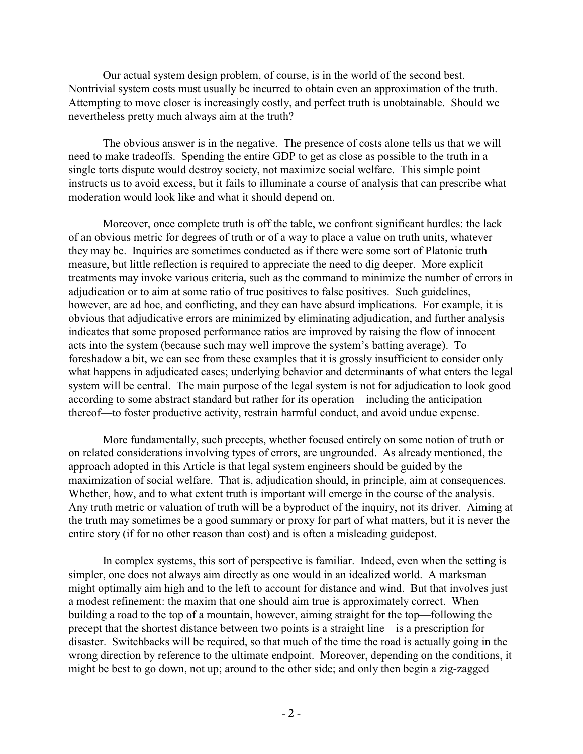Our actual system design problem, of course, is in the world of the second best. Nontrivial system costs must usually be incurred to obtain even an approximation of the truth. Attempting to move closer is increasingly costly, and perfect truth is unobtainable. Should we nevertheless pretty much always aim at the truth?

The obvious answer is in the negative. The presence of costs alone tells us that we will need to make tradeoffs. Spending the entire GDP to get as close as possible to the truth in a single torts dispute would destroy society, not maximize social welfare. This simple point instructs us to avoid excess, but it fails to illuminate a course of analysis that can prescribe what moderation would look like and what it should depend on.

Moreover, once complete truth is off the table, we confront significant hurdles: the lack of an obvious metric for degrees of truth or of a way to place a value on truth units, whatever they may be. Inquiries are sometimes conducted as if there were some sort of Platonic truth measure, but little reflection is required to appreciate the need to dig deeper. More explicit treatments may invoke various criteria, such as the command to minimize the number of errors in adjudication or to aim at some ratio of true positives to false positives. Such guidelines, however, are ad hoc, and conflicting, and they can have absurd implications. For example, it is obvious that adjudicative errors are minimized by eliminating adjudication, and further analysis indicates that some proposed performance ratios are improved by raising the flow of innocent acts into the system (because such may well improve the system's batting average). To foreshadow a bit, we can see from these examples that it is grossly insufficient to consider only what happens in adjudicated cases; underlying behavior and determinants of what enters the legal system will be central. The main purpose of the legal system is not for adjudication to look good according to some abstract standard but rather for its operation—including the anticipation thereof—to foster productive activity, restrain harmful conduct, and avoid undue expense.

More fundamentally, such precepts, whether focused entirely on some notion of truth or on related considerations involving types of errors, are ungrounded. As already mentioned, the approach adopted in this Article is that legal system engineers should be guided by the maximization of social welfare. That is, adjudication should, in principle, aim at consequences. Whether, how, and to what extent truth is important will emerge in the course of the analysis. Any truth metric or valuation of truth will be a byproduct of the inquiry, not its driver. Aiming at the truth may sometimes be a good summary or proxy for part of what matters, but it is never the entire story (if for no other reason than cost) and is often a misleading guidepost.

In complex systems, this sort of perspective is familiar. Indeed, even when the setting is simpler, one does not always aim directly as one would in an idealized world. A marksman might optimally aim high and to the left to account for distance and wind. But that involves just a modest refinement: the maxim that one should aim true is approximately correct. When building a road to the top of a mountain, however, aiming straight for the top—following the precept that the shortest distance between two points is a straight line—is a prescription for disaster. Switchbacks will be required, so that much of the time the road is actually going in the wrong direction by reference to the ultimate endpoint. Moreover, depending on the conditions, it might be best to go down, not up; around to the other side; and only then begin a zig-zagged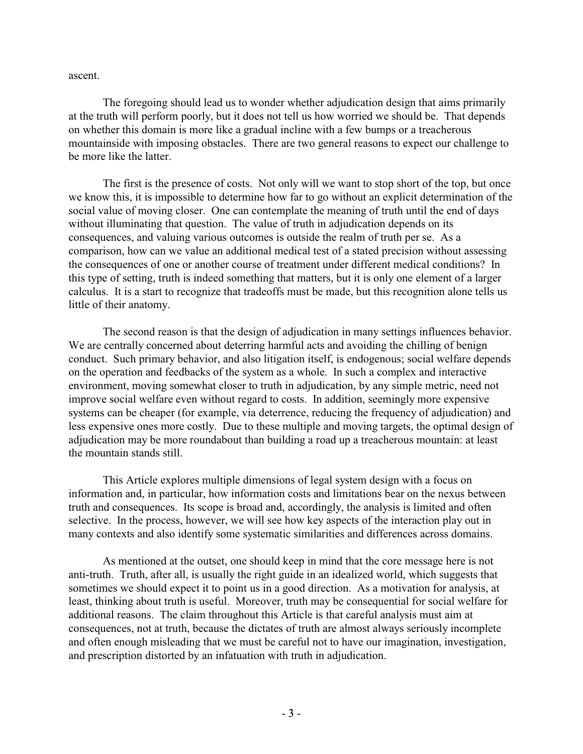ascent.

The foregoing should lead us to wonder whether adjudication design that aims primarily at the truth will perform poorly, but it does not tell us how worried we should be. That depends on whether this domain is more like a gradual incline with a few bumps or a treacherous mountainside with imposing obstacles. There are two general reasons to expect our challenge to be more like the latter.

The first is the presence of costs. Not only will we want to stop short of the top, but once we know this, it is impossible to determine how far to go without an explicit determination of the social value of moving closer. One can contemplate the meaning of truth until the end of days without illuminating that question. The value of truth in adjudication depends on its consequences, and valuing various outcomes is outside the realm of truth per se. As a comparison, how can we value an additional medical test of a stated precision without assessing the consequences of one or another course of treatment under different medical conditions? In this type of setting, truth is indeed something that matters, but it is only one element of a larger calculus. It is a start to recognize that tradeoffs must be made, but this recognition alone tells us little of their anatomy.

The second reason is that the design of adjudication in many settings influences behavior. We are centrally concerned about deterring harmful acts and avoiding the chilling of benign conduct. Such primary behavior, and also litigation itself, is endogenous; social welfare depends on the operation and feedbacks of the system as a whole. In such a complex and interactive environment, moving somewhat closer to truth in adjudication, by any simple metric, need not improve social welfare even without regard to costs. In addition, seemingly more expensive systems can be cheaper (for example, via deterrence, reducing the frequency of adjudication) and less expensive ones more costly. Due to these multiple and moving targets, the optimal design of adjudication may be more roundabout than building a road up a treacherous mountain: at least the mountain stands still.

This Article explores multiple dimensions of legal system design with a focus on information and, in particular, how information costs and limitations bear on the nexus between truth and consequences. Its scope is broad and, accordingly, the analysis is limited and often selective. In the process, however, we will see how key aspects of the interaction play out in many contexts and also identify some systematic similarities and differences across domains.

As mentioned at the outset, one should keep in mind that the core message here is not anti-truth. Truth, after all, is usually the right guide in an idealized world, which suggests that sometimes we should expect it to point us in a good direction. As a motivation for analysis, at least, thinking about truth is useful. Moreover, truth may be consequential for social welfare for additional reasons. The claim throughout this Article is that careful analysis must aim at consequences, not at truth, because the dictates of truth are almost always seriously incomplete and often enough misleading that we must be careful not to have our imagination, investigation, and prescription distorted by an infatuation with truth in adjudication.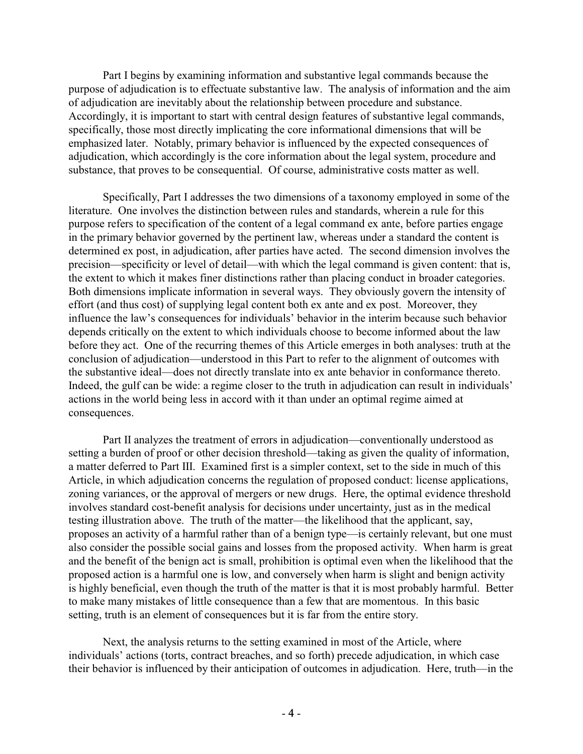Part I begins by examining information and substantive legal commands because the purpose of adjudication is to effectuate substantive law. The analysis of information and the aim of adjudication are inevitably about the relationship between procedure and substance. Accordingly, it is important to start with central design features of substantive legal commands, specifically, those most directly implicating the core informational dimensions that will be emphasized later. Notably, primary behavior is influenced by the expected consequences of adjudication, which accordingly is the core information about the legal system, procedure and substance, that proves to be consequential. Of course, administrative costs matter as well.

Specifically, Part I addresses the two dimensions of a taxonomy employed in some of the literature. One involves the distinction between rules and standards, wherein a rule for this purpose refers to specification of the content of a legal command ex ante, before parties engage in the primary behavior governed by the pertinent law, whereas under a standard the content is determined ex post, in adjudication, after parties have acted. The second dimension involves the precision—specificity or level of detail—with which the legal command is given content: that is, the extent to which it makes finer distinctions rather than placing conduct in broader categories. Both dimensions implicate information in several ways. They obviously govern the intensity of effort (and thus cost) of supplying legal content both ex ante and ex post. Moreover, they influence the law's consequences for individuals' behavior in the interim because such behavior depends critically on the extent to which individuals choose to become informed about the law before they act. One of the recurring themes of this Article emerges in both analyses: truth at the conclusion of adjudication—understood in this Part to refer to the alignment of outcomes with the substantive ideal—does not directly translate into ex ante behavior in conformance thereto. Indeed, the gulf can be wide: a regime closer to the truth in adjudication can result in individuals' actions in the world being less in accord with it than under an optimal regime aimed at consequences.

Part II analyzes the treatment of errors in adjudication—conventionally understood as setting a burden of proof or other decision threshold—taking as given the quality of information, a matter deferred to Part III. Examined first is a simpler context, set to the side in much of this Article, in which adjudication concerns the regulation of proposed conduct: license applications, zoning variances, or the approval of mergers or new drugs. Here, the optimal evidence threshold involves standard cost-benefit analysis for decisions under uncertainty, just as in the medical testing illustration above. The truth of the matter—the likelihood that the applicant, say, proposes an activity of a harmful rather than of a benign type—is certainly relevant, but one must also consider the possible social gains and losses from the proposed activity. When harm is great and the benefit of the benign act is small, prohibition is optimal even when the likelihood that the proposed action is a harmful one is low, and conversely when harm is slight and benign activity is highly beneficial, even though the truth of the matter is that it is most probably harmful. Better to make many mistakes of little consequence than a few that are momentous. In this basic setting, truth is an element of consequences but it is far from the entire story.

Next, the analysis returns to the setting examined in most of the Article, where individuals' actions (torts, contract breaches, and so forth) precede adjudication, in which case their behavior is influenced by their anticipation of outcomes in adjudication. Here, truth—in the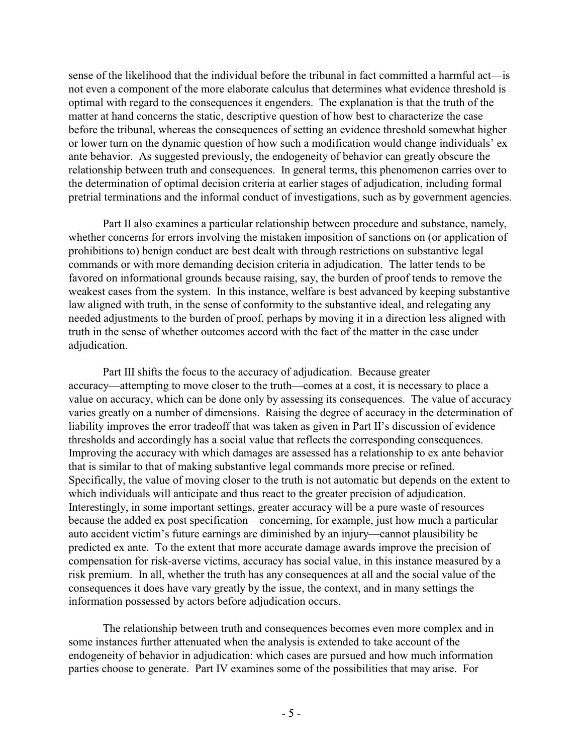sense of the likelihood that the individual before the tribunal in fact committed a harmful act—is not even a component of the more elaborate calculus that determines what evidence threshold is optimal with regard to the consequences it engenders. The explanation is that the truth of the matter at hand concerns the static, descriptive question of how best to characterize the case before the tribunal, whereas the consequences of setting an evidence threshold somewhat higher or lower turn on the dynamic question of how such a modification would change individuals' ex ante behavior. As suggested previously, the endogeneity of behavior can greatly obscure the relationship between truth and consequences. In general terms, this phenomenon carries over to the determination of optimal decision criteria at earlier stages of adjudication, including formal pretrial terminations and the informal conduct of investigations, such as by government agencies.

Part II also examines a particular relationship between procedure and substance, namely, whether concerns for errors involving the mistaken imposition of sanctions on (or application of prohibitions to) benign conduct are best dealt with through restrictions on substantive legal commands or with more demanding decision criteria in adjudication. The latter tends to be favored on informational grounds because raising, say, the burden of proof tends to remove the weakest cases from the system. In this instance, welfare is best advanced by keeping substantive law aligned with truth, in the sense of conformity to the substantive ideal, and relegating any needed adjustments to the burden of proof, perhaps by moving it in a direction less aligned with truth in the sense of whether outcomes accord with the fact of the matter in the case under adjudication.

Part III shifts the focus to the accuracy of adjudication. Because greater accuracy—attempting to move closer to the truth—comes at a cost, it is necessary to place a value on accuracy, which can be done only by assessing its consequences. The value of accuracy varies greatly on a number of dimensions. Raising the degree of accuracy in the determination of liability improves the error tradeoff that was taken as given in Part II's discussion of evidence thresholds and accordingly has a social value that reflects the corresponding consequences. Improving the accuracy with which damages are assessed has a relationship to ex ante behavior that is similar to that of making substantive legal commands more precise or refined. Specifically, the value of moving closer to the truth is not automatic but depends on the extent to which individuals will anticipate and thus react to the greater precision of adjudication. Interestingly, in some important settings, greater accuracy will be a pure waste of resources because the added ex post specification—concerning, for example, just how much a particular auto accident victim's future earnings are diminished by an injury—cannot plausibility be predicted ex ante. To the extent that more accurate damage awards improve the precision of compensation for risk-averse victims, accuracy has social value, in this instance measured by a risk premium. In all, whether the truth has any consequences at all and the social value of the consequences it does have vary greatly by the issue, the context, and in many settings the information possessed by actors before adjudication occurs.

The relationship between truth and consequences becomes even more complex and in some instances further attenuated when the analysis is extended to take account of the endogeneity of behavior in adjudication: which cases are pursued and how much information parties choose to generate. Part IV examines some of the possibilities that may arise. For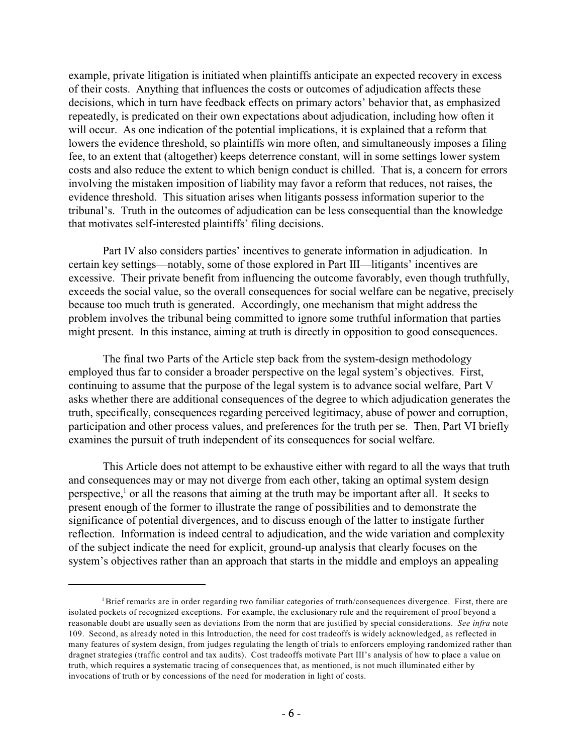example, private litigation is initiated when plaintiffs anticipate an expected recovery in excess of their costs. Anything that influences the costs or outcomes of adjudication affects these decisions, which in turn have feedback effects on primary actors' behavior that, as emphasized repeatedly, is predicated on their own expectations about adjudication, including how often it will occur. As one indication of the potential implications, it is explained that a reform that lowers the evidence threshold, so plaintiffs win more often, and simultaneously imposes a filing fee, to an extent that (altogether) keeps deterrence constant, will in some settings lower system costs and also reduce the extent to which benign conduct is chilled. That is, a concern for errors involving the mistaken imposition of liability may favor a reform that reduces, not raises, the evidence threshold. This situation arises when litigants possess information superior to the tribunal's. Truth in the outcomes of adjudication can be less consequential than the knowledge that motivates self-interested plaintiffs' filing decisions.

Part IV also considers parties' incentives to generate information in adjudication. In certain key settings—notably, some of those explored in Part III—litigants' incentives are excessive. Their private benefit from influencing the outcome favorably, even though truthfully, exceeds the social value, so the overall consequences for social welfare can be negative, precisely because too much truth is generated. Accordingly, one mechanism that might address the problem involves the tribunal being committed to ignore some truthful information that parties might present. In this instance, aiming at truth is directly in opposition to good consequences.

The final two Parts of the Article step back from the system-design methodology employed thus far to consider a broader perspective on the legal system's objectives. First, continuing to assume that the purpose of the legal system is to advance social welfare, Part V asks whether there are additional consequences of the degree to which adjudication generates the truth, specifically, consequences regarding perceived legitimacy, abuse of power and corruption, participation and other process values, and preferences for the truth per se. Then, Part VI briefly examines the pursuit of truth independent of its consequences for social welfare.

This Article does not attempt to be exhaustive either with regard to all the ways that truth and consequences may or may not diverge from each other, taking an optimal system design perspective, $\frac{1}{1}$  or all the reasons that aiming at the truth may be important after all. It seeks to present enough of the former to illustrate the range of possibilities and to demonstrate the significance of potential divergences, and to discuss enough of the latter to instigate further reflection. Information is indeed central to adjudication, and the wide variation and complexity of the subject indicate the need for explicit, ground-up analysis that clearly focuses on the system's objectives rather than an approach that starts in the middle and employs an appealing

Brief remarks are in order regarding two familiar categories of truth/consequences divergence. First, there are isolated pockets of recognized exceptions. For example, the exclusionary rule and the requirement of proof beyond a reasonable doubt are usually seen as deviations from the norm that are justified by special considerations. *See infra* note 109. Second, as already noted in this Introduction, the need for cost tradeoffs is widely acknowledged, as reflected in many features of system design, from judges regulating the length of trials to enforcers employing randomized rather than dragnet strategies (traffic control and tax audits). Cost tradeoffs motivate Part III's analysis of how to place a value on truth, which requires a systematic tracing of consequences that, as mentioned, is not much illuminated either by invocations of truth or by concessions of the need for moderation in light of costs.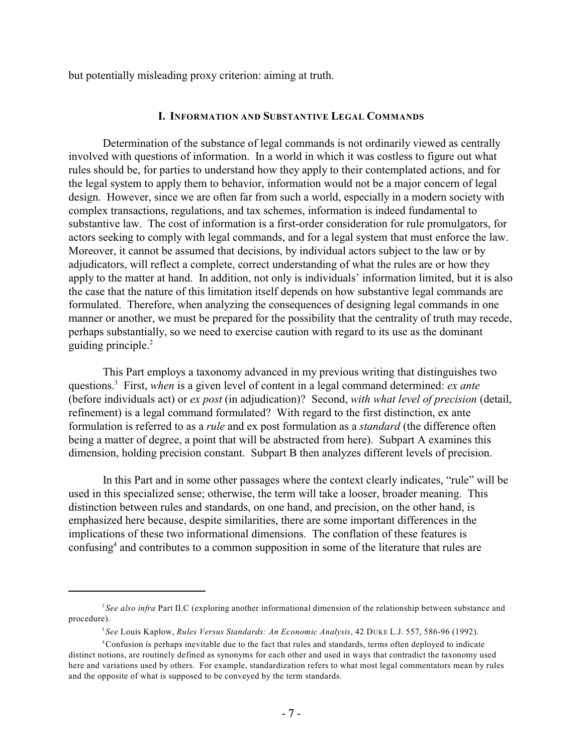but potentially misleading proxy criterion: aiming at truth.

#### **I. INFORMATION AND SUBSTANTIVE LEGAL COMMANDS**

Determination of the substance of legal commands is not ordinarily viewed as centrally involved with questions of information. In a world in which it was costless to figure out what rules should be, for parties to understand how they apply to their contemplated actions, and for the legal system to apply them to behavior, information would not be a major concern of legal design. However, since we are often far from such a world, especially in a modern society with complex transactions, regulations, and tax schemes, information is indeed fundamental to substantive law. The cost of information is a first-order consideration for rule promulgators, for actors seeking to comply with legal commands, and for a legal system that must enforce the law. Moreover, it cannot be assumed that decisions, by individual actors subject to the law or by adjudicators, will reflect a complete, correct understanding of what the rules are or how they apply to the matter at hand. In addition, not only is individuals' information limited, but it is also the case that the nature of this limitation itself depends on how substantive legal commands are formulated. Therefore, when analyzing the consequences of designing legal commands in one manner or another, we must be prepared for the possibility that the centrality of truth may recede, perhaps substantially, so we need to exercise caution with regard to its use as the dominant guiding principle.<sup>2</sup>

This Part employs a taxonomy advanced in my previous writing that distinguishes two questions.<sup>3</sup> First, *when* is a given level of content in a legal command determined: *ex ante* (before individuals act) or *ex post* (in adjudication)? Second, *with what level of precision* (detail, refinement) is a legal command formulated? With regard to the first distinction, ex ante formulation is referred to as a *rule* and ex post formulation as a *standard* (the difference often being a matter of degree, a point that will be abstracted from here). Subpart A examines this dimension, holding precision constant. Subpart B then analyzes different levels of precision.

In this Part and in some other passages where the context clearly indicates, "rule" will be used in this specialized sense; otherwise, the term will take a looser, broader meaning. This distinction between rules and standards, on one hand, and precision, on the other hand, is emphasized here because, despite similarities, there are some important differences in the implications of these two informational dimensions. The conflation of these features is confusing<sup>4</sup> and contributes to a common supposition in some of the literature that rules are

*See also infra* Part II.C (exploring another informational dimension of the relationship between substance and 2 procedure).

*See* Louis Kaplow, *Rules Versus Standards: An Economic Analysis*, 42 DUKE L.J. 557, 586-96 (1992). 3

<sup>&</sup>lt;sup>4</sup> Confusion is perhaps inevitable due to the fact that rules and standards, terms often deployed to indicate distinct notions, are routinely defined as synonyms for each other and used in ways that contradict the taxonomy used here and variations used by others. For example, standardization refers to what most legal commentators mean by rules and the opposite of what is supposed to be conveyed by the term standards.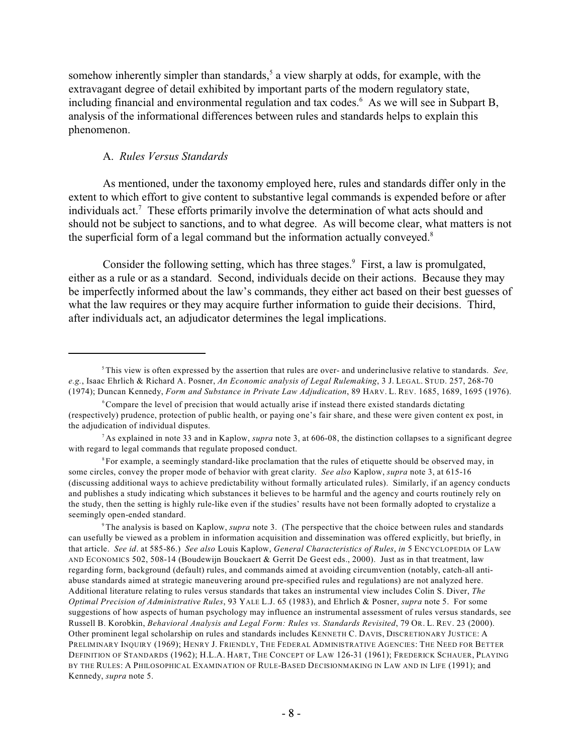somehow inherently simpler than standards, $<sup>5</sup>$  a view sharply at odds, for example, with the</sup> extravagant degree of detail exhibited by important parts of the modern regulatory state, including financial and environmental regulation and tax codes. $<sup>6</sup>$  As we will see in Subpart B,</sup> analysis of the informational differences between rules and standards helps to explain this phenomenon.

# A. *Rules Versus Standards*

As mentioned, under the taxonomy employed here, rules and standards differ only in the extent to which effort to give content to substantive legal commands is expended before or after individuals act.<sup> $7$ </sup> These efforts primarily involve the determination of what acts should and should not be subject to sanctions, and to what degree. As will become clear, what matters is not the superficial form of a legal command but the information actually conveyed.<sup>8</sup>

Consider the following setting, which has three stages.<sup>9</sup> First, a law is promulgated, either as a rule or as a standard. Second, individuals decide on their actions. Because they may be imperfectly informed about the law's commands, they either act based on their best guesses of what the law requires or they may acquire further information to guide their decisions. Third, after individuals act, an adjudicator determines the legal implications.

This view is often expressed by the assertion that rules are over- and underinclusive relative to standards. *See,* 5 *e.g.*, Isaac Ehrlich & Richard A. Posner, *An Economic analysis of Legal Rulemaking*, 3 J. LEGAL. STUD. 257, 268-70 (1974); Duncan Kennedy, *Form and Substance in Private Law Adjudication*, 89 HARV. L. REV. 1685, 1689, 1695 (1976).

<sup>&</sup>lt;sup>6</sup> Compare the level of precision that would actually arise if instead there existed standards dictating (respectively) prudence, protection of public health, or paying one's fair share, and these were given content ex post, in the adjudication of individual disputes.

<sup>&</sup>lt;sup>7</sup> As explained in note 33 and in Kaplow, *supra* note 3, at 606-08, the distinction collapses to a significant degree with regard to legal commands that regulate proposed conduct.

<sup>&</sup>lt;sup>8</sup> For example, a seemingly standard-like proclamation that the rules of etiquette should be observed may, in some circles, convey the proper mode of behavior with great clarity. *See also* Kaplow, *supra* note 3, at 615-16 (discussing additional ways to achieve predictability without formally articulated rules). Similarly, if an agency conducts and publishes a study indicating which substances it believes to be harmful and the agency and courts routinely rely on the study, then the setting is highly rule-like even if the studies' results have not been formally adopted to crystalize a seemingly open-ended standard.

The analysis is based on Kaplow, *supra* note 3. (The perspective that the choice between rules and standards can usefully be viewed as a problem in information acquisition and dissemination was offered explicitly, but briefly, in that article. *See id*. at 585-86.) *See also* Louis Kaplow, *General Characteristics of Rules*, *in* 5 ENCYCLOPEDIA OF LAW AND ECONOMICS 502, 508-14 (Boudewijn Bouckaert & Gerrit De Geest eds., 2000). Just as in that treatment, law regarding form, background (default) rules, and commands aimed at avoiding circumvention (notably, catch-all antiabuse standards aimed at strategic maneuvering around pre-specified rules and regulations) are not analyzed here. Additional literature relating to rules versus standards that takes an instrumental view includes Colin S. Diver, *The Optimal Precision of Administrative Rules*, 93 YALE L.J. 65 (1983), and Ehrlich & Posner, *supra* note 5. For some suggestions of how aspects of human psychology may influence an instrumental assessment of rules versus standards, see Russell B. Korobkin, *Behavioral Analysis and Legal Form: Rules vs. Standards Revisited*, 79 OR. L. REV. 23 (2000). Other prominent legal scholarship on rules and standards includes KENNETH C. DAVIS, DISCRETIONARY JUSTICE: A PRELIMINARY INQUIRY (1969); HENRY J. FRIENDLY, THE FEDERAL ADMINISTRATIVE AGENCIES: THE NEED FOR BETTER DEFINITION OF STANDARDS (1962); H.L.A. HART, THE CONCEPT OF LAW 126-31 (1961); FREDERICK SCHAUER, PLAYING BY THE RULES: A PHILOSOPHICAL EXAMINATION OF RULE-BASED DECISIONMAKING IN LAW AND IN LIFE (1991); and Kennedy, *supra* note 5.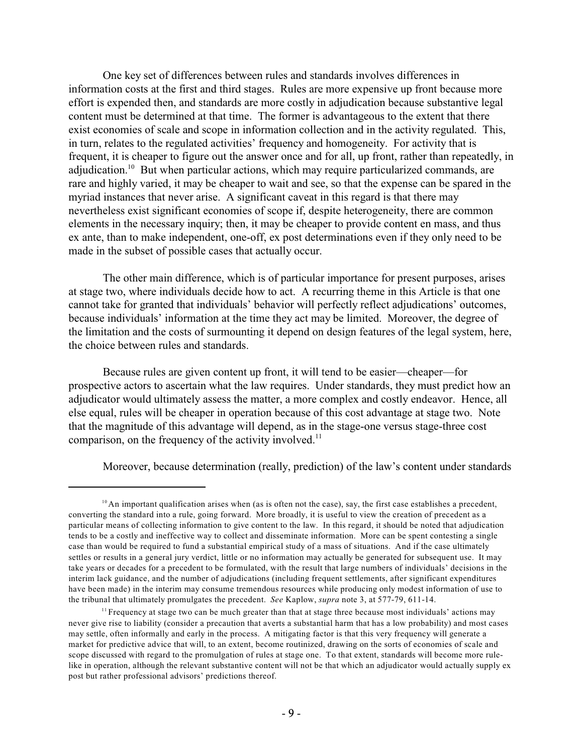One key set of differences between rules and standards involves differences in information costs at the first and third stages. Rules are more expensive up front because more effort is expended then, and standards are more costly in adjudication because substantive legal content must be determined at that time. The former is advantageous to the extent that there exist economies of scale and scope in information collection and in the activity regulated. This, in turn, relates to the regulated activities' frequency and homogeneity. For activity that is frequent, it is cheaper to figure out the answer once and for all, up front, rather than repeatedly, in adjudication.<sup>10</sup> But when particular actions, which may require particularized commands, are rare and highly varied, it may be cheaper to wait and see, so that the expense can be spared in the myriad instances that never arise. A significant caveat in this regard is that there may nevertheless exist significant economies of scope if, despite heterogeneity, there are common elements in the necessary inquiry; then, it may be cheaper to provide content en mass, and thus ex ante, than to make independent, one-off, ex post determinations even if they only need to be made in the subset of possible cases that actually occur.

The other main difference, which is of particular importance for present purposes, arises at stage two, where individuals decide how to act. A recurring theme in this Article is that one cannot take for granted that individuals' behavior will perfectly reflect adjudications' outcomes, because individuals' information at the time they act may be limited. Moreover, the degree of the limitation and the costs of surmounting it depend on design features of the legal system, here, the choice between rules and standards.

Because rules are given content up front, it will tend to be easier—cheaper—for prospective actors to ascertain what the law requires. Under standards, they must predict how an adjudicator would ultimately assess the matter, a more complex and costly endeavor. Hence, all else equal, rules will be cheaper in operation because of this cost advantage at stage two. Note that the magnitude of this advantage will depend, as in the stage-one versus stage-three cost comparison, on the frequency of the activity involved.<sup>11</sup>

Moreover, because determination (really, prediction) of the law's content under standards

 $^{10}$  An important qualification arises when (as is often not the case), say, the first case establishes a precedent, converting the standard into a rule, going forward. More broadly, it is useful to view the creation of precedent as a particular means of collecting information to give content to the law. In this regard, it should be noted that adjudication tends to be a costly and ineffective way to collect and disseminate information. More can be spent contesting a single case than would be required to fund a substantial empirical study of a mass of situations. And if the case ultimately settles or results in a general jury verdict, little or no information may actually be generated for subsequent use. It may take years or decades for a precedent to be formulated, with the result that large numbers of individuals' decisions in the interim lack guidance, and the number of adjudications (including frequent settlements, after significant expenditures have been made) in the interim may consume tremendous resources while producing only modest information of use to the tribunal that ultimately promulgates the precedent. *See* Kaplow, *supra* note 3, at 577-79, 611-14.

Frequency at stage two can be much greater than that at stage three because most individuals' actions may 11 never give rise to liability (consider a precaution that averts a substantial harm that has a low probability) and most cases may settle, often informally and early in the process. A mitigating factor is that this very frequency will generate a market for predictive advice that will, to an extent, become routinized, drawing on the sorts of economies of scale and scope discussed with regard to the promulgation of rules at stage one. To that extent, standards will become more rulelike in operation, although the relevant substantive content will not be that which an adjudicator would actually supply ex post but rather professional advisors' predictions thereof.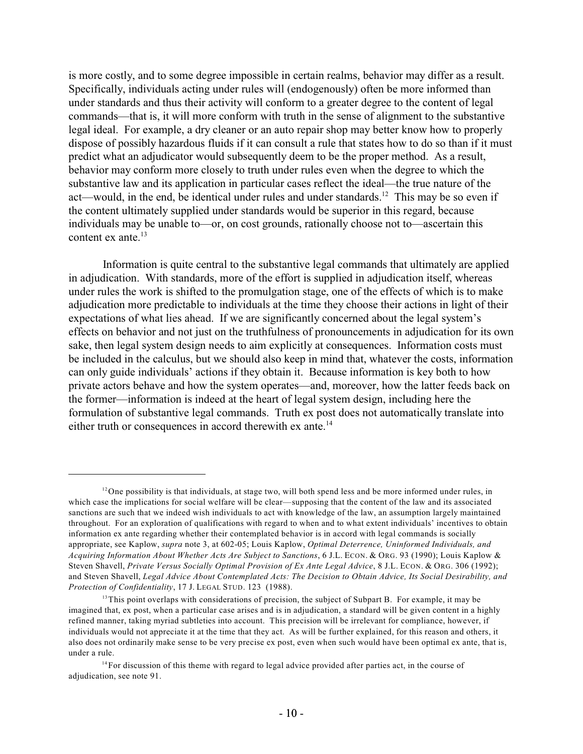is more costly, and to some degree impossible in certain realms, behavior may differ as a result. Specifically, individuals acting under rules will (endogenously) often be more informed than under standards and thus their activity will conform to a greater degree to the content of legal commands—that is, it will more conform with truth in the sense of alignment to the substantive legal ideal. For example, a dry cleaner or an auto repair shop may better know how to properly dispose of possibly hazardous fluids if it can consult a rule that states how to do so than if it must predict what an adjudicator would subsequently deem to be the proper method. As a result, behavior may conform more closely to truth under rules even when the degree to which the substantive law and its application in particular cases reflect the ideal—the true nature of the act—would, in the end, be identical under rules and under standards.<sup>12</sup> This may be so even if the content ultimately supplied under standards would be superior in this regard, because individuals may be unable to—or, on cost grounds, rationally choose not to—ascertain this content ex ante. $^{13}$ 

Information is quite central to the substantive legal commands that ultimately are applied in adjudication. With standards, more of the effort is supplied in adjudication itself, whereas under rules the work is shifted to the promulgation stage, one of the effects of which is to make adjudication more predictable to individuals at the time they choose their actions in light of their expectations of what lies ahead. If we are significantly concerned about the legal system's effects on behavior and not just on the truthfulness of pronouncements in adjudication for its own sake, then legal system design needs to aim explicitly at consequences. Information costs must be included in the calculus, but we should also keep in mind that, whatever the costs, information can only guide individuals' actions if they obtain it. Because information is key both to how private actors behave and how the system operates—and, moreover, how the latter feeds back on the former—information is indeed at the heart of legal system design, including here the formulation of substantive legal commands. Truth ex post does not automatically translate into either truth or consequences in accord therewith ex ante.<sup>14</sup>

 $12$ One possibility is that individuals, at stage two, will both spend less and be more informed under rules, in which case the implications for social welfare will be clear—supposing that the content of the law and its associated sanctions are such that we indeed wish individuals to act with knowledge of the law, an assumption largely maintained throughout. For an exploration of qualifications with regard to when and to what extent individuals' incentives to obtain information ex ante regarding whether their contemplated behavior is in accord with legal commands is socially appropriate, see Kaplow, *supra* note 3, at 602-05; Louis Kaplow, *Optimal Deterrence, Uninformed Individuals, and Acquiring Information About Whether Acts Are Subject to Sanctions*, 6 J.L. ECON. & ORG. 93 (1990); Louis Kaplow & Steven Shavell, *Private Versus Socially Optimal Provision of Ex Ante Legal Advice*, 8 J.L. ECON. & ORG. 306 (1992); and Steven Shavell, *Legal Advice About Contemplated Acts: The Decision to Obtain Advice, Its Social Desirability, and Protection of Confidentiality*, 17 J. LEGAL STUD. 123 (1988).

 $13$ This point overlaps with considerations of precision, the subject of Subpart B. For example, it may be imagined that, ex post, when a particular case arises and is in adjudication, a standard will be given content in a highly refined manner, taking myriad subtleties into account. This precision will be irrelevant for compliance, however, if individuals would not appreciate it at the time that they act. As will be further explained, for this reason and others, it also does not ordinarily make sense to be very precise ex post, even when such would have been optimal ex ante, that is, under a rule.

 $<sup>14</sup>$  For discussion of this theme with regard to legal advice provided after parties act, in the course of</sup> adjudication, see note 91.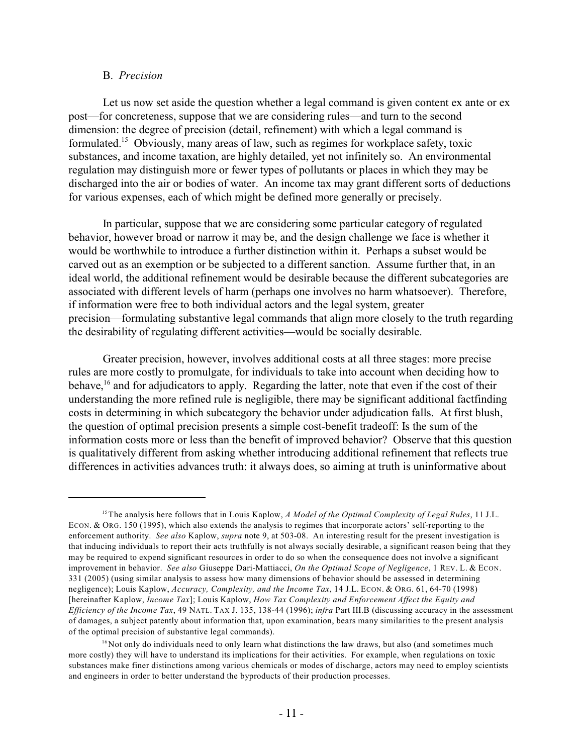#### B. *Precision*

Let us now set aside the question whether a legal command is given content ex ante or ex post—for concreteness, suppose that we are considering rules—and turn to the second dimension: the degree of precision (detail, refinement) with which a legal command is formulated.<sup>15</sup> Obviously, many areas of law, such as regimes for workplace safety, toxic substances, and income taxation, are highly detailed, yet not infinitely so. An environmental regulation may distinguish more or fewer types of pollutants or places in which they may be discharged into the air or bodies of water. An income tax may grant different sorts of deductions for various expenses, each of which might be defined more generally or precisely.

In particular, suppose that we are considering some particular category of regulated behavior, however broad or narrow it may be, and the design challenge we face is whether it would be worthwhile to introduce a further distinction within it. Perhaps a subset would be carved out as an exemption or be subjected to a different sanction. Assume further that, in an ideal world, the additional refinement would be desirable because the different subcategories are associated with different levels of harm (perhaps one involves no harm whatsoever). Therefore, if information were free to both individual actors and the legal system, greater precision—formulating substantive legal commands that align more closely to the truth regarding the desirability of regulating different activities—would be socially desirable.

Greater precision, however, involves additional costs at all three stages: more precise rules are more costly to promulgate, for individuals to take into account when deciding how to behave, <sup>16</sup> and for adjudicators to apply. Regarding the latter, note that even if the cost of their understanding the more refined rule is negligible, there may be significant additional factfinding costs in determining in which subcategory the behavior under adjudication falls. At first blush, the question of optimal precision presents a simple cost-benefit tradeoff: Is the sum of the information costs more or less than the benefit of improved behavior? Observe that this question is qualitatively different from asking whether introducing additional refinement that reflects true differences in activities advances truth: it always does, so aiming at truth is uninformative about

The analysis here follows that in Louis Kaplow, *A Model of the Optimal Complexity of Legal Rules*, 11 J.L. 15 ECON. & ORG. 150 (1995), which also extends the analysis to regimes that incorporate actors' self-reporting to the enforcement authority. *See also* Kaplow, *supra* note 9, at 503-08. An interesting result for the present investigation is that inducing individuals to report their acts truthfully is not always socially desirable, a significant reason being that they may be required to expend significant resources in order to do so when the consequence does not involve a significant improvement in behavior. *See also* Giuseppe Dari-Mattiacci, *On the Optimal Scope of Negligence*, 1 REV. L. & ECON. 331 (2005) (using similar analysis to assess how many dimensions of behavior should be assessed in determining negligence); Louis Kaplow, *Accuracy, Complexity, and the Income Tax*, 14 J.L. ECON. & ORG. 61, 64-70 (1998) [hereinafter Kaplow, *Income Tax*]; Louis Kaplow, *How Tax Complexity and Enforcement Affect the Equity and Efficiency of the Income Tax*, 49 NATL. TAX J. 135, 138-44 (1996); *infra* Part III.B (discussing accuracy in the assessment of damages, a subject patently about information that, upon examination, bears many similarities to the present analysis of the optimal precision of substantive legal commands).

 $16$  Not only do individuals need to only learn what distinctions the law draws, but also (and sometimes much more costly) they will have to understand its implications for their activities. For example, when regulations on toxic substances make finer distinctions among various chemicals or modes of discharge, actors may need to employ scientists and engineers in order to better understand the byproducts of their production processes.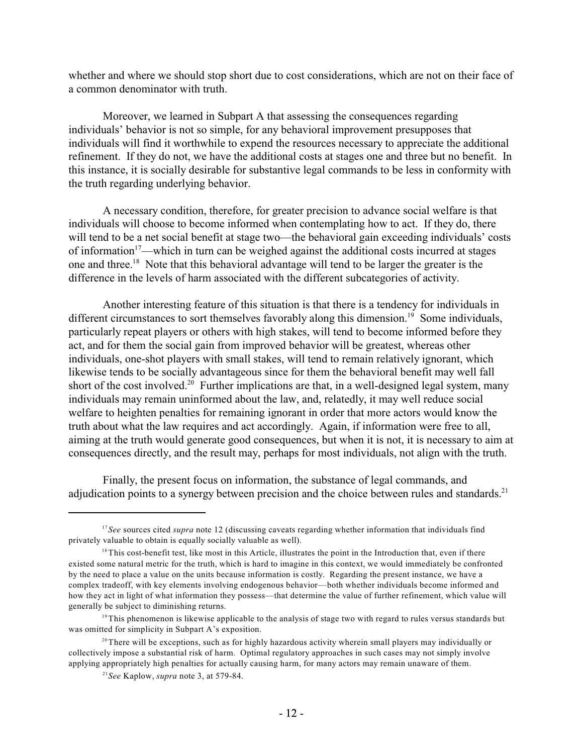whether and where we should stop short due to cost considerations, which are not on their face of a common denominator with truth.

Moreover, we learned in Subpart A that assessing the consequences regarding individuals' behavior is not so simple, for any behavioral improvement presupposes that individuals will find it worthwhile to expend the resources necessary to appreciate the additional refinement. If they do not, we have the additional costs at stages one and three but no benefit. In this instance, it is socially desirable for substantive legal commands to be less in conformity with the truth regarding underlying behavior.

A necessary condition, therefore, for greater precision to advance social welfare is that individuals will choose to become informed when contemplating how to act. If they do, there will tend to be a net social benefit at stage two—the behavioral gain exceeding individuals' costs of information<sup> $17$ </sup>—which in turn can be weighed against the additional costs incurred at stages one and three.<sup>18</sup> Note that this behavioral advantage will tend to be larger the greater is the difference in the levels of harm associated with the different subcategories of activity.

Another interesting feature of this situation is that there is a tendency for individuals in different circumstances to sort themselves favorably along this dimension.<sup>19</sup> Some individuals, particularly repeat players or others with high stakes, will tend to become informed before they act, and for them the social gain from improved behavior will be greatest, whereas other individuals, one-shot players with small stakes, will tend to remain relatively ignorant, which likewise tends to be socially advantageous since for them the behavioral benefit may well fall short of the cost involved.<sup>20</sup> Further implications are that, in a well-designed legal system, many individuals may remain uninformed about the law, and, relatedly, it may well reduce social welfare to heighten penalties for remaining ignorant in order that more actors would know the truth about what the law requires and act accordingly. Again, if information were free to all, aiming at the truth would generate good consequences, but when it is not, it is necessary to aim at consequences directly, and the result may, perhaps for most individuals, not align with the truth.

Finally, the present focus on information, the substance of legal commands, and adjudication points to a synergy between precision and the choice between rules and standards.<sup>21</sup>

<sup>&</sup>lt;sup>17</sup>See sources cited *supra* note 12 (discussing caveats regarding whether information that individuals find privately valuable to obtain is equally socially valuable as well).

 $18$ This cost-benefit test, like most in this Article, illustrates the point in the Introduction that, even if there existed some natural metric for the truth, which is hard to imagine in this context, we would immediately be confronted by the need to place a value on the units because information is costly. Regarding the present instance, we have a complex tradeoff, with key elements involving endogenous behavior—both whether individuals become informed and how they act in light of what information they possess—that determine the value of further refinement, which value will generally be subject to diminishing returns.

 $19$ This phenomenon is likewise applicable to the analysis of stage two with regard to rules versus standards but was omitted for simplicity in Subpart A's exposition.

 $2<sup>20</sup>$  There will be exceptions, such as for highly hazardous activity wherein small players may individually or collectively impose a substantial risk of harm. Optimal regulatory approaches in such cases may not simply involve applying appropriately high penalties for actually causing harm, for many actors may remain unaware of them.

*See* Kaplow, *supra* note 3, at 579-84. 21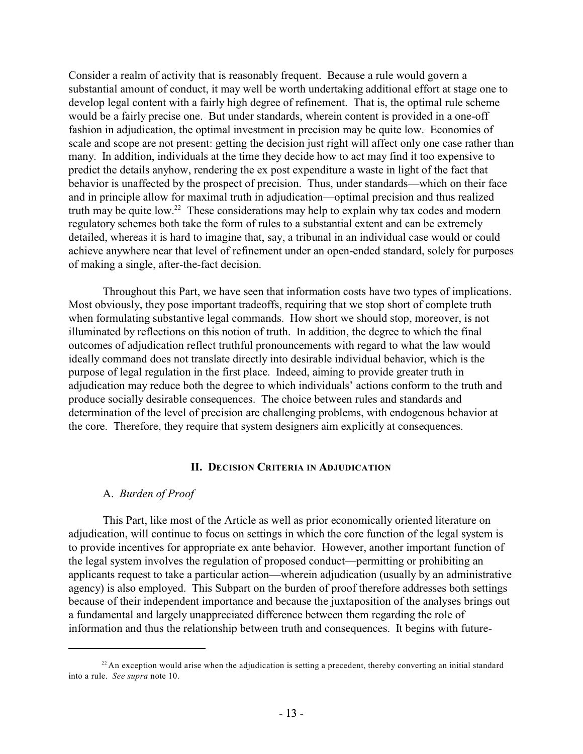Consider a realm of activity that is reasonably frequent. Because a rule would govern a substantial amount of conduct, it may well be worth undertaking additional effort at stage one to develop legal content with a fairly high degree of refinement. That is, the optimal rule scheme would be a fairly precise one. But under standards, wherein content is provided in a one-off fashion in adjudication, the optimal investment in precision may be quite low. Economies of scale and scope are not present: getting the decision just right will affect only one case rather than many. In addition, individuals at the time they decide how to act may find it too expensive to predict the details anyhow, rendering the ex post expenditure a waste in light of the fact that behavior is unaffected by the prospect of precision. Thus, under standards—which on their face and in principle allow for maximal truth in adjudication—optimal precision and thus realized truth may be quite low.<sup>22</sup> These considerations may help to explain why tax codes and modern regulatory schemes both take the form of rules to a substantial extent and can be extremely detailed, whereas it is hard to imagine that, say, a tribunal in an individual case would or could achieve anywhere near that level of refinement under an open-ended standard, solely for purposes of making a single, after-the-fact decision.

Throughout this Part, we have seen that information costs have two types of implications. Most obviously, they pose important tradeoffs, requiring that we stop short of complete truth when formulating substantive legal commands. How short we should stop, moreover, is not illuminated by reflections on this notion of truth. In addition, the degree to which the final outcomes of adjudication reflect truthful pronouncements with regard to what the law would ideally command does not translate directly into desirable individual behavior, which is the purpose of legal regulation in the first place. Indeed, aiming to provide greater truth in adjudication may reduce both the degree to which individuals' actions conform to the truth and produce socially desirable consequences. The choice between rules and standards and determination of the level of precision are challenging problems, with endogenous behavior at the core. Therefore, they require that system designers aim explicitly at consequences.

# **II. DECISION CRITERIA IN ADJUDICATION**

#### A. *Burden of Proof*

This Part, like most of the Article as well as prior economically oriented literature on adjudication, will continue to focus on settings in which the core function of the legal system is to provide incentives for appropriate ex ante behavior. However, another important function of the legal system involves the regulation of proposed conduct—permitting or prohibiting an applicants request to take a particular action—wherein adjudication (usually by an administrative agency) is also employed. This Subpart on the burden of proof therefore addresses both settings because of their independent importance and because the juxtaposition of the analyses brings out a fundamental and largely unappreciated difference between them regarding the role of information and thus the relationship between truth and consequences. It begins with future-

 $2<sup>22</sup>$  An exception would arise when the adjudication is setting a precedent, thereby converting an initial standard into a rule. *See supra* note 10.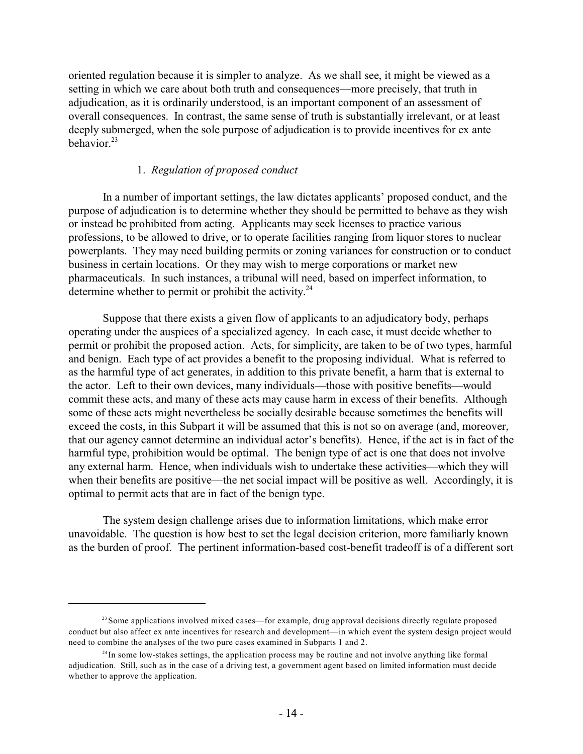oriented regulation because it is simpler to analyze. As we shall see, it might be viewed as a setting in which we care about both truth and consequences—more precisely, that truth in adjudication, as it is ordinarily understood, is an important component of an assessment of overall consequences. In contrast, the same sense of truth is substantially irrelevant, or at least deeply submerged, when the sole purpose of adjudication is to provide incentives for ex ante behavior. 23

# 1. *Regulation of proposed conduct*

In a number of important settings, the law dictates applicants' proposed conduct, and the purpose of adjudication is to determine whether they should be permitted to behave as they wish or instead be prohibited from acting. Applicants may seek licenses to practice various professions, to be allowed to drive, or to operate facilities ranging from liquor stores to nuclear powerplants. They may need building permits or zoning variances for construction or to conduct business in certain locations. Or they may wish to merge corporations or market new pharmaceuticals. In such instances, a tribunal will need, based on imperfect information, to determine whether to permit or prohibit the activity.<sup>24</sup>

Suppose that there exists a given flow of applicants to an adjudicatory body, perhaps operating under the auspices of a specialized agency. In each case, it must decide whether to permit or prohibit the proposed action. Acts, for simplicity, are taken to be of two types, harmful and benign. Each type of act provides a benefit to the proposing individual. What is referred to as the harmful type of act generates, in addition to this private benefit, a harm that is external to the actor. Left to their own devices, many individuals—those with positive benefits—would commit these acts, and many of these acts may cause harm in excess of their benefits. Although some of these acts might nevertheless be socially desirable because sometimes the benefits will exceed the costs, in this Subpart it will be assumed that this is not so on average (and, moreover, that our agency cannot determine an individual actor's benefits). Hence, if the act is in fact of the harmful type, prohibition would be optimal. The benign type of act is one that does not involve any external harm. Hence, when individuals wish to undertake these activities—which they will when their benefits are positive—the net social impact will be positive as well. Accordingly, it is optimal to permit acts that are in fact of the benign type.

The system design challenge arises due to information limitations, which make error unavoidable. The question is how best to set the legal decision criterion, more familiarly known as the burden of proof. The pertinent information-based cost-benefit tradeoff is of a different sort

<sup>&</sup>lt;sup>23</sup> Some applications involved mixed cases—for example, drug approval decisions directly regulate proposed conduct but also affect ex ante incentives for research and development—in which event the system design project would need to combine the analyses of the two pure cases examined in Subparts 1 and 2.

 $2<sup>4</sup>$ In some low-stakes settings, the application process may be routine and not involve anything like formal adjudication. Still, such as in the case of a driving test, a government agent based on limited information must decide whether to approve the application.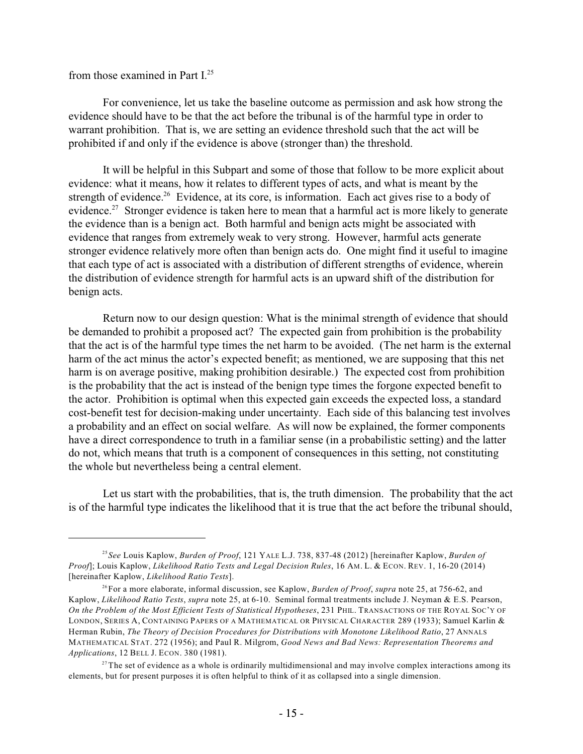# from those examined in Part I. 25

For convenience, let us take the baseline outcome as permission and ask how strong the evidence should have to be that the act before the tribunal is of the harmful type in order to warrant prohibition. That is, we are setting an evidence threshold such that the act will be prohibited if and only if the evidence is above (stronger than) the threshold.

It will be helpful in this Subpart and some of those that follow to be more explicit about evidence: what it means, how it relates to different types of acts, and what is meant by the strength of evidence.<sup>26</sup> Evidence, at its core, is information. Each act gives rise to a body of evidence.<sup>27</sup> Stronger evidence is taken here to mean that a harmful act is more likely to generate the evidence than is a benign act. Both harmful and benign acts might be associated with evidence that ranges from extremely weak to very strong. However, harmful acts generate stronger evidence relatively more often than benign acts do. One might find it useful to imagine that each type of act is associated with a distribution of different strengths of evidence, wherein the distribution of evidence strength for harmful acts is an upward shift of the distribution for benign acts.

Return now to our design question: What is the minimal strength of evidence that should be demanded to prohibit a proposed act? The expected gain from prohibition is the probability that the act is of the harmful type times the net harm to be avoided. (The net harm is the external harm of the act minus the actor's expected benefit; as mentioned, we are supposing that this net harm is on average positive, making prohibition desirable.) The expected cost from prohibition is the probability that the act is instead of the benign type times the forgone expected benefit to the actor. Prohibition is optimal when this expected gain exceeds the expected loss, a standard cost-benefit test for decision-making under uncertainty. Each side of this balancing test involves a probability and an effect on social welfare. As will now be explained, the former components have a direct correspondence to truth in a familiar sense (in a probabilistic setting) and the latter do not, which means that truth is a component of consequences in this setting, not constituting the whole but nevertheless being a central element.

Let us start with the probabilities, that is, the truth dimension. The probability that the act is of the harmful type indicates the likelihood that it is true that the act before the tribunal should,

*See* Louis Kaplow, *Burden of Proof*, 121 YALE L.J. 738, 837-48 (2012) [hereinafter Kaplow, *Burden of* 25 *Proof*]; Louis Kaplow, *Likelihood Ratio Tests and Legal Decision Rules*, 16 AM. L. & ECON. REV. 1, 16-20 (2014) [hereinafter Kaplow, *Likelihood Ratio Tests*].

<sup>&</sup>lt;sup>26</sup> For a more elaborate, informal discussion, see Kaplow, *Burden of Proof, supra* note 25, at 756-62, and Kaplow, *Likelihood Ratio Tests*, *supra* note 25, at 6-10. Seminal formal treatments include J. Neyman & E.S. Pearson, *On the Problem of the Most Efficient Tests of Statistical Hypotheses*, 231 PHIL. TRANSACTIONS OF THE ROYAL SOC'Y OF LONDON, SERIES A, CONTAINING PAPERS OF A MATHEMATICAL OR PHYSICAL CHARACTER 289 (1933); Samuel Karlin & Herman Rubin, *The Theory of Decision Procedures for Distributions with Monotone Likelihood Ratio*, 27 ANNALS MATHEMATICAL STAT. 272 (1956); and Paul R. Milgrom, *Good News and Bad News: Representation Theorems and Applications*, 12 BELL J. ECON. 380 (1981).

 $2<sup>27</sup>$ The set of evidence as a whole is ordinarily multidimensional and may involve complex interactions among its elements, but for present purposes it is often helpful to think of it as collapsed into a single dimension.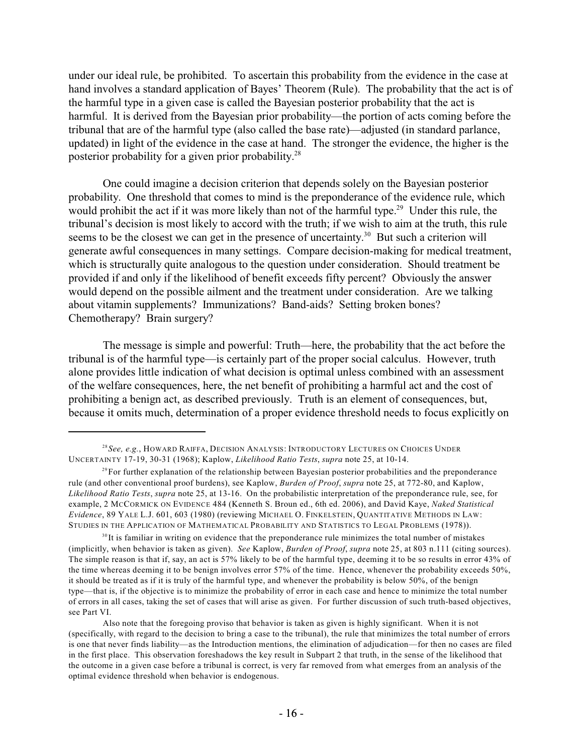under our ideal rule, be prohibited. To ascertain this probability from the evidence in the case at hand involves a standard application of Bayes' Theorem (Rule). The probability that the act is of the harmful type in a given case is called the Bayesian posterior probability that the act is harmful. It is derived from the Bayesian prior probability—the portion of acts coming before the tribunal that are of the harmful type (also called the base rate)—adjusted (in standard parlance, updated) in light of the evidence in the case at hand. The stronger the evidence, the higher is the posterior probability for a given prior probability.<sup>28</sup>

One could imagine a decision criterion that depends solely on the Bayesian posterior probability. One threshold that comes to mind is the preponderance of the evidence rule, which would prohibit the act if it was more likely than not of the harmful type.<sup>29</sup> Under this rule, the tribunal's decision is most likely to accord with the truth; if we wish to aim at the truth, this rule seems to be the closest we can get in the presence of uncertainty.<sup>30</sup> But such a criterion will generate awful consequences in many settings. Compare decision-making for medical treatment, which is structurally quite analogous to the question under consideration. Should treatment be provided if and only if the likelihood of benefit exceeds fifty percent? Obviously the answer would depend on the possible ailment and the treatment under consideration. Are we talking about vitamin supplements? Immunizations? Band-aids? Setting broken bones? Chemotherapy? Brain surgery?

The message is simple and powerful: Truth—here, the probability that the act before the tribunal is of the harmful type—is certainly part of the proper social calculus. However, truth alone provides little indication of what decision is optimal unless combined with an assessment of the welfare consequences, here, the net benefit of prohibiting a harmful act and the cost of prohibiting a benign act, as described previously. Truth is an element of consequences, but, because it omits much, determination of a proper evidence threshold needs to focus explicitly on

*See, e.g.*, HOWARD RAIFFA, DECISION ANALYSIS: INTRODUCTORY LECTURES ON CHOICES UNDER 28 UNCERTAINTY 17-19, 30-31 (1968); Kaplow, *Likelihood Ratio Tests*, *supra* note 25, at 10-14.

 $^{29}$  For further explanation of the relationship between Bayesian posterior probabilities and the preponderance rule (and other conventional proof burdens), see Kaplow, *Burden of Proof*, *supra* note 25, at 772-80, and Kaplow, *Likelihood Ratio Tests*, *supra* note 25, at 13-16. On the probabilistic interpretation of the preponderance rule, see, for example, 2 MCCORMICK ON EVIDENCE 484 (Kenneth S. Broun ed., 6th ed. 2006), and David Kaye, *Naked Statistical Evidence*, 89 YALE L.J. 601, 603 (1980) (reviewing MICHAEL O. FINKELSTEIN, QUANTITATIVE METHODS IN LAW: STUDIES IN THE APPLICATION OF MATHEMATICAL PROBABILITY AND STATISTICS TO LEGAL PROBLEMS (1978)).

 $10^{30}$  It is familiar in writing on evidence that the preponderance rule minimizes the total number of mistakes (implicitly, when behavior is taken as given). *See* Kaplow, *Burden of Proof*, *supra* note 25, at 803 n.111 (citing sources). The simple reason is that if, say, an act is 57% likely to be of the harmful type, deeming it to be so results in error 43% of the time whereas deeming it to be benign involves error 57% of the time. Hence, whenever the probability exceeds 50%, it should be treated as if it is truly of the harmful type, and whenever the probability is below 50%, of the benign type—that is, if the objective is to minimize the probability of error in each case and hence to minimize the total number of errors in all cases, taking the set of cases that will arise as given. For further discussion of such truth-based objectives, see Part VI.

Also note that the foregoing proviso that behavior is taken as given is highly significant. When it is not (specifically, with regard to the decision to bring a case to the tribunal), the rule that minimizes the total number of errors is one that never finds liability—as the Introduction mentions, the elimination of adjudication—for then no cases are filed in the first place. This observation foreshadows the key result in Subpart 2 that truth, in the sense of the likelihood that the outcome in a given case before a tribunal is correct, is very far removed from what emerges from an analysis of the optimal evidence threshold when behavior is endogenous.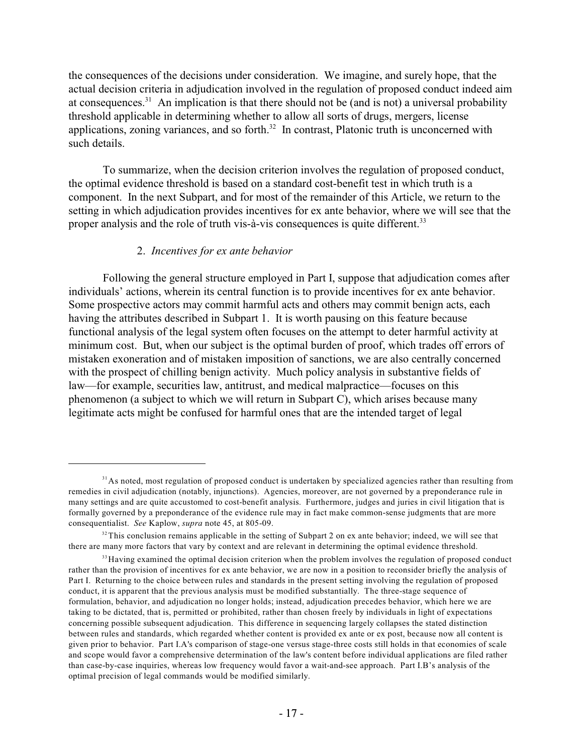the consequences of the decisions under consideration. We imagine, and surely hope, that the actual decision criteria in adjudication involved in the regulation of proposed conduct indeed aim at consequences.<sup>31</sup> An implication is that there should not be (and is not) a universal probability threshold applicable in determining whether to allow all sorts of drugs, mergers, license applications, zoning variances, and so forth. $32$  In contrast, Platonic truth is unconcerned with such details.

To summarize, when the decision criterion involves the regulation of proposed conduct, the optimal evidence threshold is based on a standard cost-benefit test in which truth is a component. In the next Subpart, and for most of the remainder of this Article, we return to the setting in which adjudication provides incentives for ex ante behavior, where we will see that the proper analysis and the role of truth vis-à-vis consequences is quite different.<sup>33</sup>

# 2. *Incentives for ex ante behavior*

Following the general structure employed in Part I, suppose that adjudication comes after individuals' actions, wherein its central function is to provide incentives for ex ante behavior. Some prospective actors may commit harmful acts and others may commit benign acts, each having the attributes described in Subpart 1. It is worth pausing on this feature because functional analysis of the legal system often focuses on the attempt to deter harmful activity at minimum cost. But, when our subject is the optimal burden of proof, which trades off errors of mistaken exoneration and of mistaken imposition of sanctions, we are also centrally concerned with the prospect of chilling benign activity. Much policy analysis in substantive fields of law—for example, securities law, antitrust, and medical malpractice—focuses on this phenomenon (a subject to which we will return in Subpart C), which arises because many legitimate acts might be confused for harmful ones that are the intended target of legal

<sup>&</sup>lt;sup>31</sup> As noted, most regulation of proposed conduct is undertaken by specialized agencies rather than resulting from remedies in civil adjudication (notably, injunctions). Agencies, moreover, are not governed by a preponderance rule in many settings and are quite accustomed to cost-benefit analysis. Furthermore, judges and juries in civil litigation that is formally governed by a preponderance of the evidence rule may in fact make common-sense judgments that are more consequentialist. *See* Kaplow, *supra* note 45, at 805-09.

 $32$  This conclusion remains applicable in the setting of Subpart 2 on ex ante behavior; indeed, we will see that there are many more factors that vary by context and are relevant in determining the optimal evidence threshold.

<sup>&</sup>lt;sup>33</sup> Having examined the optimal decision criterion when the problem involves the regulation of proposed conduct rather than the provision of incentives for ex ante behavior, we are now in a position to reconsider briefly the analysis of Part I. Returning to the choice between rules and standards in the present setting involving the regulation of proposed conduct, it is apparent that the previous analysis must be modified substantially. The three-stage sequence of formulation, behavior, and adjudication no longer holds; instead, adjudication precedes behavior, which here we are taking to be dictated, that is, permitted or prohibited, rather than chosen freely by individuals in light of expectations concerning possible subsequent adjudication. This difference in sequencing largely collapses the stated distinction between rules and standards, which regarded whether content is provided ex ante or ex post, because now all content is given prior to behavior. Part I.A's comparison of stage-one versus stage-three costs still holds in that economies of scale and scope would favor a comprehensive determination of the law's content before individual applications are filed rather than case-by-case inquiries, whereas low frequency would favor a wait-and-see approach. Part I.B's analysis of the optimal precision of legal commands would be modified similarly.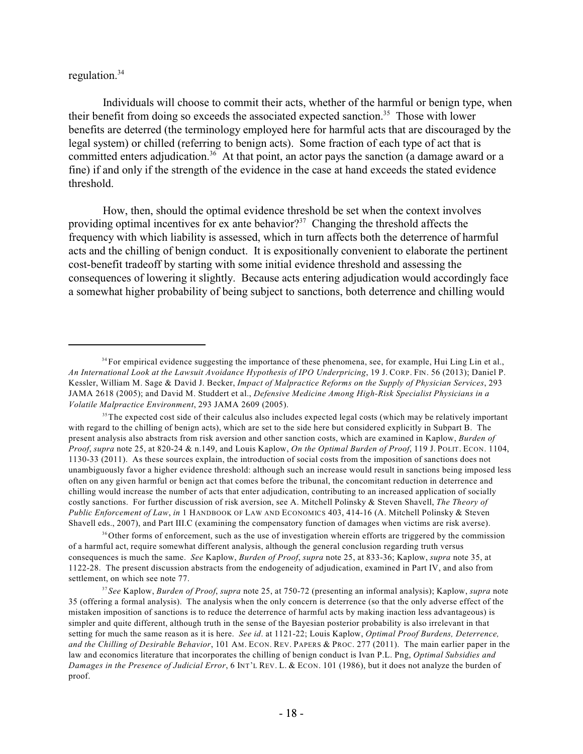# regulation.<sup>34</sup>

Individuals will choose to commit their acts, whether of the harmful or benign type, when their benefit from doing so exceeds the associated expected sanction.<sup>35</sup> Those with lower benefits are deterred (the terminology employed here for harmful acts that are discouraged by the legal system) or chilled (referring to benign acts). Some fraction of each type of act that is committed enters adjudication.<sup>36</sup> At that point, an actor pays the sanction (a damage award or a fine) if and only if the strength of the evidence in the case at hand exceeds the stated evidence threshold.

How, then, should the optimal evidence threshold be set when the context involves providing optimal incentives for ex ante behavior?<sup>37</sup> Changing the threshold affects the frequency with which liability is assessed, which in turn affects both the deterrence of harmful acts and the chilling of benign conduct. It is expositionally convenient to elaborate the pertinent cost-benefit tradeoff by starting with some initial evidence threshold and assessing the consequences of lowering it slightly. Because acts entering adjudication would accordingly face a somewhat higher probability of being subject to sanctions, both deterrence and chilling would

<sup>35</sup>The expected cost side of their calculus also includes expected legal costs (which may be relatively important with regard to the chilling of benign acts), which are set to the side here but considered explicitly in Subpart B. The present analysis also abstracts from risk aversion and other sanction costs, which are examined in Kaplow, *Burden of Proof*, *supra* note 25, at 820-24 & n.149, and Louis Kaplow, *On the Optimal Burden of Proof*, 119 J. POLIT. ECON. 1104, 1130-33 (2011). As these sources explain, the introduction of social costs from the imposition of sanctions does not unambiguously favor a higher evidence threshold: although such an increase would result in sanctions being imposed less often on any given harmful or benign act that comes before the tribunal, the concomitant reduction in deterrence and chilling would increase the number of acts that enter adjudication, contributing to an increased application of socially costly sanctions. For further discussion of risk aversion, see A. Mitchell Polinsky & Steven Shavell, *The Theory of Public Enforcement of Law*, *in* 1 HANDBOOK OF LAW AND ECONOMICS 403, 414-16 (A. Mitchell Polinsky & Steven Shavell eds., 2007), and Part III.C (examining the compensatory function of damages when victims are risk averse).

<sup>36</sup>Other forms of enforcement, such as the use of investigation wherein efforts are triggered by the commission of a harmful act, require somewhat different analysis, although the general conclusion regarding truth versus consequences is much the same. *See* Kaplow, *Burden of Proof*, *supra* note 25, at 833-36; Kaplow, *supra* note 35, at 1122-28. The present discussion abstracts from the endogeneity of adjudication, examined in Part IV, and also from settlement, on which see note 77.

*See* Kaplow, *Burden of Proof*, *supra* note 25, at 750-72 (presenting an informal analysis); Kaplow, *supra* note 37 35 (offering a formal analysis). The analysis when the only concern is deterrence (so that the only adverse effect of the mistaken imposition of sanctions is to reduce the deterrence of harmful acts by making inaction less advantageous) is simpler and quite different, although truth in the sense of the Bayesian posterior probability is also irrelevant in that setting for much the same reason as it is here. *See id*. at 1121-22; Louis Kaplow, *Optimal Proof Burdens, Deterrence, and the Chilling of Desirable Behavior*, 101 AM. ECON. REV. PAPERS & PROC. 277 (2011). The main earlier paper in the law and economics literature that incorporates the chilling of benign conduct is Ivan P.L. Png, *Optimal Subsidies and Damages in the Presence of Judicial Error*, 6 INT'L REV. L. & ECON. 101 (1986), but it does not analyze the burden of proof.

<sup>&</sup>lt;sup>34</sup> For empirical evidence suggesting the importance of these phenomena, see, for example, Hui Ling Lin et al., *An International Look at the Lawsuit Avoidance Hypothesis of IPO Underpricing*, 19 J. CORP. FIN. 56 (2013); Daniel P. Kessler, William M. Sage & David J. Becker, *Impact of Malpractice Reforms on the Supply of Physician Services*, 293 JAMA 2618 (2005); and David M. Studdert et al., *Defensive Medicine Among High-Risk Specialist Physicians in a Volatile Malpractice Environment*, 293 JAMA 2609 (2005).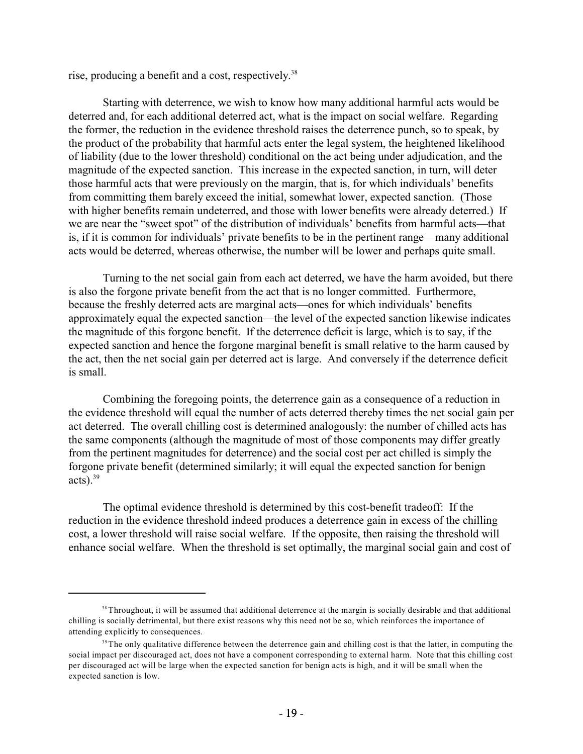rise, producing a benefit and a cost, respectively.<sup>38</sup>

Starting with deterrence, we wish to know how many additional harmful acts would be deterred and, for each additional deterred act, what is the impact on social welfare. Regarding the former, the reduction in the evidence threshold raises the deterrence punch, so to speak, by the product of the probability that harmful acts enter the legal system, the heightened likelihood of liability (due to the lower threshold) conditional on the act being under adjudication, and the magnitude of the expected sanction. This increase in the expected sanction, in turn, will deter those harmful acts that were previously on the margin, that is, for which individuals' benefits from committing them barely exceed the initial, somewhat lower, expected sanction. (Those with higher benefits remain undeterred, and those with lower benefits were already deterred.) If we are near the "sweet spot" of the distribution of individuals' benefits from harmful acts—that is, if it is common for individuals' private benefits to be in the pertinent range—many additional acts would be deterred, whereas otherwise, the number will be lower and perhaps quite small.

Turning to the net social gain from each act deterred, we have the harm avoided, but there is also the forgone private benefit from the act that is no longer committed. Furthermore, because the freshly deterred acts are marginal acts—ones for which individuals' benefits approximately equal the expected sanction—the level of the expected sanction likewise indicates the magnitude of this forgone benefit. If the deterrence deficit is large, which is to say, if the expected sanction and hence the forgone marginal benefit is small relative to the harm caused by the act, then the net social gain per deterred act is large. And conversely if the deterrence deficit is small.

Combining the foregoing points, the deterrence gain as a consequence of a reduction in the evidence threshold will equal the number of acts deterred thereby times the net social gain per act deterred. The overall chilling cost is determined analogously: the number of chilled acts has the same components (although the magnitude of most of those components may differ greatly from the pertinent magnitudes for deterrence) and the social cost per act chilled is simply the forgone private benefit (determined similarly; it will equal the expected sanction for benign acts). $39$ 

The optimal evidence threshold is determined by this cost-benefit tradeoff: If the reduction in the evidence threshold indeed produces a deterrence gain in excess of the chilling cost, a lower threshold will raise social welfare. If the opposite, then raising the threshold will enhance social welfare. When the threshold is set optimally, the marginal social gain and cost of

<sup>&</sup>lt;sup>38</sup> Throughout, it will be assumed that additional deterrence at the margin is socially desirable and that additional chilling is socially detrimental, but there exist reasons why this need not be so, which reinforces the importance of attending explicitly to consequences.

<sup>&</sup>lt;sup>39</sup>The only qualitative difference between the deterrence gain and chilling cost is that the latter, in computing the social impact per discouraged act, does not have a component corresponding to external harm. Note that this chilling cost per discouraged act will be large when the expected sanction for benign acts is high, and it will be small when the expected sanction is low.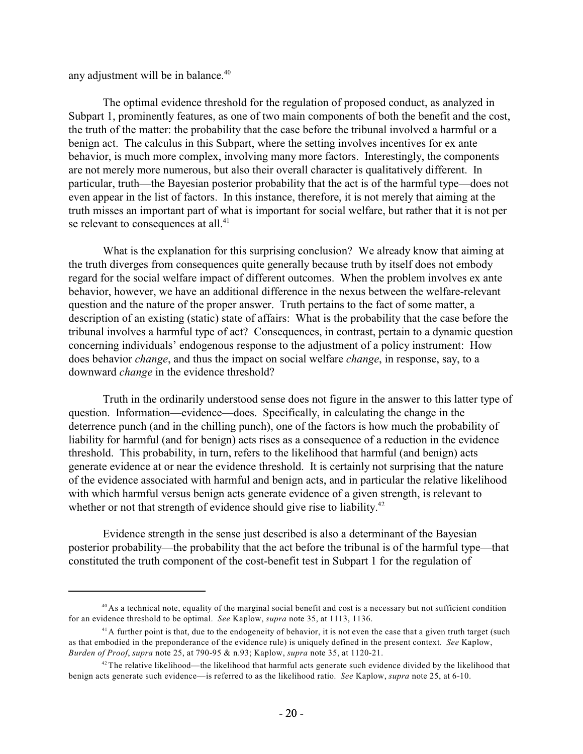any adjustment will be in balance. 40

The optimal evidence threshold for the regulation of proposed conduct, as analyzed in Subpart 1, prominently features, as one of two main components of both the benefit and the cost, the truth of the matter: the probability that the case before the tribunal involved a harmful or a benign act. The calculus in this Subpart, where the setting involves incentives for ex ante behavior, is much more complex, involving many more factors. Interestingly, the components are not merely more numerous, but also their overall character is qualitatively different. In particular, truth—the Bayesian posterior probability that the act is of the harmful type—does not even appear in the list of factors. In this instance, therefore, it is not merely that aiming at the truth misses an important part of what is important for social welfare, but rather that it is not per se relevant to consequences at all.<sup>41</sup>

What is the explanation for this surprising conclusion? We already know that aiming at the truth diverges from consequences quite generally because truth by itself does not embody regard for the social welfare impact of different outcomes. When the problem involves ex ante behavior, however, we have an additional difference in the nexus between the welfare-relevant question and the nature of the proper answer. Truth pertains to the fact of some matter, a description of an existing (static) state of affairs: What is the probability that the case before the tribunal involves a harmful type of act? Consequences, in contrast, pertain to a dynamic question concerning individuals' endogenous response to the adjustment of a policy instrument: How does behavior *change*, and thus the impact on social welfare *change*, in response, say, to a downward *change* in the evidence threshold?

Truth in the ordinarily understood sense does not figure in the answer to this latter type of question. Information—evidence—does. Specifically, in calculating the change in the deterrence punch (and in the chilling punch), one of the factors is how much the probability of liability for harmful (and for benign) acts rises as a consequence of a reduction in the evidence threshold. This probability, in turn, refers to the likelihood that harmful (and benign) acts generate evidence at or near the evidence threshold. It is certainly not surprising that the nature of the evidence associated with harmful and benign acts, and in particular the relative likelihood with which harmful versus benign acts generate evidence of a given strength, is relevant to whether or not that strength of evidence should give rise to liability.<sup>42</sup>

Evidence strength in the sense just described is also a determinant of the Bayesian posterior probability—the probability that the act before the tribunal is of the harmful type—that constituted the truth component of the cost-benefit test in Subpart 1 for the regulation of

 $40$  As a technical note, equality of the marginal social benefit and cost is a necessary but not sufficient condition for an evidence threshold to be optimal. *See* Kaplow, *supra* note 35, at 1113, 1136.

 $A<sup>1</sup>A$  further point is that, due to the endogeneity of behavior, it is not even the case that a given truth target (such as that embodied in the preponderance of the evidence rule) is uniquely defined in the present context. *See* Kaplow, *Burden of Proof*, *supra* note 25, at 790-95 & n.93; Kaplow, *supra* note 35, at 1120-21.

 $42$ <sup>2</sup>The relative likelihood—the likelihood that harmful acts generate such evidence divided by the likelihood that benign acts generate such evidence—is referred to as the likelihood ratio. *See* Kaplow, *supra* note 25, at 6-10.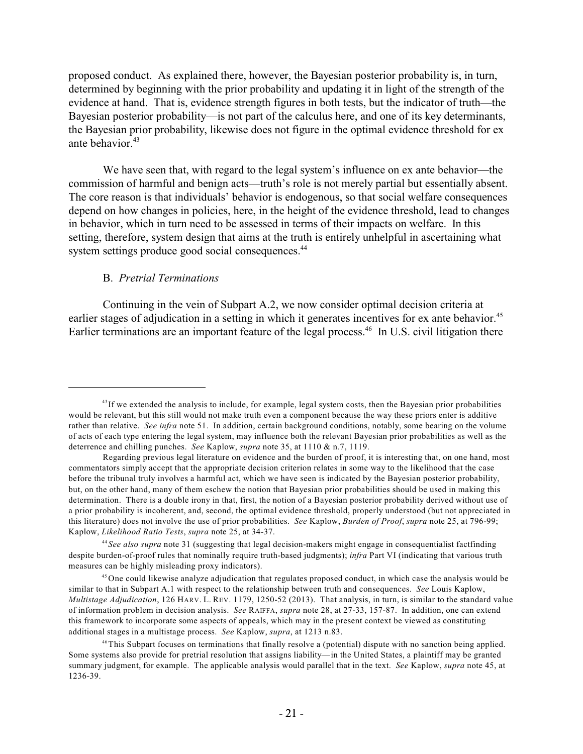proposed conduct. As explained there, however, the Bayesian posterior probability is, in turn, determined by beginning with the prior probability and updating it in light of the strength of the evidence at hand. That is, evidence strength figures in both tests, but the indicator of truth—the Bayesian posterior probability—is not part of the calculus here, and one of its key determinants, the Bayesian prior probability, likewise does not figure in the optimal evidence threshold for ex ante behavior.<sup>43</sup>

We have seen that, with regard to the legal system's influence on ex ante behavior—the commission of harmful and benign acts—truth's role is not merely partial but essentially absent. The core reason is that individuals' behavior is endogenous, so that social welfare consequences depend on how changes in policies, here, in the height of the evidence threshold, lead to changes in behavior, which in turn need to be assessed in terms of their impacts on welfare. In this setting, therefore, system design that aims at the truth is entirely unhelpful in ascertaining what system settings produce good social consequences.<sup>44</sup>

# B. *Pretrial Terminations*

Continuing in the vein of Subpart A.2, we now consider optimal decision criteria at earlier stages of adjudication in a setting in which it generates incentives for ex ante behavior.<sup>45</sup> Earlier terminations are an important feature of the legal process.<sup>46</sup> In U.S. civil litigation there

 $43$ If we extended the analysis to include, for example, legal system costs, then the Bayesian prior probabilities would be relevant, but this still would not make truth even a component because the way these priors enter is additive rather than relative. *See infra* note 51. In addition, certain background conditions, notably, some bearing on the volume of acts of each type entering the legal system, may influence both the relevant Bayesian prior probabilities as well as the deterrence and chilling punches. *See* Kaplow, *supra* note 35, at 1110 & n.7, 1119.

Regarding previous legal literature on evidence and the burden of proof, it is interesting that, on one hand, most commentators simply accept that the appropriate decision criterion relates in some way to the likelihood that the case before the tribunal truly involves a harmful act, which we have seen is indicated by the Bayesian posterior probability, but, on the other hand, many of them eschew the notion that Bayesian prior probabilities should be used in making this determination. There is a double irony in that, first, the notion of a Bayesian posterior probability derived without use of a prior probability is incoherent, and, second, the optimal evidence threshold, properly understood (but not appreciated in this literature) does not involve the use of prior probabilities. *See* Kaplow, *Burden of Proof*, *supra* note 25, at 796-99; Kaplow, *Likelihood Ratio Tests*, *supra* note 25, at 34-37.

*See also supra* note 31 (suggesting that legal decision-makers might engage in consequentialist factfinding 44 despite burden-of-proof rules that nominally require truth-based judgments); *infra* Part VI (indicating that various truth measures can be highly misleading proxy indicators).

<sup>&</sup>lt;sup>45</sup> One could likewise analyze adjudication that regulates proposed conduct, in which case the analysis would be similar to that in Subpart A.1 with respect to the relationship between truth and consequences. *See* Louis Kaplow, *Multistage Adjudication*, 126 HARV. L. REV. 1179, 1250-52 (2013). That analysis, in turn, is similar to the standard value of information problem in decision analysis. *See* RAIFFA, *supra* note 28, at 27-33, 157-87. In addition, one can extend this framework to incorporate some aspects of appeals, which may in the present context be viewed as constituting additional stages in a multistage process. *See* Kaplow, *supra*, at 1213 n.83.

<sup>&</sup>lt;sup>46</sup>This Subpart focuses on terminations that finally resolve a (potential) dispute with no sanction being applied. Some systems also provide for pretrial resolution that assigns liability—in the United States, a plaintiff may be granted summary judgment, for example. The applicable analysis would parallel that in the text. *See* Kaplow, *supra* note 45, at 1236-39.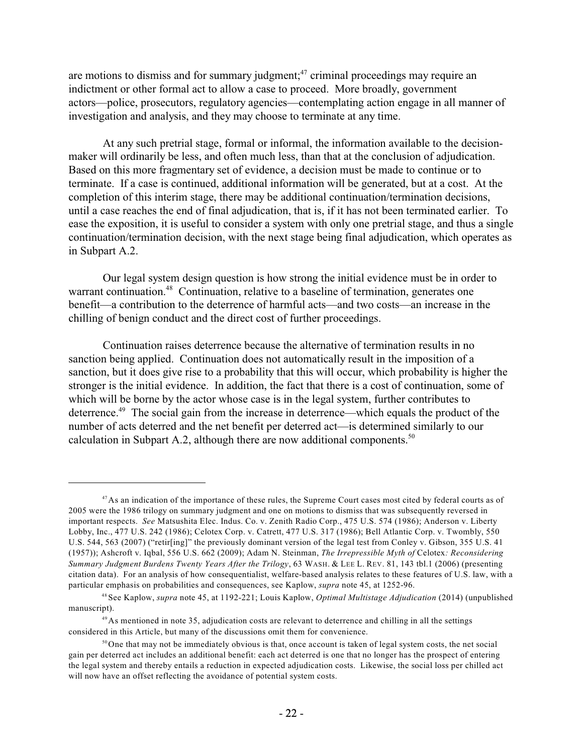are motions to dismiss and for summary judgment; $47$  criminal proceedings may require an indictment or other formal act to allow a case to proceed. More broadly, government actors—police, prosecutors, regulatory agencies—contemplating action engage in all manner of investigation and analysis, and they may choose to terminate at any time.

At any such pretrial stage, formal or informal, the information available to the decisionmaker will ordinarily be less, and often much less, than that at the conclusion of adjudication. Based on this more fragmentary set of evidence, a decision must be made to continue or to terminate. If a case is continued, additional information will be generated, but at a cost. At the completion of this interim stage, there may be additional continuation/termination decisions, until a case reaches the end of final adjudication, that is, if it has not been terminated earlier. To ease the exposition, it is useful to consider a system with only one pretrial stage, and thus a single continuation/termination decision, with the next stage being final adjudication, which operates as in Subpart A.2.

Our legal system design question is how strong the initial evidence must be in order to warrant continuation.<sup>48</sup> Continuation, relative to a baseline of termination, generates one benefit—a contribution to the deterrence of harmful acts—and two costs—an increase in the chilling of benign conduct and the direct cost of further proceedings.

Continuation raises deterrence because the alternative of termination results in no sanction being applied. Continuation does not automatically result in the imposition of a sanction, but it does give rise to a probability that this will occur, which probability is higher the stronger is the initial evidence. In addition, the fact that there is a cost of continuation, some of which will be borne by the actor whose case is in the legal system, further contributes to deterrence.<sup>49</sup> The social gain from the increase in deterrence—which equals the product of the number of acts deterred and the net benefit per deterred act—is determined similarly to our calculation in Subpart A.2, although there are now additional components. $50$ 

 $47$ As an indication of the importance of these rules, the Supreme Court cases most cited by federal courts as of 2005 were the 1986 trilogy on summary judgment and one on motions to dismiss that was subsequently reversed in important respects. *See* Matsushita Elec. Indus. Co. v. Zenith Radio Corp., 475 U.S. 574 (1986); Anderson v. Liberty Lobby, Inc., 477 U.S. 242 (1986); Celotex Corp. v. Catrett, 477 U.S. 317 (1986); Bell Atlantic Corp. v. Twombly, 550 U.S. 544, 563 (2007) ("retir[ing]" the previously dominant version of the legal test from Conley v. Gibson, 355 U.S. 41 (1957)); Ashcroft v. Iqbal, 556 U.S. 662 (2009); Adam N. Steinman, *The Irrepressible Myth of* Celotex*: Reconsidering Summary Judgment Burdens Twenty Years After the Trilogy*, 63 WASH. & LEE L. REV. 81, 143 tbl.1 (2006) (presenting citation data). For an analysis of how consequentialist, welfare-based analysis relates to these features of U.S. law, with a particular emphasis on probabilities and consequences, see Kaplow, *supra* note 45, at 1252-96.

See Kaplow, *supra* note 45, at 1192-221; Louis Kaplow, *Optimal Multistage Adjudication* (2014) (unpublished 48 manuscript).

<sup>&</sup>lt;sup>49</sup> As mentioned in note 35, adjudication costs are relevant to deterrence and chilling in all the settings considered in this Article, but many of the discussions omit them for convenience.

 $50$  One that may not be immediately obvious is that, once account is taken of legal system costs, the net social gain per deterred act includes an additional benefit: each act deterred is one that no longer has the prospect of entering the legal system and thereby entails a reduction in expected adjudication costs. Likewise, the social loss per chilled act will now have an offset reflecting the avoidance of potential system costs.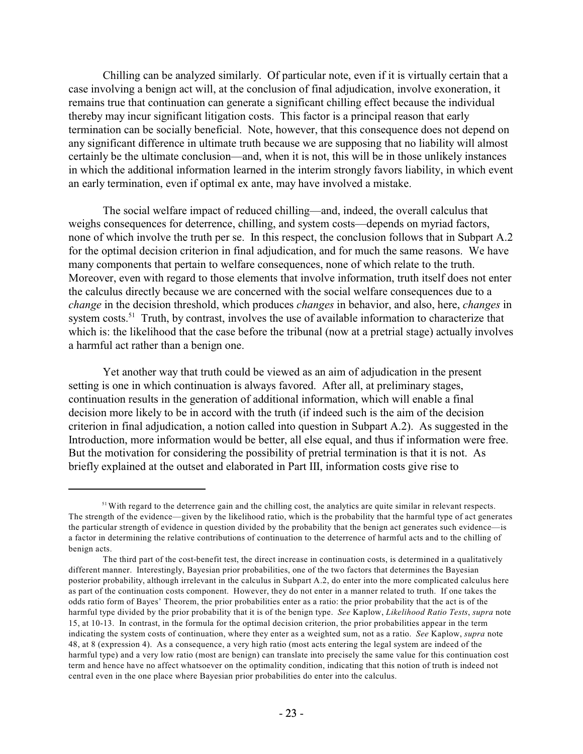Chilling can be analyzed similarly. Of particular note, even if it is virtually certain that a case involving a benign act will, at the conclusion of final adjudication, involve exoneration, it remains true that continuation can generate a significant chilling effect because the individual thereby may incur significant litigation costs. This factor is a principal reason that early termination can be socially beneficial. Note, however, that this consequence does not depend on any significant difference in ultimate truth because we are supposing that no liability will almost certainly be the ultimate conclusion—and, when it is not, this will be in those unlikely instances in which the additional information learned in the interim strongly favors liability, in which event an early termination, even if optimal ex ante, may have involved a mistake.

The social welfare impact of reduced chilling—and, indeed, the overall calculus that weighs consequences for deterrence, chilling, and system costs—depends on myriad factors, none of which involve the truth per se. In this respect, the conclusion follows that in Subpart A.2 for the optimal decision criterion in final adjudication, and for much the same reasons. We have many components that pertain to welfare consequences, none of which relate to the truth. Moreover, even with regard to those elements that involve information, truth itself does not enter the calculus directly because we are concerned with the social welfare consequences due to a *change* in the decision threshold, which produces *changes* in behavior, and also, here, *changes* in system costs.<sup>51</sup> Truth, by contrast, involves the use of available information to characterize that which is: the likelihood that the case before the tribunal (now at a pretrial stage) actually involves a harmful act rather than a benign one.

Yet another way that truth could be viewed as an aim of adjudication in the present setting is one in which continuation is always favored. After all, at preliminary stages, continuation results in the generation of additional information, which will enable a final decision more likely to be in accord with the truth (if indeed such is the aim of the decision criterion in final adjudication, a notion called into question in Subpart A.2). As suggested in the Introduction, more information would be better, all else equal, and thus if information were free. But the motivation for considering the possibility of pretrial termination is that it is not. As briefly explained at the outset and elaborated in Part III, information costs give rise to

<sup>&</sup>lt;sup>51</sup> With regard to the deterrence gain and the chilling cost, the analytics are quite similar in relevant respects. The strength of the evidence—given by the likelihood ratio, which is the probability that the harmful type of act generates the particular strength of evidence in question divided by the probability that the benign act generates such evidence—is a factor in determining the relative contributions of continuation to the deterrence of harmful acts and to the chilling of benign acts.

The third part of the cost-benefit test, the direct increase in continuation costs, is determined in a qualitatively different manner. Interestingly, Bayesian prior probabilities, one of the two factors that determines the Bayesian posterior probability, although irrelevant in the calculus in Subpart A.2, do enter into the more complicated calculus here as part of the continuation costs component. However, they do not enter in a manner related to truth. If one takes the odds ratio form of Bayes' Theorem, the prior probabilities enter as a ratio: the prior probability that the act is of the harmful type divided by the prior probability that it is of the benign type. *See* Kaplow, *Likelihood Ratio Tests*, *supra* note 15, at 10-13. In contrast, in the formula for the optimal decision criterion, the prior probabilities appear in the term indicating the system costs of continuation, where they enter as a weighted sum, not as a ratio. *See* Kaplow, *supra* note 48, at 8 (expression 4). As a consequence, a very high ratio (most acts entering the legal system are indeed of the harmful type) and a very low ratio (most are benign) can translate into precisely the same value for this continuation cost term and hence have no affect whatsoever on the optimality condition, indicating that this notion of truth is indeed not central even in the one place where Bayesian prior probabilities do enter into the calculus.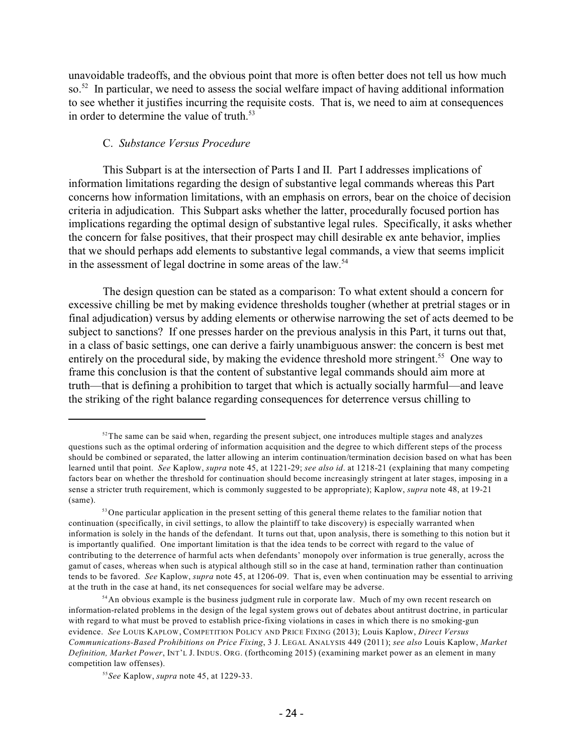unavoidable tradeoffs, and the obvious point that more is often better does not tell us how much so.<sup>52</sup> In particular, we need to assess the social welfare impact of having additional information to see whether it justifies incurring the requisite costs. That is, we need to aim at consequences in order to determine the value of truth. $53$ 

# C. *Substance Versus Procedure*

This Subpart is at the intersection of Parts I and II. Part I addresses implications of information limitations regarding the design of substantive legal commands whereas this Part concerns how information limitations, with an emphasis on errors, bear on the choice of decision criteria in adjudication. This Subpart asks whether the latter, procedurally focused portion has implications regarding the optimal design of substantive legal rules. Specifically, it asks whether the concern for false positives, that their prospect may chill desirable ex ante behavior, implies that we should perhaps add elements to substantive legal commands, a view that seems implicit in the assessment of legal doctrine in some areas of the law.<sup>54</sup>

The design question can be stated as a comparison: To what extent should a concern for excessive chilling be met by making evidence thresholds tougher (whether at pretrial stages or in final adjudication) versus by adding elements or otherwise narrowing the set of acts deemed to be subject to sanctions? If one presses harder on the previous analysis in this Part, it turns out that, in a class of basic settings, one can derive a fairly unambiguous answer: the concern is best met entirely on the procedural side, by making the evidence threshold more stringent.<sup>55</sup> One way to frame this conclusion is that the content of substantive legal commands should aim more at truth—that is defining a prohibition to target that which is actually socially harmful—and leave the striking of the right balance regarding consequences for deterrence versus chilling to

 $52$ The same can be said when, regarding the present subject, one introduces multiple stages and analyzes questions such as the optimal ordering of information acquisition and the degree to which different steps of the process should be combined or separated, the latter allowing an interim continuation/termination decision based on what has been learned until that point. *See* Kaplow, *supra* note 45, at 1221-29; *see also id*. at 1218-21 (explaining that many competing factors bear on whether the threshold for continuation should become increasingly stringent at later stages, imposing in a sense a stricter truth requirement, which is commonly suggested to be appropriate); Kaplow, *supra* note 48, at 19-21 (same).

<sup>&</sup>lt;sup>53</sup>One particular application in the present setting of this general theme relates to the familiar notion that continuation (specifically, in civil settings, to allow the plaintiff to take discovery) is especially warranted when information is solely in the hands of the defendant. It turns out that, upon analysis, there is something to this notion but it is importantly qualified. One important limitation is that the idea tends to be correct with regard to the value of contributing to the deterrence of harmful acts when defendants' monopoly over information is true generally, across the gamut of cases, whereas when such is atypical although still so in the case at hand, termination rather than continuation tends to be favored. *See* Kaplow, *supra* note 45, at 1206-09. That is, even when continuation may be essential to arriving at the truth in the case at hand, its net consequences for social welfare may be adverse.

<sup>&</sup>lt;sup>54</sup> An obvious example is the business judgment rule in corporate law. Much of my own recent research on information-related problems in the design of the legal system grows out of debates about antitrust doctrine, in particular with regard to what must be proved to establish price-fixing violations in cases in which there is no smoking-gun evidence. *See* LOUIS KAPLOW, COMPETITION POLICY AND PRICE FIXING (2013); Louis Kaplow, *Direct Versus Communications-Based Prohibitions on Price Fixing*, 3 J. LEGAL ANALYSIS 449 (2011); *see also* Louis Kaplow, *Market Definition, Market Power*, INT'L J. INDUS. ORG. (forthcoming 2015) (examining market power as an element in many competition law offenses).

*See* Kaplow, *supra* note 45, at 1229-33. 55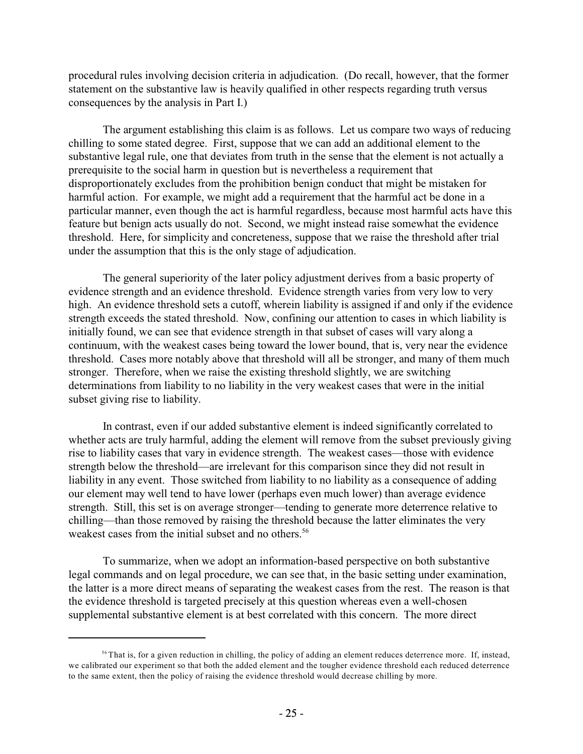procedural rules involving decision criteria in adjudication. (Do recall, however, that the former statement on the substantive law is heavily qualified in other respects regarding truth versus consequences by the analysis in Part I.)

The argument establishing this claim is as follows. Let us compare two ways of reducing chilling to some stated degree. First, suppose that we can add an additional element to the substantive legal rule, one that deviates from truth in the sense that the element is not actually a prerequisite to the social harm in question but is nevertheless a requirement that disproportionately excludes from the prohibition benign conduct that might be mistaken for harmful action. For example, we might add a requirement that the harmful act be done in a particular manner, even though the act is harmful regardless, because most harmful acts have this feature but benign acts usually do not. Second, we might instead raise somewhat the evidence threshold. Here, for simplicity and concreteness, suppose that we raise the threshold after trial under the assumption that this is the only stage of adjudication.

The general superiority of the later policy adjustment derives from a basic property of evidence strength and an evidence threshold. Evidence strength varies from very low to very high. An evidence threshold sets a cutoff, wherein liability is assigned if and only if the evidence strength exceeds the stated threshold. Now, confining our attention to cases in which liability is initially found, we can see that evidence strength in that subset of cases will vary along a continuum, with the weakest cases being toward the lower bound, that is, very near the evidence threshold. Cases more notably above that threshold will all be stronger, and many of them much stronger. Therefore, when we raise the existing threshold slightly, we are switching determinations from liability to no liability in the very weakest cases that were in the initial subset giving rise to liability.

In contrast, even if our added substantive element is indeed significantly correlated to whether acts are truly harmful, adding the element will remove from the subset previously giving rise to liability cases that vary in evidence strength. The weakest cases—those with evidence strength below the threshold—are irrelevant for this comparison since they did not result in liability in any event. Those switched from liability to no liability as a consequence of adding our element may well tend to have lower (perhaps even much lower) than average evidence strength. Still, this set is on average stronger—tending to generate more deterrence relative to chilling—than those removed by raising the threshold because the latter eliminates the very weakest cases from the initial subset and no others.<sup>56</sup>

To summarize, when we adopt an information-based perspective on both substantive legal commands and on legal procedure, we can see that, in the basic setting under examination, the latter is a more direct means of separating the weakest cases from the rest. The reason is that the evidence threshold is targeted precisely at this question whereas even a well-chosen supplemental substantive element is at best correlated with this concern. The more direct

<sup>&</sup>lt;sup>56</sup> That is, for a given reduction in chilling, the policy of adding an element reduces deterrence more. If, instead, we calibrated our experiment so that both the added element and the tougher evidence threshold each reduced deterrence to the same extent, then the policy of raising the evidence threshold would decrease chilling by more.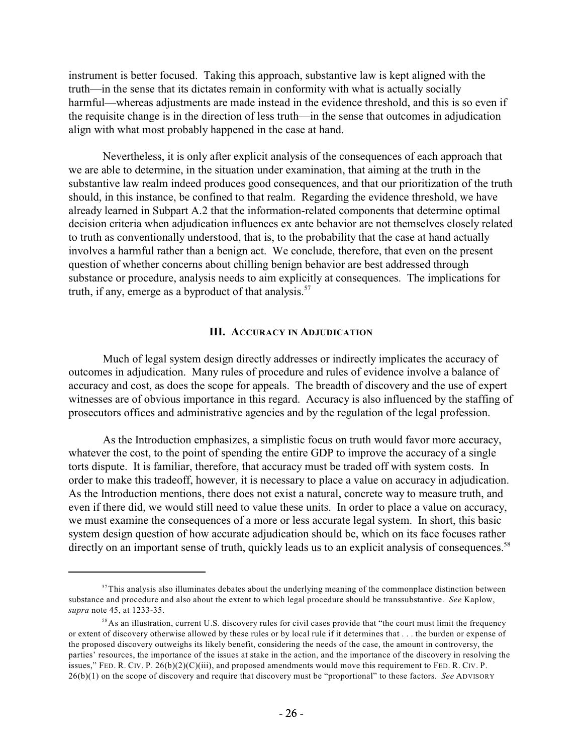instrument is better focused. Taking this approach, substantive law is kept aligned with the truth—in the sense that its dictates remain in conformity with what is actually socially harmful—whereas adjustments are made instead in the evidence threshold, and this is so even if the requisite change is in the direction of less truth—in the sense that outcomes in adjudication align with what most probably happened in the case at hand.

Nevertheless, it is only after explicit analysis of the consequences of each approach that we are able to determine, in the situation under examination, that aiming at the truth in the substantive law realm indeed produces good consequences, and that our prioritization of the truth should, in this instance, be confined to that realm. Regarding the evidence threshold, we have already learned in Subpart A.2 that the information-related components that determine optimal decision criteria when adjudication influences ex ante behavior are not themselves closely related to truth as conventionally understood, that is, to the probability that the case at hand actually involves a harmful rather than a benign act. We conclude, therefore, that even on the present question of whether concerns about chilling benign behavior are best addressed through substance or procedure, analysis needs to aim explicitly at consequences. The implications for truth, if any, emerge as a byproduct of that analysis. $57$ 

#### **III. ACCURACY IN ADJUDICATION**

Much of legal system design directly addresses or indirectly implicates the accuracy of outcomes in adjudication. Many rules of procedure and rules of evidence involve a balance of accuracy and cost, as does the scope for appeals. The breadth of discovery and the use of expert witnesses are of obvious importance in this regard. Accuracy is also influenced by the staffing of prosecutors offices and administrative agencies and by the regulation of the legal profession.

As the Introduction emphasizes, a simplistic focus on truth would favor more accuracy, whatever the cost, to the point of spending the entire GDP to improve the accuracy of a single torts dispute. It is familiar, therefore, that accuracy must be traded off with system costs. In order to make this tradeoff, however, it is necessary to place a value on accuracy in adjudication. As the Introduction mentions, there does not exist a natural, concrete way to measure truth, and even if there did, we would still need to value these units. In order to place a value on accuracy, we must examine the consequences of a more or less accurate legal system. In short, this basic system design question of how accurate adjudication should be, which on its face focuses rather directly on an important sense of truth, quickly leads us to an explicit analysis of consequences.<sup>58</sup>

 $57$ This analysis also illuminates debates about the underlying meaning of the commonplace distinction between substance and procedure and also about the extent to which legal procedure should be transsubstantive. *See* Kaplow, *supra* note 45, at 1233-35.

As an illustration, current U.S. discovery rules for civil cases provide that "the court must limit the frequency 58 or extent of discovery otherwise allowed by these rules or by local rule if it determines that . . . the burden or expense of the proposed discovery outweighs its likely benefit, considering the needs of the case, the amount in controversy, the parties' resources, the importance of the issues at stake in the action, and the importance of the discovery in resolving the issues," FED. R. CIV. P.  $26(b)(2)(C)(iii)$ , and proposed amendments would move this requirement to FED. R. CIV. P. 26(b)(1) on the scope of discovery and require that discovery must be "proportional" to these factors. *See* ADVISORY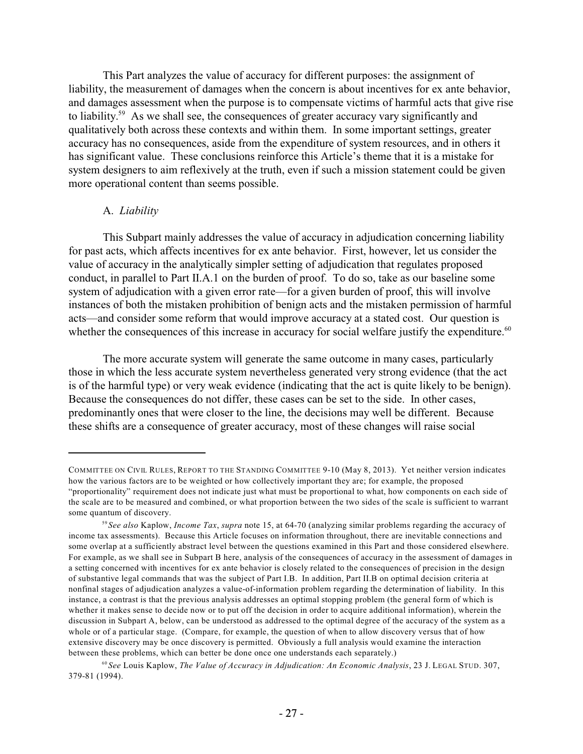This Part analyzes the value of accuracy for different purposes: the assignment of liability, the measurement of damages when the concern is about incentives for ex ante behavior, and damages assessment when the purpose is to compensate victims of harmful acts that give rise to liability.<sup>59</sup> As we shall see, the consequences of greater accuracy vary significantly and qualitatively both across these contexts and within them. In some important settings, greater accuracy has no consequences, aside from the expenditure of system resources, and in others it has significant value. These conclusions reinforce this Article's theme that it is a mistake for system designers to aim reflexively at the truth, even if such a mission statement could be given more operational content than seems possible.

#### A. *Liability*

This Subpart mainly addresses the value of accuracy in adjudication concerning liability for past acts, which affects incentives for ex ante behavior. First, however, let us consider the value of accuracy in the analytically simpler setting of adjudication that regulates proposed conduct, in parallel to Part II.A.1 on the burden of proof. To do so, take as our baseline some system of adjudication with a given error rate—for a given burden of proof, this will involve instances of both the mistaken prohibition of benign acts and the mistaken permission of harmful acts—and consider some reform that would improve accuracy at a stated cost. Our question is whether the consequences of this increase in accuracy for social welfare justify the expenditure.<sup>60</sup>

The more accurate system will generate the same outcome in many cases, particularly those in which the less accurate system nevertheless generated very strong evidence (that the act is of the harmful type) or very weak evidence (indicating that the act is quite likely to be benign). Because the consequences do not differ, these cases can be set to the side. In other cases, predominantly ones that were closer to the line, the decisions may well be different. Because these shifts are a consequence of greater accuracy, most of these changes will raise social

COMMITTEE ON CIVIL RULES, REPORT TO THE STANDING COMMITTEE 9-10 (May 8, 2013). Yet neither version indicates how the various factors are to be weighted or how collectively important they are; for example, the proposed "proportionality" requirement does not indicate just what must be proportional to what, how components on each side of the scale are to be measured and combined, or what proportion between the two sides of the scale is sufficient to warrant some quantum of discovery.

*See also* Kaplow, *Income Tax*, *supra* note 15, at 64-70 (analyzing similar problems regarding the accuracy of 59 income tax assessments). Because this Article focuses on information throughout, there are inevitable connections and some overlap at a sufficiently abstract level between the questions examined in this Part and those considered elsewhere. For example, as we shall see in Subpart B here, analysis of the consequences of accuracy in the assessment of damages in a setting concerned with incentives for ex ante behavior is closely related to the consequences of precision in the design of substantive legal commands that was the subject of Part I.B. In addition, Part II.B on optimal decision criteria at nonfinal stages of adjudication analyzes a value-of-information problem regarding the determination of liability. In this instance, a contrast is that the previous analysis addresses an optimal stopping problem (the general form of which is whether it makes sense to decide now or to put off the decision in order to acquire additional information), wherein the discussion in Subpart A, below, can be understood as addressed to the optimal degree of the accuracy of the system as a whole or of a particular stage. (Compare, for example, the question of when to allow discovery versus that of how extensive discovery may be once discovery is permitted. Obviously a full analysis would examine the interaction between these problems, which can better be done once one understands each separately.)

*See* Louis Kaplow, *The Value of Accuracy in Adjudication: An Economic Analysis*, 23 J. LEGAL STUD. 307, 60 379-81 (1994).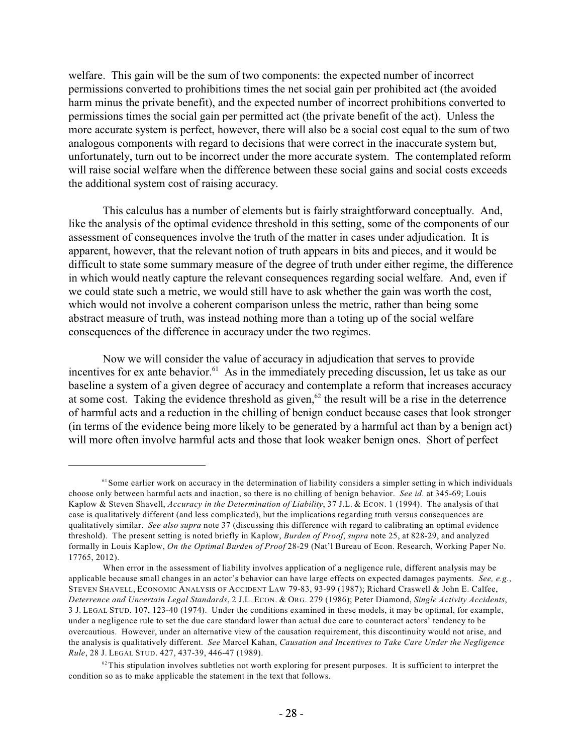welfare. This gain will be the sum of two components: the expected number of incorrect permissions converted to prohibitions times the net social gain per prohibited act (the avoided harm minus the private benefit), and the expected number of incorrect prohibitions converted to permissions times the social gain per permitted act (the private benefit of the act). Unless the more accurate system is perfect, however, there will also be a social cost equal to the sum of two analogous components with regard to decisions that were correct in the inaccurate system but, unfortunately, turn out to be incorrect under the more accurate system. The contemplated reform will raise social welfare when the difference between these social gains and social costs exceeds the additional system cost of raising accuracy.

This calculus has a number of elements but is fairly straightforward conceptually. And, like the analysis of the optimal evidence threshold in this setting, some of the components of our assessment of consequences involve the truth of the matter in cases under adjudication. It is apparent, however, that the relevant notion of truth appears in bits and pieces, and it would be difficult to state some summary measure of the degree of truth under either regime, the difference in which would neatly capture the relevant consequences regarding social welfare. And, even if we could state such a metric, we would still have to ask whether the gain was worth the cost, which would not involve a coherent comparison unless the metric, rather than being some abstract measure of truth, was instead nothing more than a toting up of the social welfare consequences of the difference in accuracy under the two regimes.

Now we will consider the value of accuracy in adjudication that serves to provide incentives for ex ante behavior.<sup> $61$ </sup> As in the immediately preceding discussion, let us take as our baseline a system of a given degree of accuracy and contemplate a reform that increases accuracy at some cost. Taking the evidence threshold as given, $62$  the result will be a rise in the deterrence of harmful acts and a reduction in the chilling of benign conduct because cases that look stronger (in terms of the evidence being more likely to be generated by a harmful act than by a benign act) will more often involve harmful acts and those that look weaker benign ones. Short of perfect

 $61$  Some earlier work on accuracy in the determination of liability considers a simpler setting in which individuals choose only between harmful acts and inaction, so there is no chilling of benign behavior. *See id*. at 345-69; Louis Kaplow & Steven Shavell, *Accuracy in the Determination of Liability*, 37 J.L. & ECON. 1 (1994). The analysis of that case is qualitatively different (and less complicated), but the implications regarding truth versus consequences are qualitatively similar. *See also supra* note 37 (discussing this difference with regard to calibrating an optimal evidence threshold). The present setting is noted briefly in Kaplow, *Burden of Proof*, *supra* note 25, at 828-29, and analyzed formally in Louis Kaplow, *On the Optimal Burden of Proof* 28-29 (Nat'l Bureau of Econ. Research, Working Paper No. 17765, 2012).

When error in the assessment of liability involves application of a negligence rule, different analysis may be applicable because small changes in an actor's behavior can have large effects on expected damages payments. *See, e.g.*, STEVEN SHAVELL, ECONOMIC ANALYSIS OF ACCIDENT LAW 79-83, 93-99 (1987); Richard Craswell & John E. Calfee, *Deterrence and Uncertain Legal Standards*, 2 J.L. ECON. & ORG. 279 (1986); Peter Diamond, *Single Activity Accidents*, 3 J. LEGAL STUD. 107, 123-40 (1974). Under the conditions examined in these models, it may be optimal, for example, under a negligence rule to set the due care standard lower than actual due care to counteract actors' tendency to be overcautious. However, under an alternative view of the causation requirement, this discontinuity would not arise, and the analysis is qualitatively different. *See* Marcel Kahan, *Causation and Incentives to Take Care Under the Negligence Rule*, 28 J. LEGAL STUD. 427, 437-39, 446-47 (1989).

 $62$  This stipulation involves subtleties not worth exploring for present purposes. It is sufficient to interpret the condition so as to make applicable the statement in the text that follows.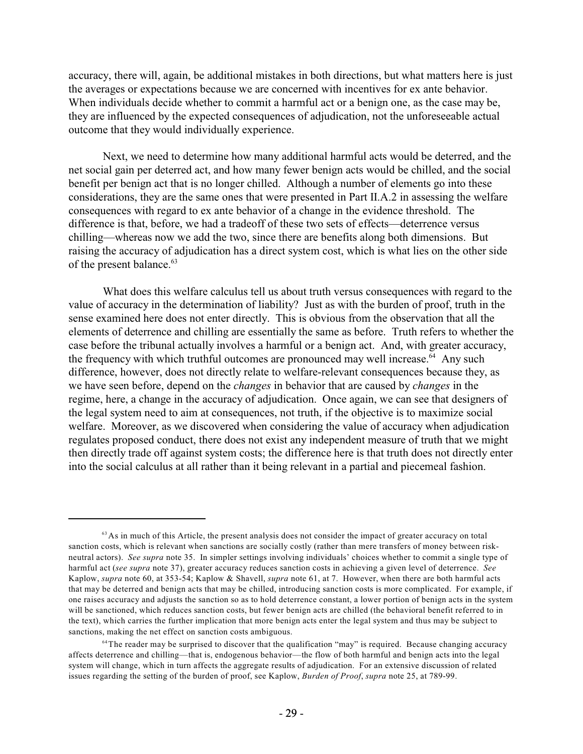accuracy, there will, again, be additional mistakes in both directions, but what matters here is just the averages or expectations because we are concerned with incentives for ex ante behavior. When individuals decide whether to commit a harmful act or a benign one, as the case may be, they are influenced by the expected consequences of adjudication, not the unforeseeable actual outcome that they would individually experience.

Next, we need to determine how many additional harmful acts would be deterred, and the net social gain per deterred act, and how many fewer benign acts would be chilled, and the social benefit per benign act that is no longer chilled. Although a number of elements go into these considerations, they are the same ones that were presented in Part II.A.2 in assessing the welfare consequences with regard to ex ante behavior of a change in the evidence threshold. The difference is that, before, we had a tradeoff of these two sets of effects—deterrence versus chilling—whereas now we add the two, since there are benefits along both dimensions. But raising the accuracy of adjudication has a direct system cost, which is what lies on the other side of the present balance.<sup>63</sup>

What does this welfare calculus tell us about truth versus consequences with regard to the value of accuracy in the determination of liability? Just as with the burden of proof, truth in the sense examined here does not enter directly. This is obvious from the observation that all the elements of deterrence and chilling are essentially the same as before. Truth refers to whether the case before the tribunal actually involves a harmful or a benign act. And, with greater accuracy, the frequency with which truthful outcomes are pronounced may well increase.<sup> $64$ </sup> Any such difference, however, does not directly relate to welfare-relevant consequences because they, as we have seen before, depend on the *changes* in behavior that are caused by *changes* in the regime, here, a change in the accuracy of adjudication. Once again, we can see that designers of the legal system need to aim at consequences, not truth, if the objective is to maximize social welfare. Moreover, as we discovered when considering the value of accuracy when adjudication regulates proposed conduct, there does not exist any independent measure of truth that we might then directly trade off against system costs; the difference here is that truth does not directly enter into the social calculus at all rather than it being relevant in a partial and piecemeal fashion.

<sup>&</sup>lt;sup>63</sup> As in much of this Article, the present analysis does not consider the impact of greater accuracy on total sanction costs, which is relevant when sanctions are socially costly (rather than mere transfers of money between riskneutral actors). *See supra* note 35. In simpler settings involving individuals' choices whether to commit a single type of harmful act (*see supra* note 37), greater accuracy reduces sanction costs in achieving a given level of deterrence. *See* Kaplow, *supra* note 60, at 353-54; Kaplow & Shavell, *supra* note 61, at 7. However, when there are both harmful acts that may be deterred and benign acts that may be chilled, introducing sanction costs is more complicated. For example, if one raises accuracy and adjusts the sanction so as to hold deterrence constant, a lower portion of benign acts in the system will be sanctioned, which reduces sanction costs, but fewer benign acts are chilled (the behavioral benefit referred to in the text), which carries the further implication that more benign acts enter the legal system and thus may be subject to sanctions, making the net effect on sanction costs ambiguous.

<sup>&</sup>lt;sup>64</sup>The reader may be surprised to discover that the qualification "may" is required. Because changing accuracy affects deterrence and chilling—that is, endogenous behavior—the flow of both harmful and benign acts into the legal system will change, which in turn affects the aggregate results of adjudication. For an extensive discussion of related issues regarding the setting of the burden of proof, see Kaplow, *Burden of Proof*, *supra* note 25, at 789-99.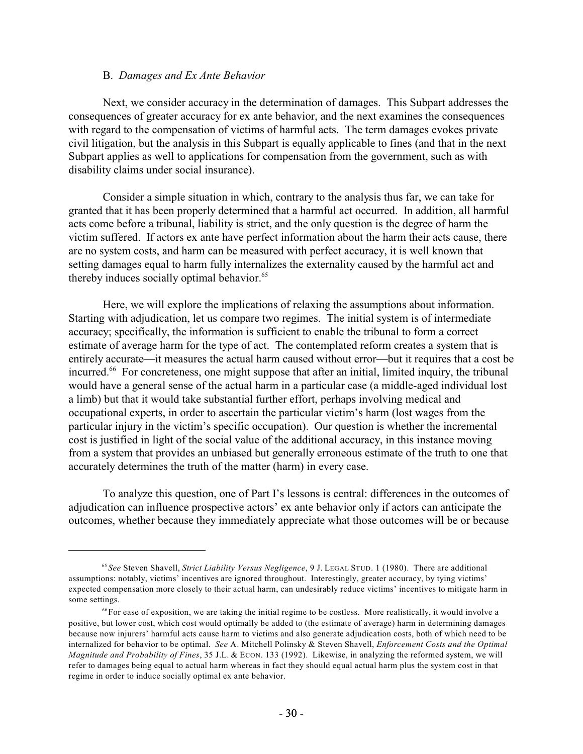#### B. *Damages and Ex Ante Behavior*

Next, we consider accuracy in the determination of damages. This Subpart addresses the consequences of greater accuracy for ex ante behavior, and the next examines the consequences with regard to the compensation of victims of harmful acts. The term damages evokes private civil litigation, but the analysis in this Subpart is equally applicable to fines (and that in the next Subpart applies as well to applications for compensation from the government, such as with disability claims under social insurance).

Consider a simple situation in which, contrary to the analysis thus far, we can take for granted that it has been properly determined that a harmful act occurred. In addition, all harmful acts come before a tribunal, liability is strict, and the only question is the degree of harm the victim suffered. If actors ex ante have perfect information about the harm their acts cause, there are no system costs, and harm can be measured with perfect accuracy, it is well known that setting damages equal to harm fully internalizes the externality caused by the harmful act and thereby induces socially optimal behavior.<sup>65</sup>

Here, we will explore the implications of relaxing the assumptions about information. Starting with adjudication, let us compare two regimes. The initial system is of intermediate accuracy; specifically, the information is sufficient to enable the tribunal to form a correct estimate of average harm for the type of act. The contemplated reform creates a system that is entirely accurate—it measures the actual harm caused without error—but it requires that a cost be incurred.<sup>66</sup> For concreteness, one might suppose that after an initial, limited inquiry, the tribunal would have a general sense of the actual harm in a particular case (a middle-aged individual lost a limb) but that it would take substantial further effort, perhaps involving medical and occupational experts, in order to ascertain the particular victim's harm (lost wages from the particular injury in the victim's specific occupation). Our question is whether the incremental cost is justified in light of the social value of the additional accuracy, in this instance moving from a system that provides an unbiased but generally erroneous estimate of the truth to one that accurately determines the truth of the matter (harm) in every case.

To analyze this question, one of Part I's lessons is central: differences in the outcomes of adjudication can influence prospective actors' ex ante behavior only if actors can anticipate the outcomes, whether because they immediately appreciate what those outcomes will be or because

*See* Steven Shavell, *Strict Liability Versus Negligence*, 9 J. LEGAL STUD. 1 (1980). There are additional 65 assumptions: notably, victims' incentives are ignored throughout. Interestingly, greater accuracy, by tying victims' expected compensation more closely to their actual harm, can undesirably reduce victims' incentives to mitigate harm in some settings.

 $66$  For ease of exposition, we are taking the initial regime to be costless. More realistically, it would involve a positive, but lower cost, which cost would optimally be added to (the estimate of average) harm in determining damages because now injurers' harmful acts cause harm to victims and also generate adjudication costs, both of which need to be internalized for behavior to be optimal. *See* A. Mitchell Polinsky & Steven Shavell, *Enforcement Costs and the Optimal Magnitude and Probability of Fines*, 35 J.L. & ECON. 133 (1992). Likewise, in analyzing the reformed system, we will refer to damages being equal to actual harm whereas in fact they should equal actual harm plus the system cost in that regime in order to induce socially optimal ex ante behavior.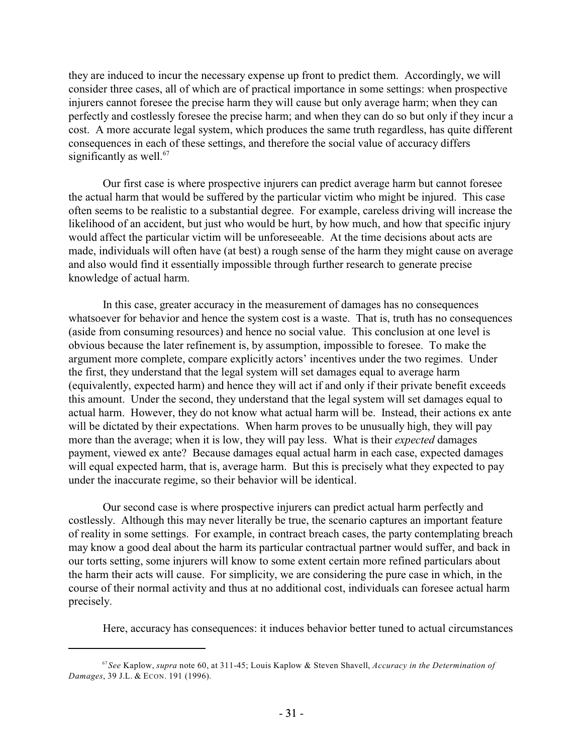they are induced to incur the necessary expense up front to predict them. Accordingly, we will consider three cases, all of which are of practical importance in some settings: when prospective injurers cannot foresee the precise harm they will cause but only average harm; when they can perfectly and costlessly foresee the precise harm; and when they can do so but only if they incur a cost. A more accurate legal system, which produces the same truth regardless, has quite different consequences in each of these settings, and therefore the social value of accuracy differs significantly as well. $67$ 

Our first case is where prospective injurers can predict average harm but cannot foresee the actual harm that would be suffered by the particular victim who might be injured. This case often seems to be realistic to a substantial degree. For example, careless driving will increase the likelihood of an accident, but just who would be hurt, by how much, and how that specific injury would affect the particular victim will be unforeseeable. At the time decisions about acts are made, individuals will often have (at best) a rough sense of the harm they might cause on average and also would find it essentially impossible through further research to generate precise knowledge of actual harm.

In this case, greater accuracy in the measurement of damages has no consequences whatsoever for behavior and hence the system cost is a waste. That is, truth has no consequences (aside from consuming resources) and hence no social value. This conclusion at one level is obvious because the later refinement is, by assumption, impossible to foresee. To make the argument more complete, compare explicitly actors' incentives under the two regimes. Under the first, they understand that the legal system will set damages equal to average harm (equivalently, expected harm) and hence they will act if and only if their private benefit exceeds this amount. Under the second, they understand that the legal system will set damages equal to actual harm. However, they do not know what actual harm will be. Instead, their actions ex ante will be dictated by their expectations. When harm proves to be unusually high, they will pay more than the average; when it is low, they will pay less. What is their *expected* damages payment, viewed ex ante? Because damages equal actual harm in each case, expected damages will equal expected harm, that is, average harm. But this is precisely what they expected to pay under the inaccurate regime, so their behavior will be identical.

Our second case is where prospective injurers can predict actual harm perfectly and costlessly. Although this may never literally be true, the scenario captures an important feature of reality in some settings. For example, in contract breach cases, the party contemplating breach may know a good deal about the harm its particular contractual partner would suffer, and back in our torts setting, some injurers will know to some extent certain more refined particulars about the harm their acts will cause. For simplicity, we are considering the pure case in which, in the course of their normal activity and thus at no additional cost, individuals can foresee actual harm precisely.

Here, accuracy has consequences: it induces behavior better tuned to actual circumstances

*See* Kaplow, *supra* note 60, at 311-45; Louis Kaplow & Steven Shavell, *Accuracy in the Determination of* 67 *Damages*, 39 J.L. & ECON. 191 (1996).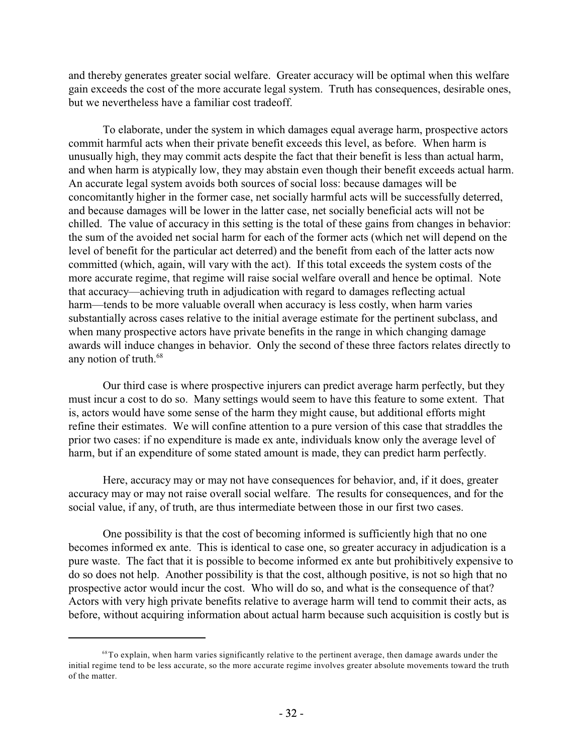and thereby generates greater social welfare. Greater accuracy will be optimal when this welfare gain exceeds the cost of the more accurate legal system. Truth has consequences, desirable ones, but we nevertheless have a familiar cost tradeoff.

To elaborate, under the system in which damages equal average harm, prospective actors commit harmful acts when their private benefit exceeds this level, as before. When harm is unusually high, they may commit acts despite the fact that their benefit is less than actual harm, and when harm is atypically low, they may abstain even though their benefit exceeds actual harm. An accurate legal system avoids both sources of social loss: because damages will be concomitantly higher in the former case, net socially harmful acts will be successfully deterred, and because damages will be lower in the latter case, net socially beneficial acts will not be chilled. The value of accuracy in this setting is the total of these gains from changes in behavior: the sum of the avoided net social harm for each of the former acts (which net will depend on the level of benefit for the particular act deterred) and the benefit from each of the latter acts now committed (which, again, will vary with the act). If this total exceeds the system costs of the more accurate regime, that regime will raise social welfare overall and hence be optimal. Note that accuracy—achieving truth in adjudication with regard to damages reflecting actual harm—tends to be more valuable overall when accuracy is less costly, when harm varies substantially across cases relative to the initial average estimate for the pertinent subclass, and when many prospective actors have private benefits in the range in which changing damage awards will induce changes in behavior. Only the second of these three factors relates directly to any notion of truth.<sup>68</sup>

Our third case is where prospective injurers can predict average harm perfectly, but they must incur a cost to do so. Many settings would seem to have this feature to some extent. That is, actors would have some sense of the harm they might cause, but additional efforts might refine their estimates. We will confine attention to a pure version of this case that straddles the prior two cases: if no expenditure is made ex ante, individuals know only the average level of harm, but if an expenditure of some stated amount is made, they can predict harm perfectly.

Here, accuracy may or may not have consequences for behavior, and, if it does, greater accuracy may or may not raise overall social welfare. The results for consequences, and for the social value, if any, of truth, are thus intermediate between those in our first two cases.

One possibility is that the cost of becoming informed is sufficiently high that no one becomes informed ex ante. This is identical to case one, so greater accuracy in adjudication is a pure waste. The fact that it is possible to become informed ex ante but prohibitively expensive to do so does not help. Another possibility is that the cost, although positive, is not so high that no prospective actor would incur the cost. Who will do so, and what is the consequence of that? Actors with very high private benefits relative to average harm will tend to commit their acts, as before, without acquiring information about actual harm because such acquisition is costly but is

<sup>&</sup>lt;sup>68</sup> To explain, when harm varies significantly relative to the pertinent average, then damage awards under the initial regime tend to be less accurate, so the more accurate regime involves greater absolute movements toward the truth of the matter.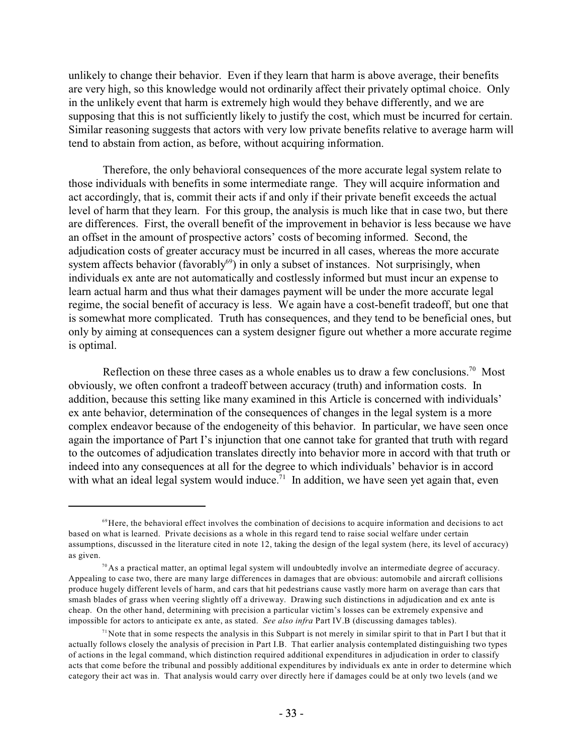unlikely to change their behavior. Even if they learn that harm is above average, their benefits are very high, so this knowledge would not ordinarily affect their privately optimal choice. Only in the unlikely event that harm is extremely high would they behave differently, and we are supposing that this is not sufficiently likely to justify the cost, which must be incurred for certain. Similar reasoning suggests that actors with very low private benefits relative to average harm will tend to abstain from action, as before, without acquiring information.

Therefore, the only behavioral consequences of the more accurate legal system relate to those individuals with benefits in some intermediate range. They will acquire information and act accordingly, that is, commit their acts if and only if their private benefit exceeds the actual level of harm that they learn. For this group, the analysis is much like that in case two, but there are differences. First, the overall benefit of the improvement in behavior is less because we have an offset in the amount of prospective actors' costs of becoming informed. Second, the adjudication costs of greater accuracy must be incurred in all cases, whereas the more accurate system affects behavior (favorably $^{69}$ ) in only a subset of instances. Not surprisingly, when individuals ex ante are not automatically and costlessly informed but must incur an expense to learn actual harm and thus what their damages payment will be under the more accurate legal regime, the social benefit of accuracy is less. We again have a cost-benefit tradeoff, but one that is somewhat more complicated. Truth has consequences, and they tend to be beneficial ones, but only by aiming at consequences can a system designer figure out whether a more accurate regime is optimal.

Reflection on these three cases as a whole enables us to draw a few conclusions.<sup>70</sup> Most obviously, we often confront a tradeoff between accuracy (truth) and information costs. In addition, because this setting like many examined in this Article is concerned with individuals' ex ante behavior, determination of the consequences of changes in the legal system is a more complex endeavor because of the endogeneity of this behavior. In particular, we have seen once again the importance of Part I's injunction that one cannot take for granted that truth with regard to the outcomes of adjudication translates directly into behavior more in accord with that truth or indeed into any consequences at all for the degree to which individuals' behavior is in accord with what an ideal legal system would induce.<sup>71</sup> In addition, we have seen yet again that, even

 $\degree$ Here, the behavioral effect involves the combination of decisions to acquire information and decisions to act based on what is learned. Private decisions as a whole in this regard tend to raise social welfare under certain assumptions, discussed in the literature cited in note 12, taking the design of the legal system (here, its level of accuracy) as given.

 $70$  As a practical matter, an optimal legal system will undoubtedly involve an intermediate degree of accuracy. Appealing to case two, there are many large differences in damages that are obvious: automobile and aircraft collisions produce hugely different levels of harm, and cars that hit pedestrians cause vastly more harm on average than cars that smash blades of grass when veering slightly off a driveway. Drawing such distinctions in adjudication and ex ante is cheap. On the other hand, determining with precision a particular victim's losses can be extremely expensive and impossible for actors to anticipate ex ante, as stated. *See also infra* Part IV.B (discussing damages tables).

<sup>&</sup>lt;sup>71</sup> Note that in some respects the analysis in this Subpart is not merely in similar spirit to that in Part I but that it actually follows closely the analysis of precision in Part I.B. That earlier analysis contemplated distinguishing two types of actions in the legal command, which distinction required additional expenditures in adjudication in order to classify acts that come before the tribunal and possibly additional expenditures by individuals ex ante in order to determine which category their act was in. That analysis would carry over directly here if damages could be at only two levels (and we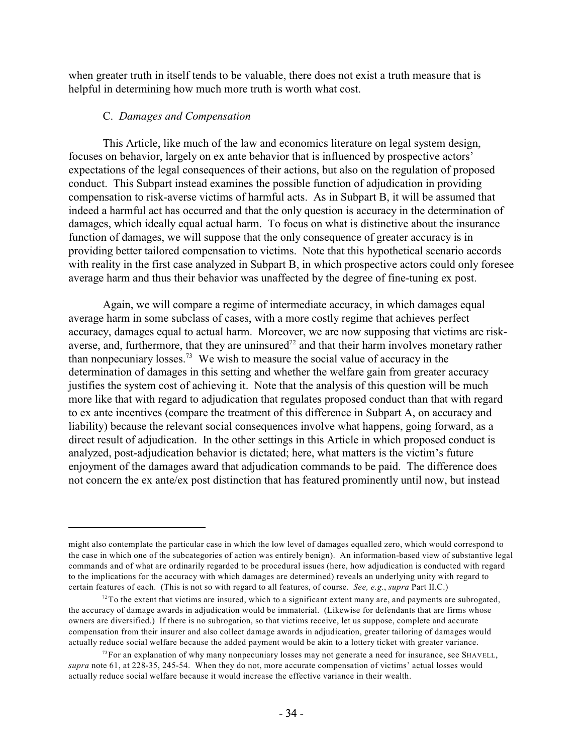when greater truth in itself tends to be valuable, there does not exist a truth measure that is helpful in determining how much more truth is worth what cost.

#### C. *Damages and Compensation*

This Article, like much of the law and economics literature on legal system design, focuses on behavior, largely on ex ante behavior that is influenced by prospective actors' expectations of the legal consequences of their actions, but also on the regulation of proposed conduct. This Subpart instead examines the possible function of adjudication in providing compensation to risk-averse victims of harmful acts. As in Subpart B, it will be assumed that indeed a harmful act has occurred and that the only question is accuracy in the determination of damages, which ideally equal actual harm. To focus on what is distinctive about the insurance function of damages, we will suppose that the only consequence of greater accuracy is in providing better tailored compensation to victims. Note that this hypothetical scenario accords with reality in the first case analyzed in Subpart B, in which prospective actors could only foresee average harm and thus their behavior was unaffected by the degree of fine-tuning ex post.

Again, we will compare a regime of intermediate accuracy, in which damages equal average harm in some subclass of cases, with a more costly regime that achieves perfect accuracy, damages equal to actual harm. Moreover, we are now supposing that victims are riskaverse, and, furthermore, that they are uninsured<sup>72</sup> and that their harm involves monetary rather than nonpecuniary losses.<sup>73</sup> We wish to measure the social value of accuracy in the determination of damages in this setting and whether the welfare gain from greater accuracy justifies the system cost of achieving it. Note that the analysis of this question will be much more like that with regard to adjudication that regulates proposed conduct than that with regard to ex ante incentives (compare the treatment of this difference in Subpart A, on accuracy and liability) because the relevant social consequences involve what happens, going forward, as a direct result of adjudication. In the other settings in this Article in which proposed conduct is analyzed, post-adjudication behavior is dictated; here, what matters is the victim's future enjoyment of the damages award that adjudication commands to be paid. The difference does not concern the ex ante/ex post distinction that has featured prominently until now, but instead

might also contemplate the particular case in which the low level of damages equalled zero, which would correspond to the case in which one of the subcategories of action was entirely benign). An information-based view of substantive legal commands and of what are ordinarily regarded to be procedural issues (here, how adjudication is conducted with regard to the implications for the accuracy with which damages are determined) reveals an underlying unity with regard to certain features of each. (This is not so with regard to all features, of course. *See, e.g.*, *supra* Part II.C.)

 $72$  To the extent that victims are insured, which to a significant extent many are, and payments are subrogated, the accuracy of damage awards in adjudication would be immaterial. (Likewise for defendants that are firms whose owners are diversified.) If there is no subrogation, so that victims receive, let us suppose, complete and accurate compensation from their insurer and also collect damage awards in adjudication, greater tailoring of damages would actually reduce social welfare because the added payment would be akin to a lottery ticket with greater variance.

<sup>&</sup>lt;sup>73</sup> For an explanation of why many nonpecuniary losses may not generate a need for insurance, see SHAVELL, *supra* note 61, at 228-35, 245-54. When they do not, more accurate compensation of victims' actual losses would actually reduce social welfare because it would increase the effective variance in their wealth.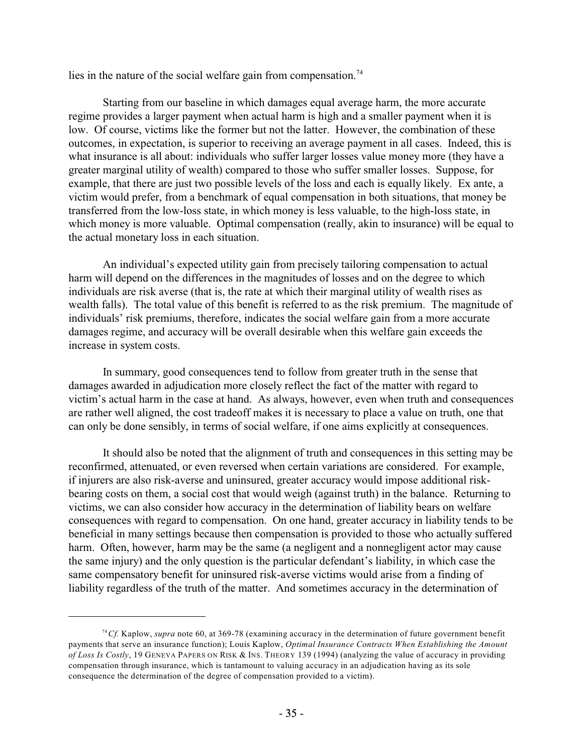lies in the nature of the social welfare gain from compensation.<sup>74</sup>

Starting from our baseline in which damages equal average harm, the more accurate regime provides a larger payment when actual harm is high and a smaller payment when it is low. Of course, victims like the former but not the latter. However, the combination of these outcomes, in expectation, is superior to receiving an average payment in all cases. Indeed, this is what insurance is all about: individuals who suffer larger losses value money more (they have a greater marginal utility of wealth) compared to those who suffer smaller losses. Suppose, for example, that there are just two possible levels of the loss and each is equally likely. Ex ante, a victim would prefer, from a benchmark of equal compensation in both situations, that money be transferred from the low-loss state, in which money is less valuable, to the high-loss state, in which money is more valuable. Optimal compensation (really, akin to insurance) will be equal to the actual monetary loss in each situation.

An individual's expected utility gain from precisely tailoring compensation to actual harm will depend on the differences in the magnitudes of losses and on the degree to which individuals are risk averse (that is, the rate at which their marginal utility of wealth rises as wealth falls). The total value of this benefit is referred to as the risk premium. The magnitude of individuals' risk premiums, therefore, indicates the social welfare gain from a more accurate damages regime, and accuracy will be overall desirable when this welfare gain exceeds the increase in system costs.

In summary, good consequences tend to follow from greater truth in the sense that damages awarded in adjudication more closely reflect the fact of the matter with regard to victim's actual harm in the case at hand. As always, however, even when truth and consequences are rather well aligned, the cost tradeoff makes it is necessary to place a value on truth, one that can only be done sensibly, in terms of social welfare, if one aims explicitly at consequences.

It should also be noted that the alignment of truth and consequences in this setting may be reconfirmed, attenuated, or even reversed when certain variations are considered. For example, if injurers are also risk-averse and uninsured, greater accuracy would impose additional riskbearing costs on them, a social cost that would weigh (against truth) in the balance. Returning to victims, we can also consider how accuracy in the determination of liability bears on welfare consequences with regard to compensation. On one hand, greater accuracy in liability tends to be beneficial in many settings because then compensation is provided to those who actually suffered harm. Often, however, harm may be the same (a negligent and a nonnegligent actor may cause the same injury) and the only question is the particular defendant's liability, in which case the same compensatory benefit for uninsured risk-averse victims would arise from a finding of liability regardless of the truth of the matter. And sometimes accuracy in the determination of

<sup>&</sup>lt;sup>74</sup> Cf. Kaplow, *supra* note 60, at 369-78 (examining accuracy in the determination of future government benefit payments that serve an insurance function); Louis Kaplow, *Optimal Insurance Contracts When Establishing the Amount of Loss Is Costly*, 19 GENEVA PAPERS ON RISK & INS. THEORY 139 (1994) (analyzing the value of accuracy in providing compensation through insurance, which is tantamount to valuing accuracy in an adjudication having as its sole consequence the determination of the degree of compensation provided to a victim).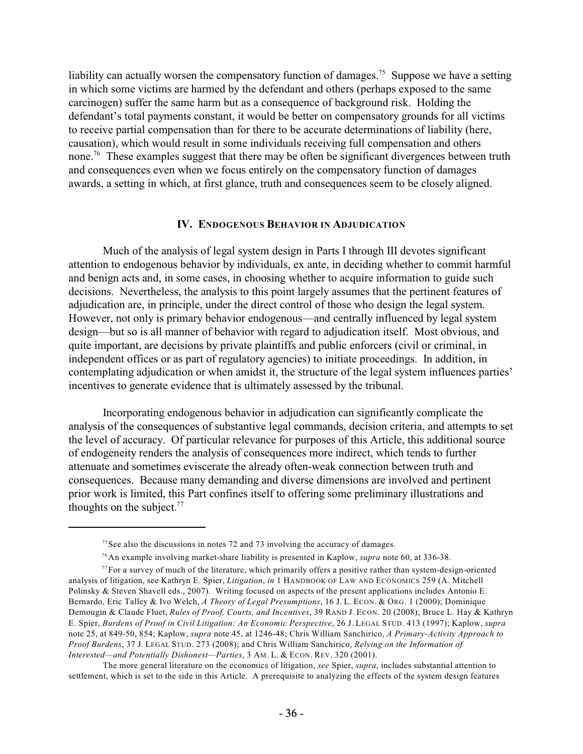liability can actually worsen the compensatory function of damages.<sup>75</sup> Suppose we have a setting in which some victims are harmed by the defendant and others (perhaps exposed to the same carcinogen) suffer the same harm but as a consequence of background risk. Holding the defendant's total payments constant, it would be better on compensatory grounds for all victims to receive partial compensation than for there to be accurate determinations of liability (here, causation), which would result in some individuals receiving full compensation and others none.<sup>76</sup> These examples suggest that there may be often be significant divergences between truth and consequences even when we focus entirely on the compensatory function of damages awards, a setting in which, at first glance, truth and consequences seem to be closely aligned.

#### **IV. ENDOGENOUS BEHAVIOR IN ADJUDICATION**

Much of the analysis of legal system design in Parts I through III devotes significant attention to endogenous behavior by individuals, ex ante, in deciding whether to commit harmful and benign acts and, in some cases, in choosing whether to acquire information to guide such decisions. Nevertheless, the analysis to this point largely assumes that the pertinent features of adjudication are, in principle, under the direct control of those who design the legal system. However, not only is primary behavior endogenous—and centrally influenced by legal system design—but so is all manner of behavior with regard to adjudication itself. Most obvious, and quite important, are decisions by private plaintiffs and public enforcers (civil or criminal, in independent offices or as part of regulatory agencies) to initiate proceedings. In addition, in contemplating adjudication or when amidst it, the structure of the legal system influences parties' incentives to generate evidence that is ultimately assessed by the tribunal.

Incorporating endogenous behavior in adjudication can significantly complicate the analysis of the consequences of substantive legal commands, decision criteria, and attempts to set the level of accuracy. Of particular relevance for purposes of this Article, this additional source of endogeneity renders the analysis of consequences more indirect, which tends to further attenuate and sometimes eviscerate the already often-weak connection between truth and consequences. Because many demanding and diverse dimensions are involved and pertinent prior work is limited, this Part confines itself to offering some preliminary illustrations and thoughts on the subject. $77$ 

 $7<sup>5</sup>$  See also the discussions in notes 72 and 73 involving the accuracy of damages.

<sup>&</sup>lt;sup>76</sup> An example involving market-share liability is presented in Kaplow, *supra* note 60, at 336-38.

 $^{77}$  For a survey of much of the literature, which primarily offers a positive rather than system-design-oriented analysis of litigation, see Kathryn E. Spier, *Litigation*, *in* 1 HANDBOOK OF LAW AND ECONOMICS 259 (A. Mitchell Polinsky & Steven Shavell eds., 2007). Writing focused on aspects of the present applications includes Antonio E. Bernardo, Eric Talley & Ivo Welch, *A Theory of Legal Presumptions*, 16 J. L. ECON. & ORG. 1 (2000); Dominique Demougin & Claude Fluet, *Rules of Proof, Courts, and Incentives*, 39 RAND J. ECON. 20 (2008); Bruce L. Hay & Kathryn E. Spier, *Burdens of Proof in Civil Litigation: An Economic Perspective*, 26 J. LEGAL STUD. 413 (1997); Kaplow, *supra* note 25, at 849-50, 854; Kaplow, *supra* note 45, at 1246-48; Chris William Sanchirico, *A Primary-Activity Approach to Proof Burdens*, 37 J. LEGAL STUD. 273 (2008); and Chris William Sanchirico, *Relying on the Information of Interested—and Potentially Dishonest—Parties*, 3 AM. L. & ECON. REV. 320 (2001).

The more general literature on the economics of litigation, *see* Spier, *supra*, includes substantial attention to settlement, which is set to the side in this Article. A prerequisite to analyzing the effects of the system design features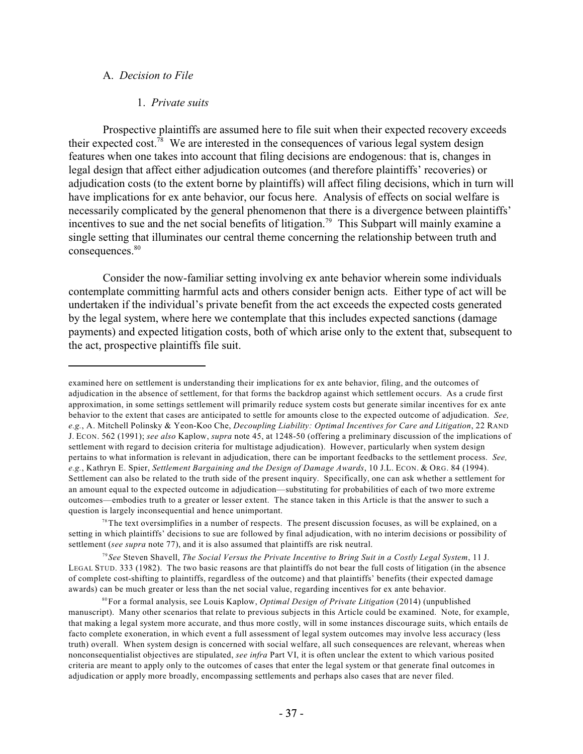#### A. *Decision to File*

#### 1. *Private suits*

Prospective plaintiffs are assumed here to file suit when their expected recovery exceeds their expected cost.<sup>78</sup> We are interested in the consequences of various legal system design features when one takes into account that filing decisions are endogenous: that is, changes in legal design that affect either adjudication outcomes (and therefore plaintiffs' recoveries) or adjudication costs (to the extent borne by plaintiffs) will affect filing decisions, which in turn will have implications for ex ante behavior, our focus here. Analysis of effects on social welfare is necessarily complicated by the general phenomenon that there is a divergence between plaintiffs' incentives to sue and the net social benefits of litigation.<sup>79</sup> This Subpart will mainly examine a single setting that illuminates our central theme concerning the relationship between truth and consequences.<sup>80</sup>

Consider the now-familiar setting involving ex ante behavior wherein some individuals contemplate committing harmful acts and others consider benign acts. Either type of act will be undertaken if the individual's private benefit from the act exceeds the expected costs generated by the legal system, where here we contemplate that this includes expected sanctions (damage payments) and expected litigation costs, both of which arise only to the extent that, subsequent to the act, prospective plaintiffs file suit.

*See* Steven Shavell, *The Social Versus the Private Incentive to Bring Suit in a Costly Legal System*, 11 J. 79 LEGAL STUD. 333 (1982). The two basic reasons are that plaintiffs do not bear the full costs of litigation (in the absence of complete cost-shifting to plaintiffs, regardless of the outcome) and that plaintiffs' benefits (their expected damage awards) can be much greater or less than the net social value, regarding incentives for ex ante behavior.

examined here on settlement is understanding their implications for ex ante behavior, filing, and the outcomes of adjudication in the absence of settlement, for that forms the backdrop against which settlement occurs. As a crude first approximation, in some settings settlement will primarily reduce system costs but generate similar incentives for ex ante behavior to the extent that cases are anticipated to settle for amounts close to the expected outcome of adjudication. *See, e.g.*, A. Mitchell Polinsky & Yeon-Koo Che, *Decoupling Liability: Optimal Incentives for Care and Litigation*, 22 RAND J. ECON. 562 (1991); *see also* Kaplow, *supra* note 45, at 1248-50 (offering a preliminary discussion of the implications of settlement with regard to decision criteria for multistage adjudication). However, particularly when system design pertains to what information is relevant in adjudication, there can be important feedbacks to the settlement process. *See, e.g.*, Kathryn E. Spier, *Settlement Bargaining and the Design of Damage Awards*, 10 J.L. ECON. & ORG. 84 (1994). Settlement can also be related to the truth side of the present inquiry. Specifically, one can ask whether a settlement for an amount equal to the expected outcome in adjudication—substituting for probabilities of each of two more extreme outcomes—embodies truth to a greater or lesser extent. The stance taken in this Article is that the answer to such a question is largely inconsequential and hence unimportant.

 $7<sup>8</sup>$  The text oversimplifies in a number of respects. The present discussion focuses, as will be explained, on a setting in which plaintiffs' decisions to sue are followed by final adjudication, with no interim decisions or possibility of settlement (*see supra* note 77), and it is also assumed that plaintiffs are risk neutral.

For a formal analysis, see Louis Kaplow, *Optimal Design of Private Litigation* (2014) (unpublished 80 manuscript). Many other scenarios that relate to previous subjects in this Article could be examined. Note, for example, that making a legal system more accurate, and thus more costly, will in some instances discourage suits, which entails de facto complete exoneration, in which event a full assessment of legal system outcomes may involve less accuracy (less truth) overall. When system design is concerned with social welfare, all such consequences are relevant, whereas when nonconsequentialist objectives are stipulated, *see infra* Part VI, it is often unclear the extent to which various posited criteria are meant to apply only to the outcomes of cases that enter the legal system or that generate final outcomes in adjudication or apply more broadly, encompassing settlements and perhaps also cases that are never filed.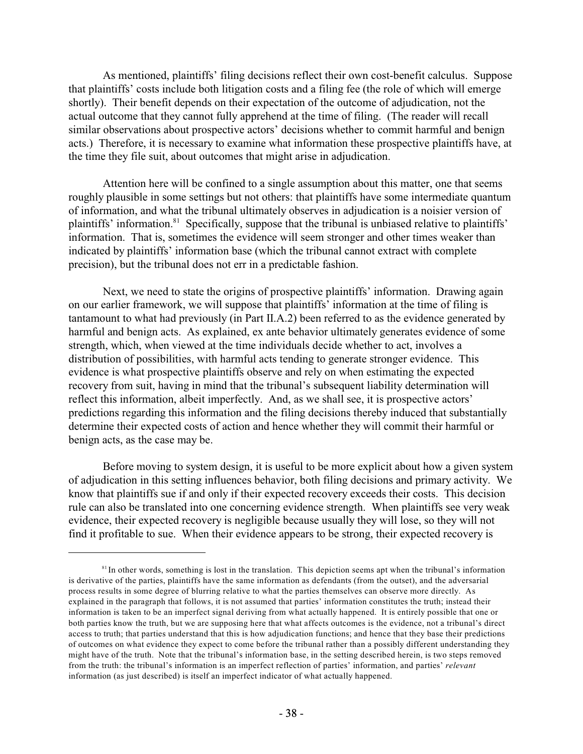As mentioned, plaintiffs' filing decisions reflect their own cost-benefit calculus. Suppose that plaintiffs' costs include both litigation costs and a filing fee (the role of which will emerge shortly). Their benefit depends on their expectation of the outcome of adjudication, not the actual outcome that they cannot fully apprehend at the time of filing. (The reader will recall similar observations about prospective actors' decisions whether to commit harmful and benign acts.) Therefore, it is necessary to examine what information these prospective plaintiffs have, at the time they file suit, about outcomes that might arise in adjudication.

Attention here will be confined to a single assumption about this matter, one that seems roughly plausible in some settings but not others: that plaintiffs have some intermediate quantum of information, and what the tribunal ultimately observes in adjudication is a noisier version of plaintiffs' information.<sup>81</sup> Specifically, suppose that the tribunal is unbiased relative to plaintiffs' information. That is, sometimes the evidence will seem stronger and other times weaker than indicated by plaintiffs' information base (which the tribunal cannot extract with complete precision), but the tribunal does not err in a predictable fashion.

Next, we need to state the origins of prospective plaintiffs' information. Drawing again on our earlier framework, we will suppose that plaintiffs' information at the time of filing is tantamount to what had previously (in Part II.A.2) been referred to as the evidence generated by harmful and benign acts. As explained, ex ante behavior ultimately generates evidence of some strength, which, when viewed at the time individuals decide whether to act, involves a distribution of possibilities, with harmful acts tending to generate stronger evidence. This evidence is what prospective plaintiffs observe and rely on when estimating the expected recovery from suit, having in mind that the tribunal's subsequent liability determination will reflect this information, albeit imperfectly. And, as we shall see, it is prospective actors' predictions regarding this information and the filing decisions thereby induced that substantially determine their expected costs of action and hence whether they will commit their harmful or benign acts, as the case may be.

Before moving to system design, it is useful to be more explicit about how a given system of adjudication in this setting influences behavior, both filing decisions and primary activity. We know that plaintiffs sue if and only if their expected recovery exceeds their costs. This decision rule can also be translated into one concerning evidence strength. When plaintiffs see very weak evidence, their expected recovery is negligible because usually they will lose, so they will not find it profitable to sue. When their evidence appears to be strong, their expected recovery is

 $S<sup>81</sup>$  In other words, something is lost in the translation. This depiction seems apt when the tribunal's information is derivative of the parties, plaintiffs have the same information as defendants (from the outset), and the adversarial process results in some degree of blurring relative to what the parties themselves can observe more directly. As explained in the paragraph that follows, it is not assumed that parties' information constitutes the truth; instead their information is taken to be an imperfect signal deriving from what actually happened. It is entirely possible that one or both parties know the truth, but we are supposing here that what affects outcomes is the evidence, not a tribunal's direct access to truth; that parties understand that this is how adjudication functions; and hence that they base their predictions of outcomes on what evidence they expect to come before the tribunal rather than a possibly different understanding they might have of the truth. Note that the tribunal's information base, in the setting described herein, is two steps removed from the truth: the tribunal's information is an imperfect reflection of parties' information, and parties' *relevant* information (as just described) is itself an imperfect indicator of what actually happened.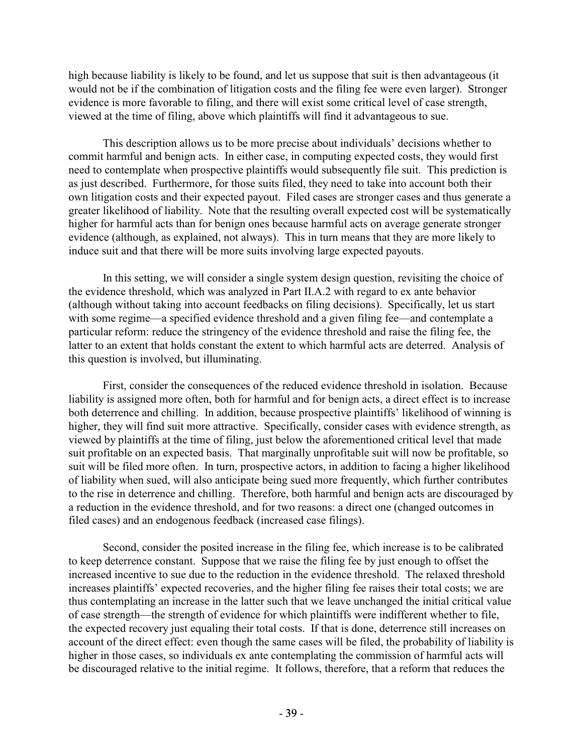high because liability is likely to be found, and let us suppose that suit is then advantageous (it would not be if the combination of litigation costs and the filing fee were even larger). Stronger evidence is more favorable to filing, and there will exist some critical level of case strength, viewed at the time of filing, above which plaintiffs will find it advantageous to sue.

This description allows us to be more precise about individuals' decisions whether to commit harmful and benign acts. In either case, in computing expected costs, they would first need to contemplate when prospective plaintiffs would subsequently file suit. This prediction is as just described. Furthermore, for those suits filed, they need to take into account both their own litigation costs and their expected payout. Filed cases are stronger cases and thus generate a greater likelihood of liability. Note that the resulting overall expected cost will be systematically higher for harmful acts than for benign ones because harmful acts on average generate stronger evidence (although, as explained, not always). This in turn means that they are more likely to induce suit and that there will be more suits involving large expected payouts.

In this setting, we will consider a single system design question, revisiting the choice of the evidence threshold, which was analyzed in Part II.A.2 with regard to ex ante behavior (although without taking into account feedbacks on filing decisions). Specifically, let us start with some regime—a specified evidence threshold and a given filing fee—and contemplate a particular reform: reduce the stringency of the evidence threshold and raise the filing fee, the latter to an extent that holds constant the extent to which harmful acts are deterred. Analysis of this question is involved, but illuminating.

First, consider the consequences of the reduced evidence threshold in isolation. Because liability is assigned more often, both for harmful and for benign acts, a direct effect is to increase both deterrence and chilling. In addition, because prospective plaintiffs' likelihood of winning is higher, they will find suit more attractive. Specifically, consider cases with evidence strength, as viewed by plaintiffs at the time of filing, just below the aforementioned critical level that made suit profitable on an expected basis. That marginally unprofitable suit will now be profitable, so suit will be filed more often. In turn, prospective actors, in addition to facing a higher likelihood of liability when sued, will also anticipate being sued more frequently, which further contributes to the rise in deterrence and chilling. Therefore, both harmful and benign acts are discouraged by a reduction in the evidence threshold, and for two reasons: a direct one (changed outcomes in filed cases) and an endogenous feedback (increased case filings).

Second, consider the posited increase in the filing fee, which increase is to be calibrated to keep deterrence constant. Suppose that we raise the filing fee by just enough to offset the increased incentive to sue due to the reduction in the evidence threshold. The relaxed threshold increases plaintiffs' expected recoveries, and the higher filing fee raises their total costs; we are thus contemplating an increase in the latter such that we leave unchanged the initial critical value of case strength—the strength of evidence for which plaintiffs were indifferent whether to file, the expected recovery just equaling their total costs. If that is done, deterrence still increases on account of the direct effect: even though the same cases will be filed, the probability of liability is higher in those cases, so individuals ex ante contemplating the commission of harmful acts will be discouraged relative to the initial regime. It follows, therefore, that a reform that reduces the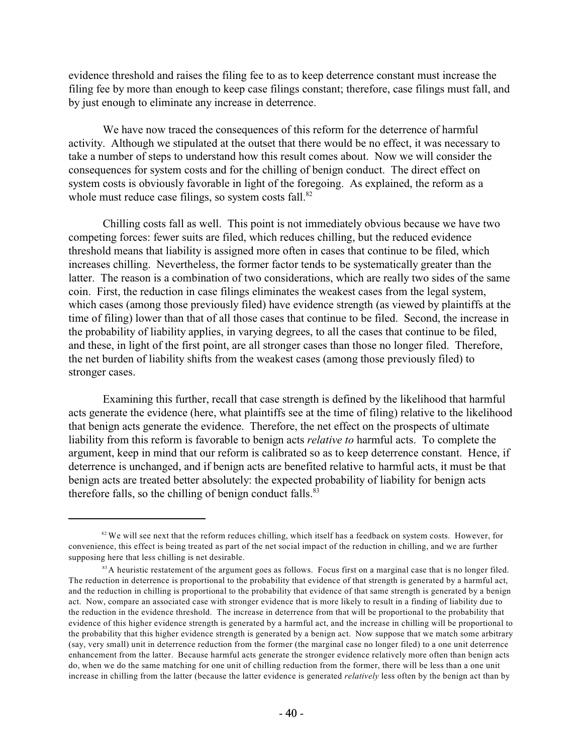evidence threshold and raises the filing fee to as to keep deterrence constant must increase the filing fee by more than enough to keep case filings constant; therefore, case filings must fall, and by just enough to eliminate any increase in deterrence.

We have now traced the consequences of this reform for the deterrence of harmful activity. Although we stipulated at the outset that there would be no effect, it was necessary to take a number of steps to understand how this result comes about. Now we will consider the consequences for system costs and for the chilling of benign conduct. The direct effect on system costs is obviously favorable in light of the foregoing. As explained, the reform as a whole must reduce case filings, so system costs fall. $82$ 

Chilling costs fall as well. This point is not immediately obvious because we have two competing forces: fewer suits are filed, which reduces chilling, but the reduced evidence threshold means that liability is assigned more often in cases that continue to be filed, which increases chilling. Nevertheless, the former factor tends to be systematically greater than the latter. The reason is a combination of two considerations, which are really two sides of the same coin. First, the reduction in case filings eliminates the weakest cases from the legal system, which cases (among those previously filed) have evidence strength (as viewed by plaintiffs at the time of filing) lower than that of all those cases that continue to be filed. Second, the increase in the probability of liability applies, in varying degrees, to all the cases that continue to be filed, and these, in light of the first point, are all stronger cases than those no longer filed. Therefore, the net burden of liability shifts from the weakest cases (among those previously filed) to stronger cases.

Examining this further, recall that case strength is defined by the likelihood that harmful acts generate the evidence (here, what plaintiffs see at the time of filing) relative to the likelihood that benign acts generate the evidence. Therefore, the net effect on the prospects of ultimate liability from this reform is favorable to benign acts *relative to* harmful acts. To complete the argument, keep in mind that our reform is calibrated so as to keep deterrence constant. Hence, if deterrence is unchanged, and if benign acts are benefited relative to harmful acts, it must be that benign acts are treated better absolutely: the expected probability of liability for benign acts therefore falls, so the chilling of benign conduct falls. $83$ 

 $s<sup>32</sup>$  We will see next that the reform reduces chilling, which itself has a feedback on system costs. However, for convenience, this effect is being treated as part of the net social impact of the reduction in chilling, and we are further supposing here that less chilling is net desirable.

 $83A$  heuristic restatement of the argument goes as follows. Focus first on a marginal case that is no longer filed. The reduction in deterrence is proportional to the probability that evidence of that strength is generated by a harmful act, and the reduction in chilling is proportional to the probability that evidence of that same strength is generated by a benign act. Now, compare an associated case with stronger evidence that is more likely to result in a finding of liability due to the reduction in the evidence threshold. The increase in deterrence from that will be proportional to the probability that evidence of this higher evidence strength is generated by a harmful act, and the increase in chilling will be proportional to the probability that this higher evidence strength is generated by a benign act. Now suppose that we match some arbitrary (say, very small) unit in deterrence reduction from the former (the marginal case no longer filed) to a one unit deterrence enhancement from the latter. Because harmful acts generate the stronger evidence relatively more often than benign acts do, when we do the same matching for one unit of chilling reduction from the former, there will be less than a one unit increase in chilling from the latter (because the latter evidence is generated *relatively* less often by the benign act than by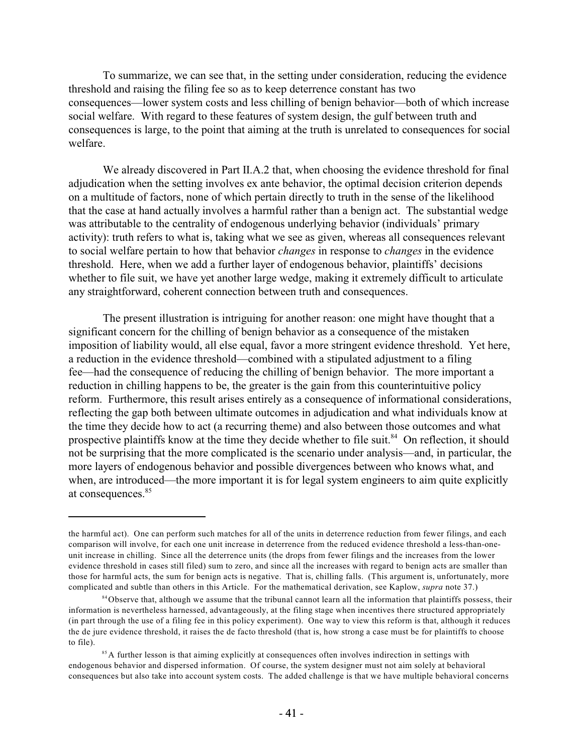To summarize, we can see that, in the setting under consideration, reducing the evidence threshold and raising the filing fee so as to keep deterrence constant has two consequences—lower system costs and less chilling of benign behavior—both of which increase social welfare. With regard to these features of system design, the gulf between truth and consequences is large, to the point that aiming at the truth is unrelated to consequences for social welfare.

We already discovered in Part II.A.2 that, when choosing the evidence threshold for final adjudication when the setting involves ex ante behavior, the optimal decision criterion depends on a multitude of factors, none of which pertain directly to truth in the sense of the likelihood that the case at hand actually involves a harmful rather than a benign act. The substantial wedge was attributable to the centrality of endogenous underlying behavior (individuals' primary activity): truth refers to what is, taking what we see as given, whereas all consequences relevant to social welfare pertain to how that behavior *changes* in response to *changes* in the evidence threshold. Here, when we add a further layer of endogenous behavior, plaintiffs' decisions whether to file suit, we have yet another large wedge, making it extremely difficult to articulate any straightforward, coherent connection between truth and consequences.

The present illustration is intriguing for another reason: one might have thought that a significant concern for the chilling of benign behavior as a consequence of the mistaken imposition of liability would, all else equal, favor a more stringent evidence threshold. Yet here, a reduction in the evidence threshold—combined with a stipulated adjustment to a filing fee—had the consequence of reducing the chilling of benign behavior. The more important a reduction in chilling happens to be, the greater is the gain from this counterintuitive policy reform. Furthermore, this result arises entirely as a consequence of informational considerations, reflecting the gap both between ultimate outcomes in adjudication and what individuals know at the time they decide how to act (a recurring theme) and also between those outcomes and what prospective plaintiffs know at the time they decide whether to file suit.<sup>84</sup> On reflection, it should not be surprising that the more complicated is the scenario under analysis—and, in particular, the more layers of endogenous behavior and possible divergences between who knows what, and when, are introduced—the more important it is for legal system engineers to aim quite explicitly at consequences.<sup>85</sup>

the harmful act). One can perform such matches for all of the units in deterrence reduction from fewer filings, and each comparison will involve, for each one unit increase in deterrence from the reduced evidence threshold a less-than-oneunit increase in chilling. Since all the deterrence units (the drops from fewer filings and the increases from the lower evidence threshold in cases still filed) sum to zero, and since all the increases with regard to benign acts are smaller than those for harmful acts, the sum for benign acts is negative. That is, chilling falls. (This argument is, unfortunately, more complicated and subtle than others in this Article. For the mathematical derivation, see Kaplow, *supra* note 37.)

<sup>&</sup>lt;sup>84</sup>Observe that, although we assume that the tribunal cannot learn all the information that plaintiffs possess, their information is nevertheless harnessed, advantageously, at the filing stage when incentives there structured appropriately (in part through the use of a filing fee in this policy experiment). One way to view this reform is that, although it reduces the de jure evidence threshold, it raises the de facto threshold (that is, how strong a case must be for plaintiffs to choose to file).

<sup>&</sup>lt;sup>85</sup> A further lesson is that aiming explicitly at consequences often involves indirection in settings with endogenous behavior and dispersed information. Of course, the system designer must not aim solely at behavioral consequences but also take into account system costs. The added challenge is that we have multiple behavioral concerns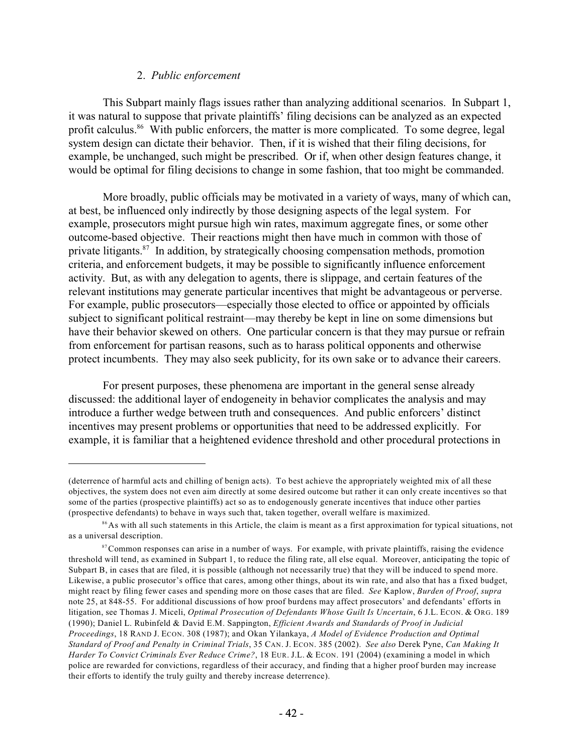# 2. *Public enforcement*

This Subpart mainly flags issues rather than analyzing additional scenarios. In Subpart 1, it was natural to suppose that private plaintiffs' filing decisions can be analyzed as an expected profit calculus.<sup>86</sup> With public enforcers, the matter is more complicated. To some degree, legal system design can dictate their behavior. Then, if it is wished that their filing decisions, for example, be unchanged, such might be prescribed. Or if, when other design features change, it would be optimal for filing decisions to change in some fashion, that too might be commanded.

More broadly, public officials may be motivated in a variety of ways, many of which can, at best, be influenced only indirectly by those designing aspects of the legal system. For example, prosecutors might pursue high win rates, maximum aggregate fines, or some other outcome-based objective. Their reactions might then have much in common with those of private litigants. $87$  In addition, by strategically choosing compensation methods, promotion criteria, and enforcement budgets, it may be possible to significantly influence enforcement activity. But, as with any delegation to agents, there is slippage, and certain features of the relevant institutions may generate particular incentives that might be advantageous or perverse. For example, public prosecutors—especially those elected to office or appointed by officials subject to significant political restraint—may thereby be kept in line on some dimensions but have their behavior skewed on others. One particular concern is that they may pursue or refrain from enforcement for partisan reasons, such as to harass political opponents and otherwise protect incumbents. They may also seek publicity, for its own sake or to advance their careers.

For present purposes, these phenomena are important in the general sense already discussed: the additional layer of endogeneity in behavior complicates the analysis and may introduce a further wedge between truth and consequences. And public enforcers' distinct incentives may present problems or opportunities that need to be addressed explicitly. For example, it is familiar that a heightened evidence threshold and other procedural protections in

<sup>(</sup>deterrence of harmful acts and chilling of benign acts). To best achieve the appropriately weighted mix of all these objectives, the system does not even aim directly at some desired outcome but rather it can only create incentives so that some of the parties (prospective plaintiffs) act so as to endogenously generate incentives that induce other parties (prospective defendants) to behave in ways such that, taken together, overall welfare is maximized.

<sup>&</sup>lt;sup>86</sup> As with all such statements in this Article, the claim is meant as a first approximation for typical situations, not as a universal description.

 $\beta$ <sup>7</sup> Common responses can arise in a number of ways. For example, with private plaintiffs, raising the evidence threshold will tend, as examined in Subpart 1, to reduce the filing rate, all else equal. Moreover, anticipating the topic of Subpart B, in cases that are filed, it is possible (although not necessarily true) that they will be induced to spend more. Likewise, a public prosecutor's office that cares, among other things, about its win rate, and also that has a fixed budget, might react by filing fewer cases and spending more on those cases that are filed. *See* Kaplow, *Burden of Proof*, *supra* note 25, at 848-55. For additional discussions of how proof burdens may affect prosecutors' and defendants' efforts in litigation, see Thomas J. Miceli, *Optimal Prosecution of Defendants Whose Guilt Is Uncertain*, 6 J.L. ECON. & ORG. 189 (1990); Daniel L. Rubinfeld & David E.M. Sappington, *Efficient Awards and Standards of Proof in Judicial Proceedings*, 18 RAND J. ECON. 308 (1987); and Okan Yilankaya, *A Model of Evidence Production and Optimal Standard of Proof and Penalty in Criminal Trials*, 35 CAN. J. ECON. 385 (2002). *See also* Derek Pyne, *Can Making It Harder To Convict Criminals Ever Reduce Crime?*, 18 EUR. J.L. & ECON. 191 (2004) (examining a model in which police are rewarded for convictions, regardless of their accuracy, and finding that a higher proof burden may increase their efforts to identify the truly guilty and thereby increase deterrence).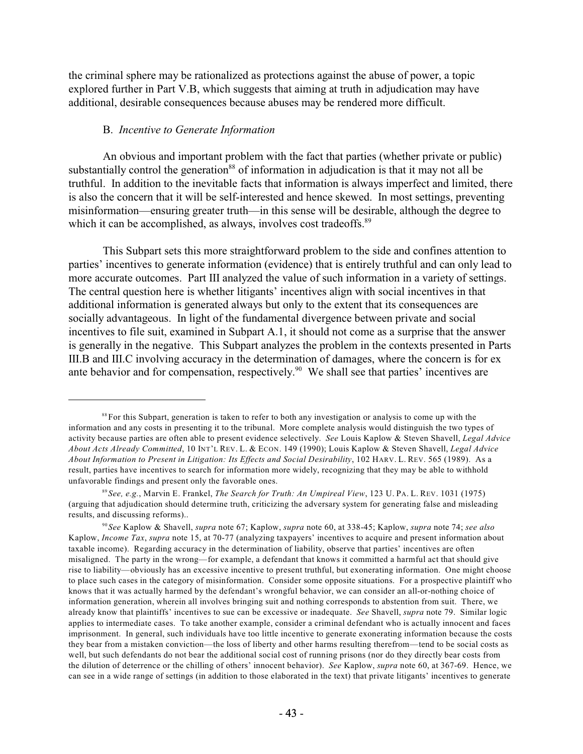the criminal sphere may be rationalized as protections against the abuse of power, a topic explored further in Part V.B, which suggests that aiming at truth in adjudication may have additional, desirable consequences because abuses may be rendered more difficult.

#### B. *Incentive to Generate Information*

An obvious and important problem with the fact that parties (whether private or public) substantially control the generation<sup>88</sup> of information in adjudication is that it may not all be truthful. In addition to the inevitable facts that information is always imperfect and limited, there is also the concern that it will be self-interested and hence skewed. In most settings, preventing misinformation—ensuring greater truth—in this sense will be desirable, although the degree to which it can be accomplished, as always, involves cost tradeoffs.<sup>89</sup>

This Subpart sets this more straightforward problem to the side and confines attention to parties' incentives to generate information (evidence) that is entirely truthful and can only lead to more accurate outcomes. Part III analyzed the value of such information in a variety of settings. The central question here is whether litigants' incentives align with social incentives in that additional information is generated always but only to the extent that its consequences are socially advantageous. In light of the fundamental divergence between private and social incentives to file suit, examined in Subpart A.1, it should not come as a surprise that the answer is generally in the negative. This Subpart analyzes the problem in the contexts presented in Parts III.B and III.C involving accuracy in the determination of damages, where the concern is for ex ante behavior and for compensation, respectively.<sup>90</sup> We shall see that parties' incentives are

<sup>&</sup>lt;sup>88</sup> For this Subpart, generation is taken to refer to both any investigation or analysis to come up with the information and any costs in presenting it to the tribunal. More complete analysis would distinguish the two types of activity because parties are often able to present evidence selectively. *See* Louis Kaplow & Steven Shavell, *Legal Advice About Acts Already Committed*, 10 INT'L REV. L. & ECON. 149 (1990); Louis Kaplow & Steven Shavell, *Legal Advice About Information to Present in Litigation: Its Effects and Social Desirability*, 102 HARV. L. REV. 565 (1989). As a result, parties have incentives to search for information more widely, recognizing that they may be able to withhold unfavorable findings and present only the favorable ones.

*See, e.g.*, Marvin E. Frankel, *The Search for Truth: An Umpireal View*, 123 U. PA. L. REV. 1031 (1975) 89 (arguing that adjudication should determine truth, criticizing the adversary system for generating false and misleading results, and discussing reforms)..

*See* Kaplow & Shavell, *supra* note 67; Kaplow, *supra* note 60, at 338-45; Kaplow, *supra* note 74; *see also* 90 Kaplow, *Income Tax*, *supra* note 15, at 70-77 (analyzing taxpayers' incentives to acquire and present information about taxable income). Regarding accuracy in the determination of liability, observe that parties' incentives are often misaligned. The party in the wrong—for example, a defendant that knows it committed a harmful act that should give rise to liability—obviously has an excessive incentive to present truthful, but exonerating information. One might choose to place such cases in the category of misinformation. Consider some opposite situations. For a prospective plaintiff who knows that it was actually harmed by the defendant's wrongful behavior, we can consider an all-or-nothing choice of information generation, wherein all involves bringing suit and nothing corresponds to abstention from suit. There, we already know that plaintiffs' incentives to sue can be excessive or inadequate. *See* Shavell, *supra* note 79. Similar logic applies to intermediate cases. To take another example, consider a criminal defendant who is actually innocent and faces imprisonment. In general, such individuals have too little incentive to generate exonerating information because the costs they bear from a mistaken conviction—the loss of liberty and other harms resulting therefrom—tend to be social costs as well, but such defendants do not bear the additional social cost of running prisons (nor do they directly bear costs from the dilution of deterrence or the chilling of others' innocent behavior). *See* Kaplow, *supra* note 60, at 367-69. Hence, we can see in a wide range of settings (in addition to those elaborated in the text) that private litigants' incentives to generate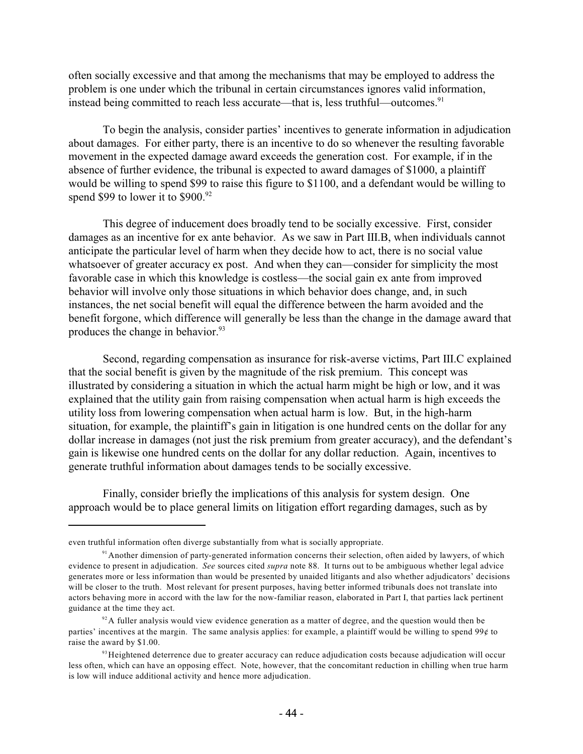often socially excessive and that among the mechanisms that may be employed to address the problem is one under which the tribunal in certain circumstances ignores valid information, instead being committed to reach less accurate—that is, less truthful—outcomes.<sup>91</sup>

To begin the analysis, consider parties' incentives to generate information in adjudication about damages. For either party, there is an incentive to do so whenever the resulting favorable movement in the expected damage award exceeds the generation cost. For example, if in the absence of further evidence, the tribunal is expected to award damages of \$1000, a plaintiff would be willing to spend \$99 to raise this figure to \$1100, and a defendant would be willing to spend \$99 to lower it to  $$900.<sup>92</sup>$ 

This degree of inducement does broadly tend to be socially excessive. First, consider damages as an incentive for ex ante behavior. As we saw in Part III.B, when individuals cannot anticipate the particular level of harm when they decide how to act, there is no social value whatsoever of greater accuracy ex post. And when they can—consider for simplicity the most favorable case in which this knowledge is costless—the social gain ex ante from improved behavior will involve only those situations in which behavior does change, and, in such instances, the net social benefit will equal the difference between the harm avoided and the benefit forgone, which difference will generally be less than the change in the damage award that produces the change in behavior.<sup>93</sup>

Second, regarding compensation as insurance for risk-averse victims, Part III.C explained that the social benefit is given by the magnitude of the risk premium. This concept was illustrated by considering a situation in which the actual harm might be high or low, and it was explained that the utility gain from raising compensation when actual harm is high exceeds the utility loss from lowering compensation when actual harm is low. But, in the high-harm situation, for example, the plaintiff's gain in litigation is one hundred cents on the dollar for any dollar increase in damages (not just the risk premium from greater accuracy), and the defendant's gain is likewise one hundred cents on the dollar for any dollar reduction. Again, incentives to generate truthful information about damages tends to be socially excessive.

Finally, consider briefly the implications of this analysis for system design. One approach would be to place general limits on litigation effort regarding damages, such as by

even truthful information often diverge substantially from what is socially appropriate.

<sup>&</sup>lt;sup>91</sup> Another dimension of party-generated information concerns their selection, often aided by lawyers, of which evidence to present in adjudication. *See* sources cited *supra* note 88. It turns out to be ambiguous whether legal advice generates more or less information than would be presented by unaided litigants and also whether adjudicators' decisions will be closer to the truth. Most relevant for present purposes, having better informed tribunals does not translate into actors behaving more in accord with the law for the now-familiar reason, elaborated in Part I, that parties lack pertinent guidance at the time they act.

 $92$ A fuller analysis would view evidence generation as a matter of degree, and the question would then be parties' incentives at the margin. The same analysis applies: for example, a plaintiff would be willing to spend 99¢ to raise the award by \$1.00.

<sup>&</sup>lt;sup>93</sup> Heightened deterrence due to greater accuracy can reduce adjudication costs because adjudication will occur less often, which can have an opposing effect. Note, however, that the concomitant reduction in chilling when true harm is low will induce additional activity and hence more adjudication.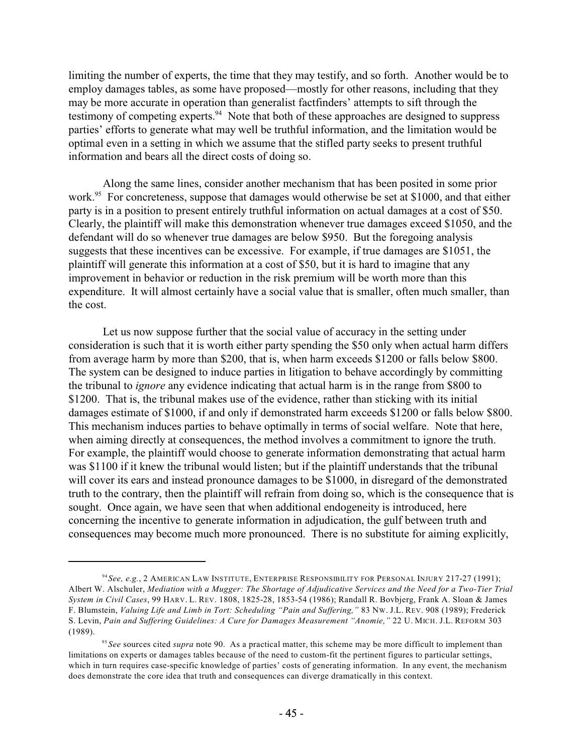limiting the number of experts, the time that they may testify, and so forth. Another would be to employ damages tables, as some have proposed—mostly for other reasons, including that they may be more accurate in operation than generalist factfinders' attempts to sift through the testimony of competing experts.  $94$  Note that both of these approaches are designed to suppress parties' efforts to generate what may well be truthful information, and the limitation would be optimal even in a setting in which we assume that the stifled party seeks to present truthful information and bears all the direct costs of doing so.

Along the same lines, consider another mechanism that has been posited in some prior work.<sup>95</sup> For concreteness, suppose that damages would otherwise be set at \$1000, and that either party is in a position to present entirely truthful information on actual damages at a cost of \$50. Clearly, the plaintiff will make this demonstration whenever true damages exceed \$1050, and the defendant will do so whenever true damages are below \$950. But the foregoing analysis suggests that these incentives can be excessive. For example, if true damages are \$1051, the plaintiff will generate this information at a cost of \$50, but it is hard to imagine that any improvement in behavior or reduction in the risk premium will be worth more than this expenditure. It will almost certainly have a social value that is smaller, often much smaller, than the cost.

Let us now suppose further that the social value of accuracy in the setting under consideration is such that it is worth either party spending the \$50 only when actual harm differs from average harm by more than \$200, that is, when harm exceeds \$1200 or falls below \$800. The system can be designed to induce parties in litigation to behave accordingly by committing the tribunal to *ignore* any evidence indicating that actual harm is in the range from \$800 to \$1200. That is, the tribunal makes use of the evidence, rather than sticking with its initial damages estimate of \$1000, if and only if demonstrated harm exceeds \$1200 or falls below \$800. This mechanism induces parties to behave optimally in terms of social welfare. Note that here, when aiming directly at consequences, the method involves a commitment to ignore the truth. For example, the plaintiff would choose to generate information demonstrating that actual harm was \$1100 if it knew the tribunal would listen; but if the plaintiff understands that the tribunal will cover its ears and instead pronounce damages to be \$1000, in disregard of the demonstrated truth to the contrary, then the plaintiff will refrain from doing so, which is the consequence that is sought. Once again, we have seen that when additional endogeneity is introduced, here concerning the incentive to generate information in adjudication, the gulf between truth and consequences may become much more pronounced. There is no substitute for aiming explicitly,

*See, e.g.*, 2 AMERICAN LAW INSTITUTE, ENTERPRISE RESPONSIBILITY FOR PERSONAL INJURY 217-27 (1991); 94 Albert W. Alschuler, Mediation with a Mugger: The Shortage of Adjudicative Services and the Need for a Two-Tier Trial *System in Civil Cases*, 99 HARV. L. REV. 1808, 1825-28, 1853-54 (1986); Randall R. Bovbjerg, Frank A. Sloan & James F. Blumstein, *Valuing Life and Limb in Tort: Scheduling "Pain and Suffering,"* 83 NW. J.L. REV. 908 (1989); Frederick S. Levin, *Pain and Suffering Guidelines: A Cure for Damages Measurement "Anomie,"* 22 U. MICH. J.L. REFORM 303 (1989).

<sup>&</sup>lt;sup>95</sup> See sources cited *supra* note 90. As a practical matter, this scheme may be more difficult to implement than limitations on experts or damages tables because of the need to custom-fit the pertinent figures to particular settings, which in turn requires case-specific knowledge of parties' costs of generating information. In any event, the mechanism does demonstrate the core idea that truth and consequences can diverge dramatically in this context.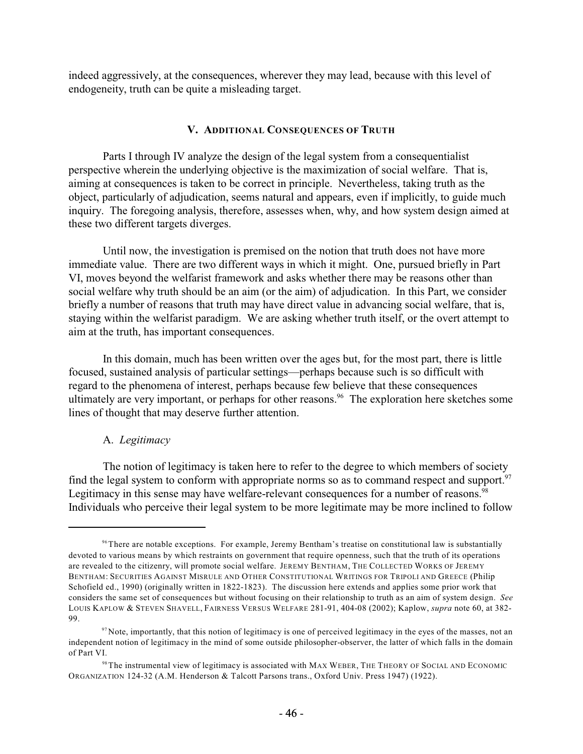indeed aggressively, at the consequences, wherever they may lead, because with this level of endogeneity, truth can be quite a misleading target.

# **V. ADDITIONAL CONSEQUENCES OF TRUTH**

Parts I through IV analyze the design of the legal system from a consequentialist perspective wherein the underlying objective is the maximization of social welfare. That is, aiming at consequences is taken to be correct in principle. Nevertheless, taking truth as the object, particularly of adjudication, seems natural and appears, even if implicitly, to guide much inquiry. The foregoing analysis, therefore, assesses when, why, and how system design aimed at these two different targets diverges.

Until now, the investigation is premised on the notion that truth does not have more immediate value. There are two different ways in which it might. One, pursued briefly in Part VI, moves beyond the welfarist framework and asks whether there may be reasons other than social welfare why truth should be an aim (or the aim) of adjudication. In this Part, we consider briefly a number of reasons that truth may have direct value in advancing social welfare, that is, staying within the welfarist paradigm. We are asking whether truth itself, or the overt attempt to aim at the truth, has important consequences.

In this domain, much has been written over the ages but, for the most part, there is little focused, sustained analysis of particular settings—perhaps because such is so difficult with regard to the phenomena of interest, perhaps because few believe that these consequences ultimately are very important, or perhaps for other reasons.<sup>96</sup> The exploration here sketches some lines of thought that may deserve further attention.

# A. *Legitimacy*

The notion of legitimacy is taken here to refer to the degree to which members of society find the legal system to conform with appropriate norms so as to command respect and support.<sup>97</sup> Legitimacy in this sense may have welfare-relevant consequences for a number of reasons.<sup>98</sup> Individuals who perceive their legal system to be more legitimate may be more inclined to follow

<sup>&</sup>lt;sup>96</sup> There are notable exceptions. For example, Jeremy Bentham's treatise on constitutional law is substantially devoted to various means by which restraints on government that require openness, such that the truth of its operations are revealed to the citizenry, will promote social welfare. JEREMY BENTHAM, THE COLLECTED WORKS OF JEREMY BENTHAM: SECURITIES AGAINST MISRULE AND OTHER CONSTITUTIONAL WRITINGS FOR TRIPOLI AND GREECE (Philip Schofield ed., 1990) (originally written in 1822-1823). The discussion here extends and applies some prior work that considers the same set of consequences but without focusing on their relationship to truth as an aim of system design. *See* LOUIS KAPLOW & STEVEN SHAVELL, FAIRNESS VERSUS WELFARE 281-91, 404-08 (2002); Kaplow, *supra* note 60, at 382- 99.

 $\frac{97}{97}$  Note, importantly, that this notion of legitimacy is one of perceived legitimacy in the eyes of the masses, not an independent notion of legitimacy in the mind of some outside philosopher-observer, the latter of which falls in the domain of Part VI.

<sup>&</sup>lt;sup>98</sup> The instrumental view of legitimacy is associated with MAX WEBER, THE THEORY OF SOCIAL AND ECONOMIC ORGANIZATION 124-32 (A.M. Henderson & Talcott Parsons trans., Oxford Univ. Press 1947) (1922).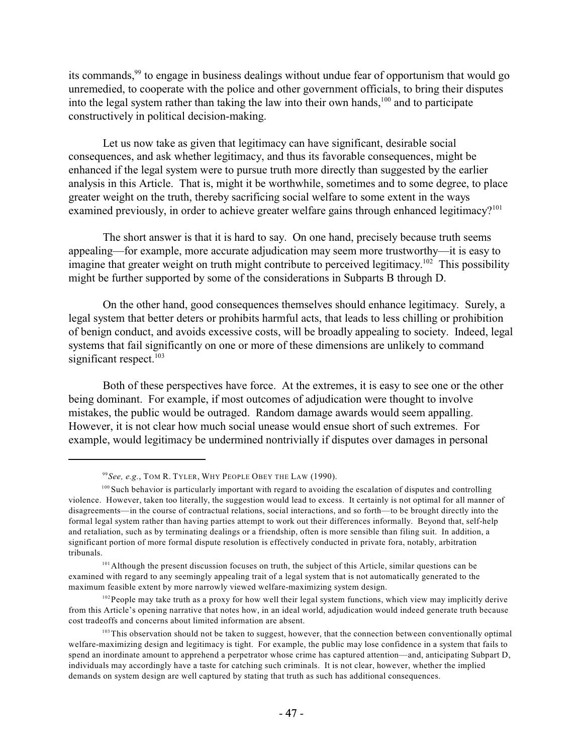its commands,  $99$  to engage in business dealings without undue fear of opportunism that would go unremedied, to cooperate with the police and other government officials, to bring their disputes into the legal system rather than taking the law into their own hands,  $100$  and to participate constructively in political decision-making.

Let us now take as given that legitimacy can have significant, desirable social consequences, and ask whether legitimacy, and thus its favorable consequences, might be enhanced if the legal system were to pursue truth more directly than suggested by the earlier analysis in this Article. That is, might it be worthwhile, sometimes and to some degree, to place greater weight on the truth, thereby sacrificing social welfare to some extent in the ways examined previously, in order to achieve greater welfare gains through enhanced legitimacy?<sup>101</sup>

The short answer is that it is hard to say. On one hand, precisely because truth seems appealing—for example, more accurate adjudication may seem more trustworthy—it is easy to imagine that greater weight on truth might contribute to perceived legitimacy.<sup>102</sup> This possibility might be further supported by some of the considerations in Subparts B through D.

On the other hand, good consequences themselves should enhance legitimacy. Surely, a legal system that better deters or prohibits harmful acts, that leads to less chilling or prohibition of benign conduct, and avoids excessive costs, will be broadly appealing to society. Indeed, legal systems that fail significantly on one or more of these dimensions are unlikely to command significant respect.<sup>103</sup>

Both of these perspectives have force. At the extremes, it is easy to see one or the other being dominant. For example, if most outcomes of adjudication were thought to involve mistakes, the public would be outraged. Random damage awards would seem appalling. However, it is not clear how much social unease would ensue short of such extremes. For example, would legitimacy be undermined nontrivially if disputes over damages in personal

*See, e.g.*, TOM R. TYLER, WHY PEOPLE OBEY THE LAW (1990). 99

<sup>&</sup>lt;sup>100</sup> Such behavior is particularly important with regard to avoiding the escalation of disputes and controlling violence. However, taken too literally, the suggestion would lead to excess. It certainly is not optimal for all manner of disagreements—in the course of contractual relations, social interactions, and so forth—to be brought directly into the formal legal system rather than having parties attempt to work out their differences informally. Beyond that, self-help and retaliation, such as by terminating dealings or a friendship, often is more sensible than filing suit. In addition, a significant portion of more formal dispute resolution is effectively conducted in private fora, notably, arbitration tribunals.

<sup>&</sup>lt;sup>101</sup> Although the present discussion focuses on truth, the subject of this Article, similar questions can be examined with regard to any seemingly appealing trait of a legal system that is not automatically generated to the maximum feasible extent by more narrowly viewed welfare-maximizing system design.

 $102$  People may take truth as a proxy for how well their legal system functions, which view may implicitly derive from this Article's opening narrative that notes how, in an ideal world, adjudication would indeed generate truth because cost tradeoffs and concerns about limited information are absent.

<sup>&</sup>lt;sup>103</sup> This observation should not be taken to suggest, however, that the connection between conventionally optimal welfare-maximizing design and legitimacy is tight. For example, the public may lose confidence in a system that fails to spend an inordinate amount to apprehend a perpetrator whose crime has captured attention—and, anticipating Subpart D, individuals may accordingly have a taste for catching such criminals. It is not clear, however, whether the implied demands on system design are well captured by stating that truth as such has additional consequences.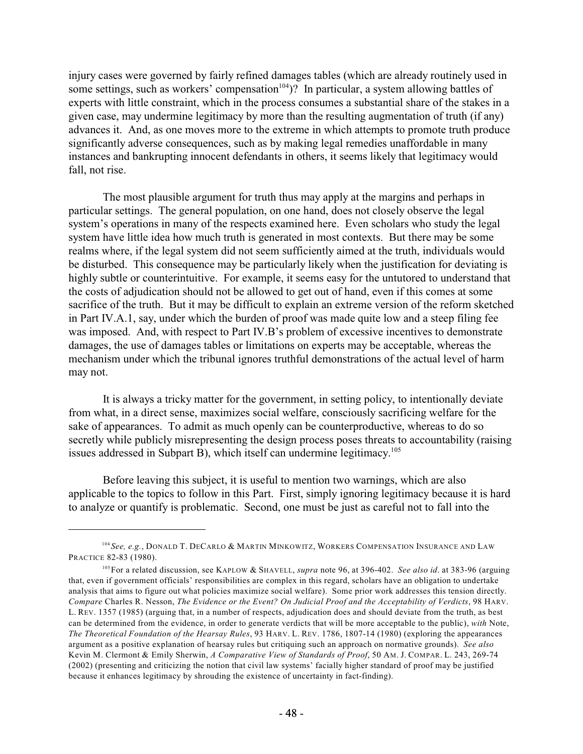injury cases were governed by fairly refined damages tables (which are already routinely used in some settings, such as workers' compensation<sup>104</sup>)? In particular, a system allowing battles of experts with little constraint, which in the process consumes a substantial share of the stakes in a given case, may undermine legitimacy by more than the resulting augmentation of truth (if any) advances it. And, as one moves more to the extreme in which attempts to promote truth produce significantly adverse consequences, such as by making legal remedies unaffordable in many instances and bankrupting innocent defendants in others, it seems likely that legitimacy would fall, not rise.

The most plausible argument for truth thus may apply at the margins and perhaps in particular settings. The general population, on one hand, does not closely observe the legal system's operations in many of the respects examined here. Even scholars who study the legal system have little idea how much truth is generated in most contexts. But there may be some realms where, if the legal system did not seem sufficiently aimed at the truth, individuals would be disturbed. This consequence may be particularly likely when the justification for deviating is highly subtle or counterintuitive. For example, it seems easy for the untutored to understand that the costs of adjudication should not be allowed to get out of hand, even if this comes at some sacrifice of the truth. But it may be difficult to explain an extreme version of the reform sketched in Part IV.A.1, say, under which the burden of proof was made quite low and a steep filing fee was imposed. And, with respect to Part IV.B's problem of excessive incentives to demonstrate damages, the use of damages tables or limitations on experts may be acceptable, whereas the mechanism under which the tribunal ignores truthful demonstrations of the actual level of harm may not.

It is always a tricky matter for the government, in setting policy, to intentionally deviate from what, in a direct sense, maximizes social welfare, consciously sacrificing welfare for the sake of appearances. To admit as much openly can be counterproductive, whereas to do so secretly while publicly misrepresenting the design process poses threats to accountability (raising issues addressed in Subpart B), which itself can undermine legitimacy.<sup>105</sup>

Before leaving this subject, it is useful to mention two warnings, which are also applicable to the topics to follow in this Part. First, simply ignoring legitimacy because it is hard to analyze or quantify is problematic. Second, one must be just as careful not to fall into the

<sup>&</sup>lt;sup>104</sup> See, e.g., Donald T. DeCarlo & Martin Minkowitz, Workers Compensation Insurance and Law PRACTICE 82-83 (1980).

For a related discussion, see KAPLOW & SHAVELL, *supra* note 96, at 396-402. *See also id*. at 383-96 (arguing 105 that, even if government officials' responsibilities are complex in this regard, scholars have an obligation to undertake analysis that aims to figure out what policies maximize social welfare). Some prior work addresses this tension directly. *Compare* Charles R. Nesson, *The Evidence or the Event? On Judicial Proof and the Acceptability of Verdicts*, 98 HARV. L. REV. 1357 (1985) (arguing that, in a number of respects, adjudication does and should deviate from the truth, as best can be determined from the evidence, in order to generate verdicts that will be more acceptable to the public), *with* Note, *The Theoretical Foundation of the Hearsay Rules*, 93 HARV. L. REV. 1786, 1807-14 (1980) (exploring the appearances argument as a positive explanation of hearsay rules but critiquing such an approach on normative grounds). *See also* Kevin M. Clermont & Emily Sherwin, *A Comparative View of Standards of Proof*, 50 AM. J. COMPAR. L. 243, 269-74 (2002) (presenting and criticizing the notion that civil law systems' facially higher standard of proof may be justified because it enhances legitimacy by shrouding the existence of uncertainty in fact-finding).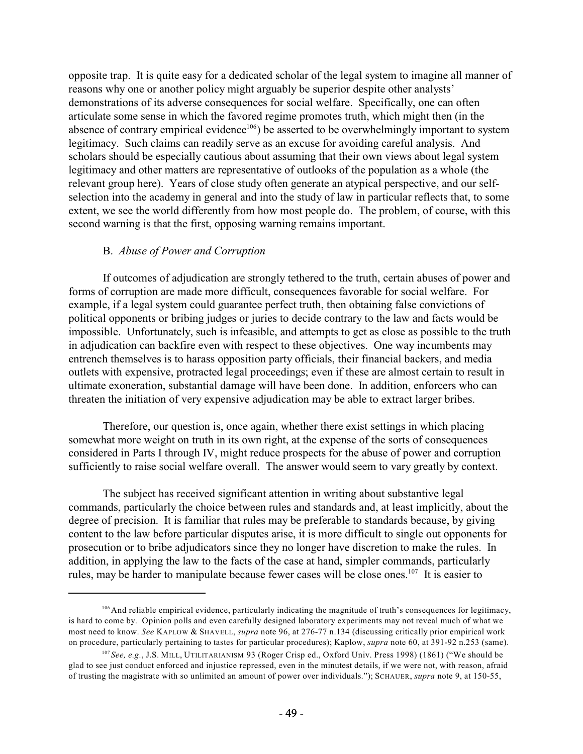opposite trap. It is quite easy for a dedicated scholar of the legal system to imagine all manner of reasons why one or another policy might arguably be superior despite other analysts' demonstrations of its adverse consequences for social welfare. Specifically, one can often articulate some sense in which the favored regime promotes truth, which might then (in the absence of contrary empirical evidence<sup>106</sup>) be asserted to be overwhelmingly important to system legitimacy. Such claims can readily serve as an excuse for avoiding careful analysis. And scholars should be especially cautious about assuming that their own views about legal system legitimacy and other matters are representative of outlooks of the population as a whole (the relevant group here). Years of close study often generate an atypical perspective, and our selfselection into the academy in general and into the study of law in particular reflects that, to some extent, we see the world differently from how most people do. The problem, of course, with this second warning is that the first, opposing warning remains important.

# B. *Abuse of Power and Corruption*

If outcomes of adjudication are strongly tethered to the truth, certain abuses of power and forms of corruption are made more difficult, consequences favorable for social welfare. For example, if a legal system could guarantee perfect truth, then obtaining false convictions of political opponents or bribing judges or juries to decide contrary to the law and facts would be impossible. Unfortunately, such is infeasible, and attempts to get as close as possible to the truth in adjudication can backfire even with respect to these objectives. One way incumbents may entrench themselves is to harass opposition party officials, their financial backers, and media outlets with expensive, protracted legal proceedings; even if these are almost certain to result in ultimate exoneration, substantial damage will have been done. In addition, enforcers who can threaten the initiation of very expensive adjudication may be able to extract larger bribes.

Therefore, our question is, once again, whether there exist settings in which placing somewhat more weight on truth in its own right, at the expense of the sorts of consequences considered in Parts I through IV, might reduce prospects for the abuse of power and corruption sufficiently to raise social welfare overall. The answer would seem to vary greatly by context.

The subject has received significant attention in writing about substantive legal commands, particularly the choice between rules and standards and, at least implicitly, about the degree of precision. It is familiar that rules may be preferable to standards because, by giving content to the law before particular disputes arise, it is more difficult to single out opponents for prosecution or to bribe adjudicators since they no longer have discretion to make the rules. In addition, in applying the law to the facts of the case at hand, simpler commands, particularly rules, may be harder to manipulate because fewer cases will be close ones.<sup>107</sup> It is easier to

<sup>&</sup>lt;sup>106</sup> And reliable empirical evidence, particularly indicating the magnitude of truth's consequences for legitimacy, is hard to come by. Opinion polls and even carefully designed laboratory experiments may not reveal much of what we most need to know. *See* KAPLOW & SHAVELL, *supra* note 96, at 276-77 n.134 (discussing critically prior empirical work on procedure, particularly pertaining to tastes for particular procedures); Kaplow, *supra* note 60, at 391-92 n.253 (same).

*See, e.g.*, J.S. MILL, UTILITARIANISM 93 (Roger Crisp ed., Oxford Univ. Press 1998) (1861) ("We should be 107 glad to see just conduct enforced and injustice repressed, even in the minutest details, if we were not, with reason, afraid of trusting the magistrate with so unlimited an amount of power over individuals."); SCHAUER, *supra* note 9, at 150-55,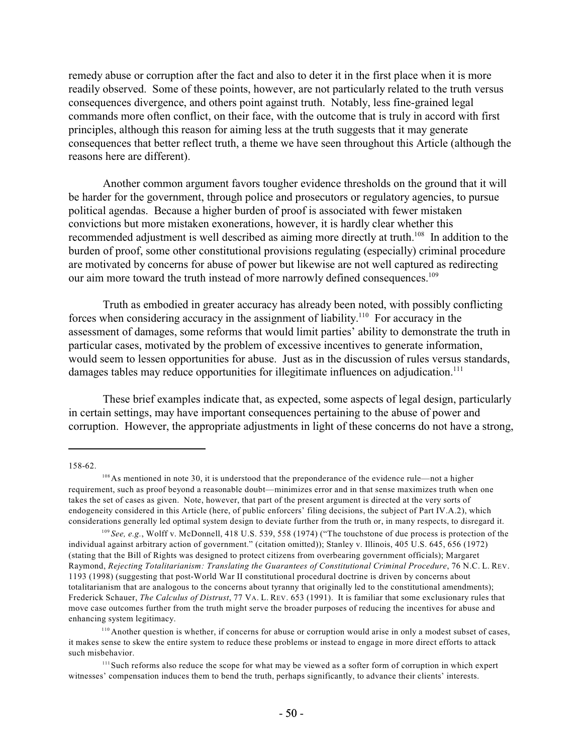remedy abuse or corruption after the fact and also to deter it in the first place when it is more readily observed. Some of these points, however, are not particularly related to the truth versus consequences divergence, and others point against truth. Notably, less fine-grained legal commands more often conflict, on their face, with the outcome that is truly in accord with first principles, although this reason for aiming less at the truth suggests that it may generate consequences that better reflect truth, a theme we have seen throughout this Article (although the reasons here are different).

Another common argument favors tougher evidence thresholds on the ground that it will be harder for the government, through police and prosecutors or regulatory agencies, to pursue political agendas. Because a higher burden of proof is associated with fewer mistaken convictions but more mistaken exonerations, however, it is hardly clear whether this recommended adjustment is well described as aiming more directly at truth.<sup>108</sup> In addition to the burden of proof, some other constitutional provisions regulating (especially) criminal procedure are motivated by concerns for abuse of power but likewise are not well captured as redirecting our aim more toward the truth instead of more narrowly defined consequences.<sup>109</sup>

Truth as embodied in greater accuracy has already been noted, with possibly conflicting forces when considering accuracy in the assignment of liability.<sup>110</sup> For accuracy in the assessment of damages, some reforms that would limit parties' ability to demonstrate the truth in particular cases, motivated by the problem of excessive incentives to generate information, would seem to lessen opportunities for abuse. Just as in the discussion of rules versus standards, damages tables may reduce opportunities for illegitimate influences on adjudication.<sup>111</sup>

These brief examples indicate that, as expected, some aspects of legal design, particularly in certain settings, may have important consequences pertaining to the abuse of power and corruption. However, the appropriate adjustments in light of these concerns do not have a strong,

158-62.

<sup>&</sup>lt;sup>108</sup> As mentioned in note 30, it is understood that the preponderance of the evidence rule—not a higher requirement, such as proof beyond a reasonable doubt—minimizes error and in that sense maximizes truth when one takes the set of cases as given. Note, however, that part of the present argument is directed at the very sorts of endogeneity considered in this Article (here, of public enforcers' filing decisions, the subject of Part IV.A.2), which considerations generally led optimal system design to deviate further from the truth or, in many respects, to disregard it.

<sup>&</sup>lt;sup>109</sup> See, e.g., Wolff v. McDonnell, 418 U.S. 539, 558 (1974) ("The touchstone of due process is protection of the individual against arbitrary action of government." (citation omitted)); Stanley v. Illinois, 405 U.S. 645, 656 (1972) (stating that the Bill of Rights was designed to protect citizens from overbearing government officials); Margaret Raymond, *Rejecting Totalitarianism: Translating the Guarantees of Constitutional Criminal Procedure*, 76 N.C. L. REV. 1193 (1998) (suggesting that post-World War II constitutional procedural doctrine is driven by concerns about totalitarianism that are analogous to the concerns about tyranny that originally led to the constitutional amendments); Frederick Schauer, *The Calculus of Distrust*, 77 VA. L. REV. 653 (1991). It is familiar that some exclusionary rules that move case outcomes further from the truth might serve the broader purposes of reducing the incentives for abuse and enhancing system legitimacy.

<sup>&</sup>lt;sup>110</sup> Another question is whether, if concerns for abuse or corruption would arise in only a modest subset of cases, it makes sense to skew the entire system to reduce these problems or instead to engage in more direct efforts to attack such misbehavior.

<sup>&</sup>lt;sup>111</sup> Such reforms also reduce the scope for what may be viewed as a softer form of corruption in which expert witnesses' compensation induces them to bend the truth, perhaps significantly, to advance their clients' interests.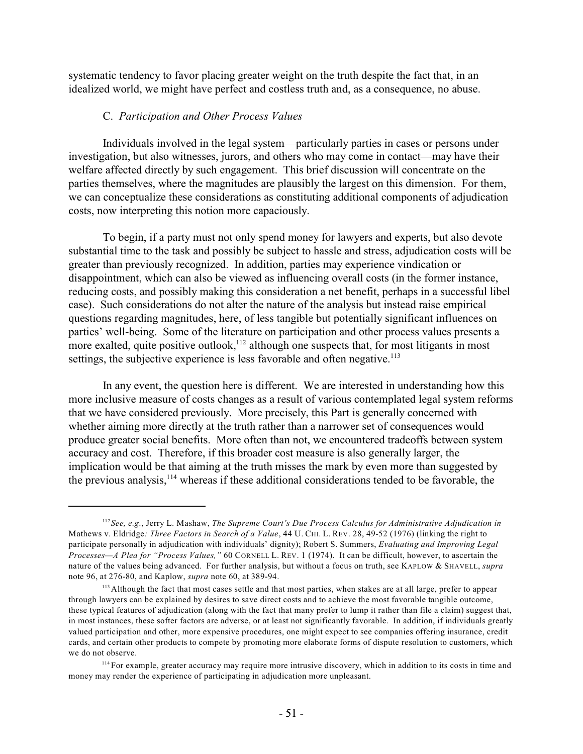systematic tendency to favor placing greater weight on the truth despite the fact that, in an idealized world, we might have perfect and costless truth and, as a consequence, no abuse.

#### C. *Participation and Other Process Values*

Individuals involved in the legal system—particularly parties in cases or persons under investigation, but also witnesses, jurors, and others who may come in contact—may have their welfare affected directly by such engagement. This brief discussion will concentrate on the parties themselves, where the magnitudes are plausibly the largest on this dimension. For them, we can conceptualize these considerations as constituting additional components of adjudication costs, now interpreting this notion more capaciously.

To begin, if a party must not only spend money for lawyers and experts, but also devote substantial time to the task and possibly be subject to hassle and stress, adjudication costs will be greater than previously recognized. In addition, parties may experience vindication or disappointment, which can also be viewed as influencing overall costs (in the former instance, reducing costs, and possibly making this consideration a net benefit, perhaps in a successful libel case). Such considerations do not alter the nature of the analysis but instead raise empirical questions regarding magnitudes, here, of less tangible but potentially significant influences on parties' well-being. Some of the literature on participation and other process values presents a more exalted, quite positive outlook,  $\frac{1}{2}$  although one suspects that, for most litigants in most settings, the subjective experience is less favorable and often negative.<sup>113</sup>

In any event, the question here is different. We are interested in understanding how this more inclusive measure of costs changes as a result of various contemplated legal system reforms that we have considered previously. More precisely, this Part is generally concerned with whether aiming more directly at the truth rather than a narrower set of consequences would produce greater social benefits. More often than not, we encountered tradeoffs between system accuracy and cost. Therefore, if this broader cost measure is also generally larger, the implication would be that aiming at the truth misses the mark by even more than suggested by the previous analysis,  $114$  whereas if these additional considerations tended to be favorable, the

*See, e.g.*, Jerry L. Mashaw, *The Supreme Court's Due Process Calculus for Administrative Adjudication in* 112 Mathews v. Eldridge*: Three Factors in Search of a Value*, 44 U. CHI. L. REV. 28, 49-52 (1976) (linking the right to participate personally in adjudication with individuals' dignity); Robert S. Summers, *Evaluating and Improving Legal Processes—A Plea for "Process Values,"* 60 CORNELL L. REV. 1 (1974). It can be difficult, however, to ascertain the nature of the values being advanced. For further analysis, but without a focus on truth, see KAPLOW & SHAVELL, *supra* note 96, at 276-80, and Kaplow, *supra* note 60, at 389-94.

<sup>&</sup>lt;sup>113</sup> Although the fact that most cases settle and that most parties, when stakes are at all large, prefer to appear through lawyers can be explained by desires to save direct costs and to achieve the most favorable tangible outcome, these typical features of adjudication (along with the fact that many prefer to lump it rather than file a claim) suggest that, in most instances, these softer factors are adverse, or at least not significantly favorable. In addition, if individuals greatly valued participation and other, more expensive procedures, one might expect to see companies offering insurance, credit cards, and certain other products to compete by promoting more elaborate forms of dispute resolution to customers, which we do not observe.

<sup>&</sup>lt;sup>114</sup> For example, greater accuracy may require more intrusive discovery, which in addition to its costs in time and money may render the experience of participating in adjudication more unpleasant.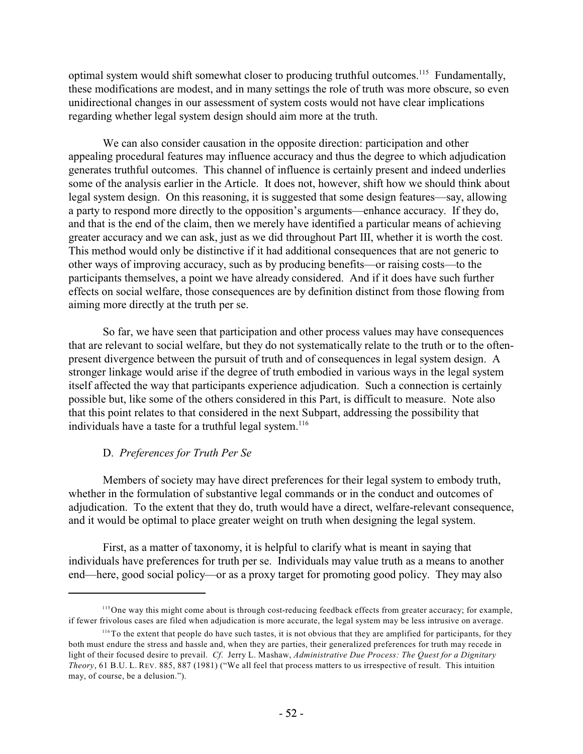optimal system would shift somewhat closer to producing truthful outcomes.<sup>115</sup> Fundamentally, these modifications are modest, and in many settings the role of truth was more obscure, so even unidirectional changes in our assessment of system costs would not have clear implications regarding whether legal system design should aim more at the truth.

We can also consider causation in the opposite direction: participation and other appealing procedural features may influence accuracy and thus the degree to which adjudication generates truthful outcomes. This channel of influence is certainly present and indeed underlies some of the analysis earlier in the Article. It does not, however, shift how we should think about legal system design. On this reasoning, it is suggested that some design features—say, allowing a party to respond more directly to the opposition's arguments—enhance accuracy. If they do, and that is the end of the claim, then we merely have identified a particular means of achieving greater accuracy and we can ask, just as we did throughout Part III, whether it is worth the cost. This method would only be distinctive if it had additional consequences that are not generic to other ways of improving accuracy, such as by producing benefits—or raising costs—to the participants themselves, a point we have already considered. And if it does have such further effects on social welfare, those consequences are by definition distinct from those flowing from aiming more directly at the truth per se.

So far, we have seen that participation and other process values may have consequences that are relevant to social welfare, but they do not systematically relate to the truth or to the oftenpresent divergence between the pursuit of truth and of consequences in legal system design. A stronger linkage would arise if the degree of truth embodied in various ways in the legal system itself affected the way that participants experience adjudication. Such a connection is certainly possible but, like some of the others considered in this Part, is difficult to measure. Note also that this point relates to that considered in the next Subpart, addressing the possibility that individuals have a taste for a truthful legal system.<sup>116</sup>

# D. *Preferences for Truth Per Se*

Members of society may have direct preferences for their legal system to embody truth, whether in the formulation of substantive legal commands or in the conduct and outcomes of adjudication. To the extent that they do, truth would have a direct, welfare-relevant consequence, and it would be optimal to place greater weight on truth when designing the legal system.

First, as a matter of taxonomy, it is helpful to clarify what is meant in saying that individuals have preferences for truth per se. Individuals may value truth as a means to another end—here, good social policy—or as a proxy target for promoting good policy. They may also

<sup>&</sup>lt;sup>115</sup>One way this might come about is through cost-reducing feedback effects from greater accuracy; for example, if fewer frivolous cases are filed when adjudication is more accurate, the legal system may be less intrusive on average.

To the extent that people do have such tastes, it is not obvious that they are amplified for participants, for they 116 both must endure the stress and hassle and, when they are parties, their generalized preferences for truth may recede in light of their focused desire to prevail. *Cf*. Jerry L. Mashaw, *Administrative Due Process: The Quest for a Dignitary Theory*, 61 B.U. L. REV. 885, 887 (1981) ("We all feel that process matters to us irrespective of result. This intuition may, of course, be a delusion.").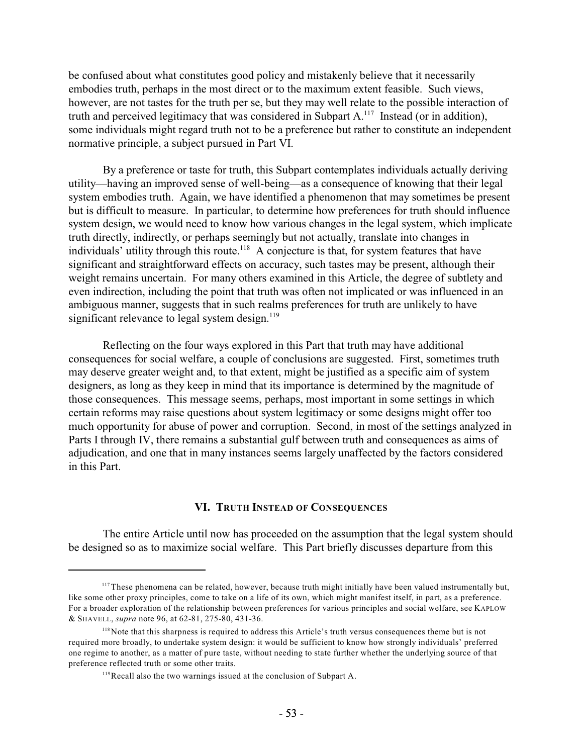be confused about what constitutes good policy and mistakenly believe that it necessarily embodies truth, perhaps in the most direct or to the maximum extent feasible. Such views, however, are not tastes for the truth per se, but they may well relate to the possible interaction of truth and perceived legitimacy that was considered in Subpart  $A$ .<sup>117</sup> Instead (or in addition), some individuals might regard truth not to be a preference but rather to constitute an independent normative principle, a subject pursued in Part VI.

By a preference or taste for truth, this Subpart contemplates individuals actually deriving utility—having an improved sense of well-being—as a consequence of knowing that their legal system embodies truth. Again, we have identified a phenomenon that may sometimes be present but is difficult to measure. In particular, to determine how preferences for truth should influence system design, we would need to know how various changes in the legal system, which implicate truth directly, indirectly, or perhaps seemingly but not actually, translate into changes in individuals' utility through this route.<sup>118</sup> A conjecture is that, for system features that have significant and straightforward effects on accuracy, such tastes may be present, although their weight remains uncertain. For many others examined in this Article, the degree of subtlety and even indirection, including the point that truth was often not implicated or was influenced in an ambiguous manner, suggests that in such realms preferences for truth are unlikely to have significant relevance to legal system design. $119$ 

Reflecting on the four ways explored in this Part that truth may have additional consequences for social welfare, a couple of conclusions are suggested. First, sometimes truth may deserve greater weight and, to that extent, might be justified as a specific aim of system designers, as long as they keep in mind that its importance is determined by the magnitude of those consequences. This message seems, perhaps, most important in some settings in which certain reforms may raise questions about system legitimacy or some designs might offer too much opportunity for abuse of power and corruption. Second, in most of the settings analyzed in Parts I through IV, there remains a substantial gulf between truth and consequences as aims of adjudication, and one that in many instances seems largely unaffected by the factors considered in this Part.

#### **VI. TRUTH INSTEAD OF CONSEQUENCES**

The entire Article until now has proceeded on the assumption that the legal system should be designed so as to maximize social welfare. This Part briefly discusses departure from this

 $117$  These phenomena can be related, however, because truth might initially have been valued instrumentally but, like some other proxy principles, come to take on a life of its own, which might manifest itself, in part, as a preference. For a broader exploration of the relationship between preferences for various principles and social welfare, see KAPLOW & SHAVELL, *supra* note 96, at 62-81, 275-80, 431-36.

<sup>&</sup>lt;sup>118</sup> Note that this sharpness is required to address this Article's truth versus consequences theme but is not required more broadly, to undertake system design: it would be sufficient to know how strongly individuals' preferred one regime to another, as a matter of pure taste, without needing to state further whether the underlying source of that preference reflected truth or some other traits.

<sup>&</sup>lt;sup>119</sup>Recall also the two warnings issued at the conclusion of Subpart A.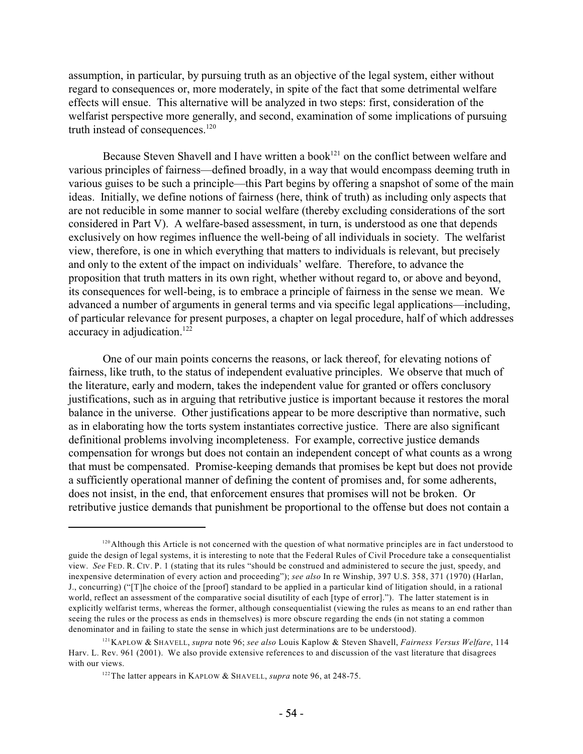assumption, in particular, by pursuing truth as an objective of the legal system, either without regard to consequences or, more moderately, in spite of the fact that some detrimental welfare effects will ensue. This alternative will be analyzed in two steps: first, consideration of the welfarist perspective more generally, and second, examination of some implications of pursuing truth instead of consequences.<sup>120</sup>

Because Steven Shavell and I have written a book<sup>121</sup> on the conflict between welfare and various principles of fairness—defined broadly, in a way that would encompass deeming truth in various guises to be such a principle—this Part begins by offering a snapshot of some of the main ideas. Initially, we define notions of fairness (here, think of truth) as including only aspects that are not reducible in some manner to social welfare (thereby excluding considerations of the sort considered in Part V). A welfare-based assessment, in turn, is understood as one that depends exclusively on how regimes influence the well-being of all individuals in society. The welfarist view, therefore, is one in which everything that matters to individuals is relevant, but precisely and only to the extent of the impact on individuals' welfare. Therefore, to advance the proposition that truth matters in its own right, whether without regard to, or above and beyond, its consequences for well-being, is to embrace a principle of fairness in the sense we mean. We advanced a number of arguments in general terms and via specific legal applications—including, of particular relevance for present purposes, a chapter on legal procedure, half of which addresses accuracy in adjudication.<sup>122</sup>

One of our main points concerns the reasons, or lack thereof, for elevating notions of fairness, like truth, to the status of independent evaluative principles. We observe that much of the literature, early and modern, takes the independent value for granted or offers conclusory justifications, such as in arguing that retributive justice is important because it restores the moral balance in the universe. Other justifications appear to be more descriptive than normative, such as in elaborating how the torts system instantiates corrective justice. There are also significant definitional problems involving incompleteness. For example, corrective justice demands compensation for wrongs but does not contain an independent concept of what counts as a wrong that must be compensated. Promise-keeping demands that promises be kept but does not provide a sufficiently operational manner of defining the content of promises and, for some adherents, does not insist, in the end, that enforcement ensures that promises will not be broken. Or retributive justice demands that punishment be proportional to the offense but does not contain a

 $120$  Although this Article is not concerned with the question of what normative principles are in fact understood to guide the design of legal systems, it is interesting to note that the Federal Rules of Civil Procedure take a consequentialist view. *See* FED. R. CIV. P. 1 (stating that its rules "should be construed and administered to secure the just, speedy, and inexpensive determination of every action and proceeding"); *see also* In re Winship, 397 U.S. 358, 371 (1970) (Harlan, J., concurring) ("[T]he choice of the [proof] standard to be applied in a particular kind of litigation should, in a rational world, reflect an assessment of the comparative social disutility of each [type of error]."). The latter statement is in explicitly welfarist terms, whereas the former, although consequentialist (viewing the rules as means to an end rather than seeing the rules or the process as ends in themselves) is more obscure regarding the ends (in not stating a common denominator and in failing to state the sense in which just determinations are to be understood).

KAPLOW & SHAVELL, *supra* note 96; *see also* Louis Kaplow & Steven Shavell, *Fairness Versus Welfare*, 114 121 Harv. L. Rev. 961 (2001). We also provide extensive references to and discussion of the vast literature that disagrees with our views.

<sup>&</sup>lt;sup>122</sup> The latter appears in KAPLOW & SHAVELL, *supra* note 96, at 248-75.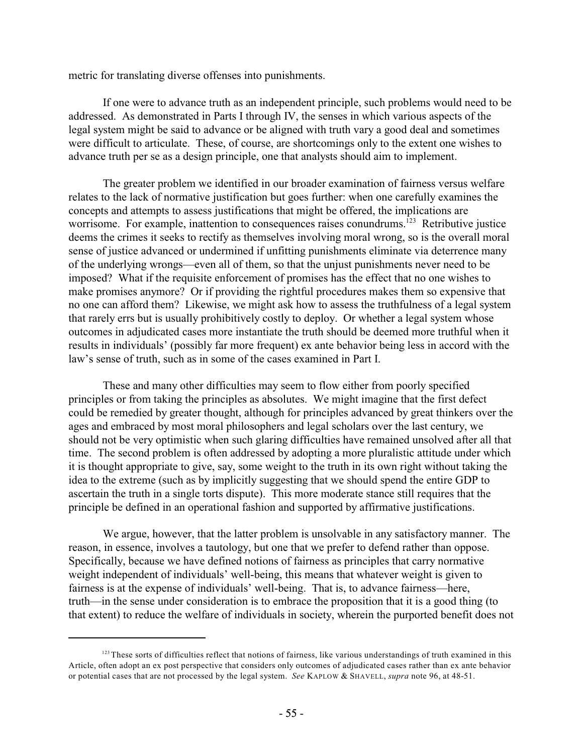metric for translating diverse offenses into punishments.

If one were to advance truth as an independent principle, such problems would need to be addressed. As demonstrated in Parts I through IV, the senses in which various aspects of the legal system might be said to advance or be aligned with truth vary a good deal and sometimes were difficult to articulate. These, of course, are shortcomings only to the extent one wishes to advance truth per se as a design principle, one that analysts should aim to implement.

The greater problem we identified in our broader examination of fairness versus welfare relates to the lack of normative justification but goes further: when one carefully examines the concepts and attempts to assess justifications that might be offered, the implications are worrisome. For example, inattention to consequences raises conundrums. <sup>123</sup> Retributive justice deems the crimes it seeks to rectify as themselves involving moral wrong, so is the overall moral sense of justice advanced or undermined if unfitting punishments eliminate via deterrence many of the underlying wrongs—even all of them, so that the unjust punishments never need to be imposed? What if the requisite enforcement of promises has the effect that no one wishes to make promises anymore? Or if providing the rightful procedures makes them so expensive that no one can afford them? Likewise, we might ask how to assess the truthfulness of a legal system that rarely errs but is usually prohibitively costly to deploy. Or whether a legal system whose outcomes in adjudicated cases more instantiate the truth should be deemed more truthful when it results in individuals' (possibly far more frequent) ex ante behavior being less in accord with the law's sense of truth, such as in some of the cases examined in Part I.

These and many other difficulties may seem to flow either from poorly specified principles or from taking the principles as absolutes. We might imagine that the first defect could be remedied by greater thought, although for principles advanced by great thinkers over the ages and embraced by most moral philosophers and legal scholars over the last century, we should not be very optimistic when such glaring difficulties have remained unsolved after all that time. The second problem is often addressed by adopting a more pluralistic attitude under which it is thought appropriate to give, say, some weight to the truth in its own right without taking the idea to the extreme (such as by implicitly suggesting that we should spend the entire GDP to ascertain the truth in a single torts dispute). This more moderate stance still requires that the principle be defined in an operational fashion and supported by affirmative justifications.

We argue, however, that the latter problem is unsolvable in any satisfactory manner. The reason, in essence, involves a tautology, but one that we prefer to defend rather than oppose. Specifically, because we have defined notions of fairness as principles that carry normative weight independent of individuals' well-being, this means that whatever weight is given to fairness is at the expense of individuals' well-being. That is, to advance fairness—here, truth—in the sense under consideration is to embrace the proposition that it is a good thing (to that extent) to reduce the welfare of individuals in society, wherein the purported benefit does not

 $123$  These sorts of difficulties reflect that notions of fairness, like various understandings of truth examined in this Article, often adopt an ex post perspective that considers only outcomes of adjudicated cases rather than ex ante behavior or potential cases that are not processed by the legal system. *See* KAPLOW & SHAVELL, *supra* note 96, at 48-51.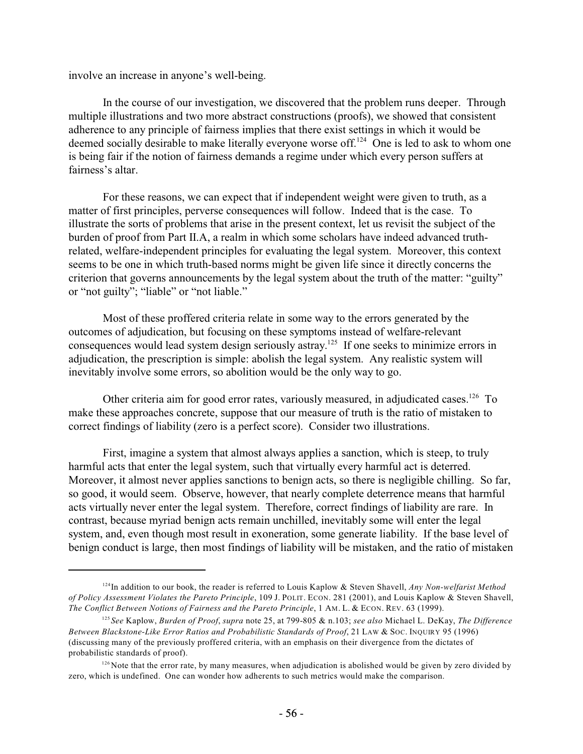involve an increase in anyone's well-being.

In the course of our investigation, we discovered that the problem runs deeper. Through multiple illustrations and two more abstract constructions (proofs), we showed that consistent adherence to any principle of fairness implies that there exist settings in which it would be deemed socially desirable to make literally everyone worse off.<sup>124</sup> One is led to ask to whom one is being fair if the notion of fairness demands a regime under which every person suffers at fairness's altar.

For these reasons, we can expect that if independent weight were given to truth, as a matter of first principles, perverse consequences will follow. Indeed that is the case. To illustrate the sorts of problems that arise in the present context, let us revisit the subject of the burden of proof from Part II.A, a realm in which some scholars have indeed advanced truthrelated, welfare-independent principles for evaluating the legal system. Moreover, this context seems to be one in which truth-based norms might be given life since it directly concerns the criterion that governs announcements by the legal system about the truth of the matter: "guilty" or "not guilty"; "liable" or "not liable."

Most of these proffered criteria relate in some way to the errors generated by the outcomes of adjudication, but focusing on these symptoms instead of welfare-relevant consequences would lead system design seriously astray.<sup>125</sup> If one seeks to minimize errors in adjudication, the prescription is simple: abolish the legal system. Any realistic system will inevitably involve some errors, so abolition would be the only way to go.

Other criteria aim for good error rates, variously measured, in adjudicated cases. <sup>126</sup> To make these approaches concrete, suppose that our measure of truth is the ratio of mistaken to correct findings of liability (zero is a perfect score). Consider two illustrations.

First, imagine a system that almost always applies a sanction, which is steep, to truly harmful acts that enter the legal system, such that virtually every harmful act is deterred. Moreover, it almost never applies sanctions to benign acts, so there is negligible chilling. So far, so good, it would seem. Observe, however, that nearly complete deterrence means that harmful acts virtually never enter the legal system. Therefore, correct findings of liability are rare. In contrast, because myriad benign acts remain unchilled, inevitably some will enter the legal system, and, even though most result in exoneration, some generate liability. If the base level of benign conduct is large, then most findings of liability will be mistaken, and the ratio of mistaken

<sup>&</sup>lt;sup>124</sup>In addition to our book, the reader is referred to Louis Kaplow & Steven Shavell, *Any Non-welfarist Method of Policy Assessment Violates the Pareto Principle*, 109 J. POLIT. ECON. 281 (2001), and Louis Kaplow & Steven Shavell, *The Conflict Between Notions of Fairness and the Pareto Principle*, 1 AM. L. & ECON. REV. 63 (1999).

*See* Kaplow, *Burden of Proof*, *supra* note 25, at 799-805 & n.103; *see also* Michael L. DeKay, *The Difference* 125 *Between Blackstone-Like Error Ratios and Probabilistic Standards of Proof*, 21 LAW & SOC. INQUIRY 95 (1996) (discussing many of the previously proffered criteria, with an emphasis on their divergence from the dictates of probabilistic standards of proof).

 $126$  Note that the error rate, by many measures, when adjudication is abolished would be given by zero divided by zero, which is undefined. One can wonder how adherents to such metrics would make the comparison.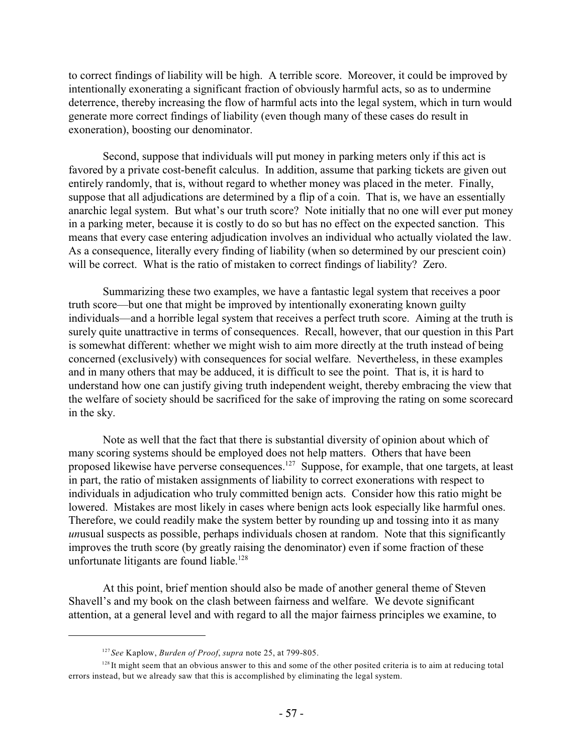to correct findings of liability will be high. A terrible score. Moreover, it could be improved by intentionally exonerating a significant fraction of obviously harmful acts, so as to undermine deterrence, thereby increasing the flow of harmful acts into the legal system, which in turn would generate more correct findings of liability (even though many of these cases do result in exoneration), boosting our denominator.

Second, suppose that individuals will put money in parking meters only if this act is favored by a private cost-benefit calculus. In addition, assume that parking tickets are given out entirely randomly, that is, without regard to whether money was placed in the meter. Finally, suppose that all adjudications are determined by a flip of a coin. That is, we have an essentially anarchic legal system. But what's our truth score? Note initially that no one will ever put money in a parking meter, because it is costly to do so but has no effect on the expected sanction. This means that every case entering adjudication involves an individual who actually violated the law. As a consequence, literally every finding of liability (when so determined by our prescient coin) will be correct. What is the ratio of mistaken to correct findings of liability? Zero.

Summarizing these two examples, we have a fantastic legal system that receives a poor truth score—but one that might be improved by intentionally exonerating known guilty individuals—and a horrible legal system that receives a perfect truth score. Aiming at the truth is surely quite unattractive in terms of consequences. Recall, however, that our question in this Part is somewhat different: whether we might wish to aim more directly at the truth instead of being concerned (exclusively) with consequences for social welfare. Nevertheless, in these examples and in many others that may be adduced, it is difficult to see the point. That is, it is hard to understand how one can justify giving truth independent weight, thereby embracing the view that the welfare of society should be sacrificed for the sake of improving the rating on some scorecard in the sky.

Note as well that the fact that there is substantial diversity of opinion about which of many scoring systems should be employed does not help matters. Others that have been proposed likewise have perverse consequences.<sup>127</sup> Suppose, for example, that one targets, at least in part, the ratio of mistaken assignments of liability to correct exonerations with respect to individuals in adjudication who truly committed benign acts. Consider how this ratio might be lowered. Mistakes are most likely in cases where benign acts look especially like harmful ones. Therefore, we could readily make the system better by rounding up and tossing into it as many *un*usual suspects as possible, perhaps individuals chosen at random. Note that this significantly improves the truth score (by greatly raising the denominator) even if some fraction of these unfortunate litigants are found liable. 128

At this point, brief mention should also be made of another general theme of Steven Shavell's and my book on the clash between fairness and welfare. We devote significant attention, at a general level and with regard to all the major fairness principles we examine, to

*See* Kaplow, *Burden of Proof*, *supra* note 25, at 799-805. 127

 $128$  It might seem that an obvious answer to this and some of the other posited criteria is to aim at reducing total errors instead, but we already saw that this is accomplished by eliminating the legal system.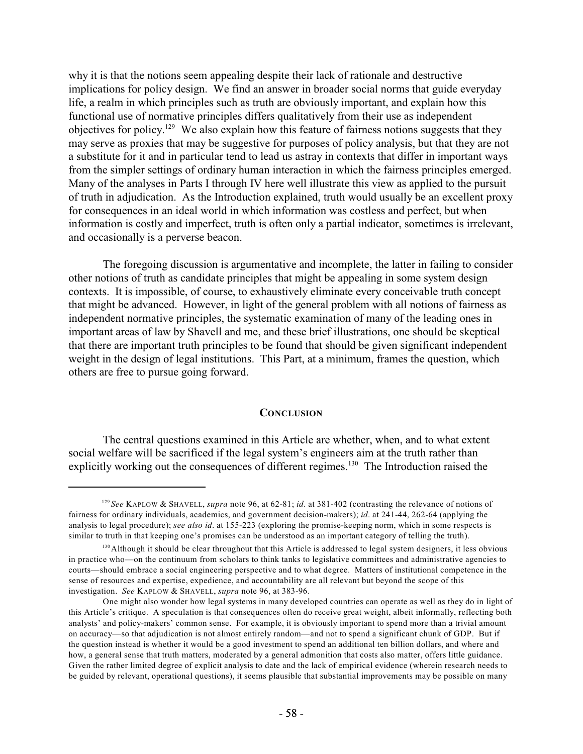why it is that the notions seem appealing despite their lack of rationale and destructive implications for policy design. We find an answer in broader social norms that guide everyday life, a realm in which principles such as truth are obviously important, and explain how this functional use of normative principles differs qualitatively from their use as independent objectives for policy.<sup>129</sup> We also explain how this feature of fairness notions suggests that they may serve as proxies that may be suggestive for purposes of policy analysis, but that they are not a substitute for it and in particular tend to lead us astray in contexts that differ in important ways from the simpler settings of ordinary human interaction in which the fairness principles emerged. Many of the analyses in Parts I through IV here well illustrate this view as applied to the pursuit of truth in adjudication. As the Introduction explained, truth would usually be an excellent proxy for consequences in an ideal world in which information was costless and perfect, but when information is costly and imperfect, truth is often only a partial indicator, sometimes is irrelevant, and occasionally is a perverse beacon.

The foregoing discussion is argumentative and incomplete, the latter in failing to consider other notions of truth as candidate principles that might be appealing in some system design contexts. It is impossible, of course, to exhaustively eliminate every conceivable truth concept that might be advanced. However, in light of the general problem with all notions of fairness as independent normative principles, the systematic examination of many of the leading ones in important areas of law by Shavell and me, and these brief illustrations, one should be skeptical that there are important truth principles to be found that should be given significant independent weight in the design of legal institutions. This Part, at a minimum, frames the question, which others are free to pursue going forward.

# **CONCLUSION**

The central questions examined in this Article are whether, when, and to what extent social welfare will be sacrificed if the legal system's engineers aim at the truth rather than explicitly working out the consequences of different regimes.<sup>130</sup> The Introduction raised the

<sup>&</sup>lt;sup>129</sup> See KAPLOW & SHAVELL, *supra* note 96, at 62-81; *id*. at 381-402 (contrasting the relevance of notions of fairness for ordinary individuals, academics, and government decision-makers); *id*. at 241-44, 262-64 (applying the analysis to legal procedure); *see also id*. at 155-223 (exploring the promise-keeping norm, which in some respects is similar to truth in that keeping one's promises can be understood as an important category of telling the truth).

<sup>&</sup>lt;sup>130</sup> Although it should be clear throughout that this Article is addressed to legal system designers, it less obvious in practice who—on the continuum from scholars to think tanks to legislative committees and administrative agencies to courts—should embrace a social engineering perspective and to what degree. Matters of institutional competence in the sense of resources and expertise, expedience, and accountability are all relevant but beyond the scope of this investigation. *See* KAPLOW & SHAVELL, *supra* note 96, at 383-96.

One might also wonder how legal systems in many developed countries can operate as well as they do in light of this Article's critique. A speculation is that consequences often do receive great weight, albeit informally, reflecting both analysts' and policy-makers' common sense. For example, it is obviously important to spend more than a trivial amount on accuracy—so that adjudication is not almost entirely random—and not to spend a significant chunk of GDP. But if the question instead is whether it would be a good investment to spend an additional ten billion dollars, and where and how, a general sense that truth matters, moderated by a general admonition that costs also matter, offers little guidance. Given the rather limited degree of explicit analysis to date and the lack of empirical evidence (wherein research needs to be guided by relevant, operational questions), it seems plausible that substantial improvements may be possible on many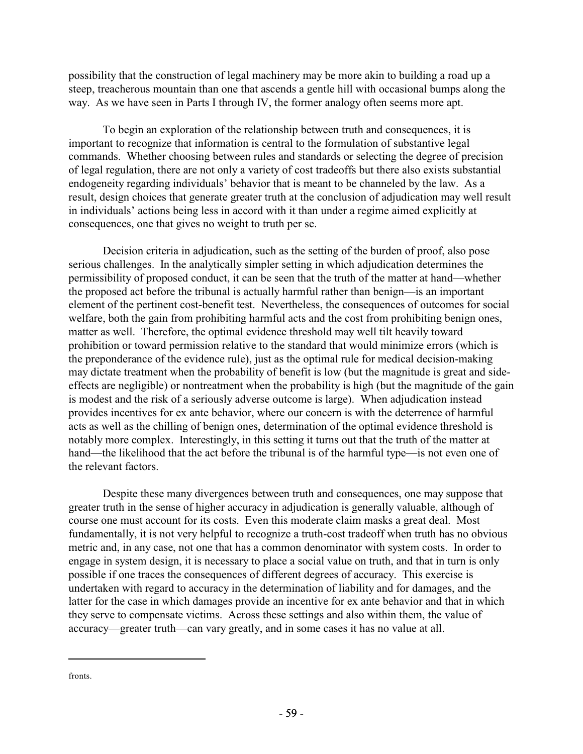possibility that the construction of legal machinery may be more akin to building a road up a steep, treacherous mountain than one that ascends a gentle hill with occasional bumps along the way. As we have seen in Parts I through IV, the former analogy often seems more apt.

To begin an exploration of the relationship between truth and consequences, it is important to recognize that information is central to the formulation of substantive legal commands. Whether choosing between rules and standards or selecting the degree of precision of legal regulation, there are not only a variety of cost tradeoffs but there also exists substantial endogeneity regarding individuals' behavior that is meant to be channeled by the law. As a result, design choices that generate greater truth at the conclusion of adjudication may well result in individuals' actions being less in accord with it than under a regime aimed explicitly at consequences, one that gives no weight to truth per se.

Decision criteria in adjudication, such as the setting of the burden of proof, also pose serious challenges. In the analytically simpler setting in which adjudication determines the permissibility of proposed conduct, it can be seen that the truth of the matter at hand—whether the proposed act before the tribunal is actually harmful rather than benign—is an important element of the pertinent cost-benefit test. Nevertheless, the consequences of outcomes for social welfare, both the gain from prohibiting harmful acts and the cost from prohibiting benign ones, matter as well. Therefore, the optimal evidence threshold may well tilt heavily toward prohibition or toward permission relative to the standard that would minimize errors (which is the preponderance of the evidence rule), just as the optimal rule for medical decision-making may dictate treatment when the probability of benefit is low (but the magnitude is great and sideeffects are negligible) or nontreatment when the probability is high (but the magnitude of the gain is modest and the risk of a seriously adverse outcome is large). When adjudication instead provides incentives for ex ante behavior, where our concern is with the deterrence of harmful acts as well as the chilling of benign ones, determination of the optimal evidence threshold is notably more complex. Interestingly, in this setting it turns out that the truth of the matter at hand—the likelihood that the act before the tribunal is of the harmful type—is not even one of the relevant factors.

Despite these many divergences between truth and consequences, one may suppose that greater truth in the sense of higher accuracy in adjudication is generally valuable, although of course one must account for its costs. Even this moderate claim masks a great deal. Most fundamentally, it is not very helpful to recognize a truth-cost tradeoff when truth has no obvious metric and, in any case, not one that has a common denominator with system costs. In order to engage in system design, it is necessary to place a social value on truth, and that in turn is only possible if one traces the consequences of different degrees of accuracy. This exercise is undertaken with regard to accuracy in the determination of liability and for damages, and the latter for the case in which damages provide an incentive for ex ante behavior and that in which they serve to compensate victims. Across these settings and also within them, the value of accuracy—greater truth—can vary greatly, and in some cases it has no value at all.

fronts.